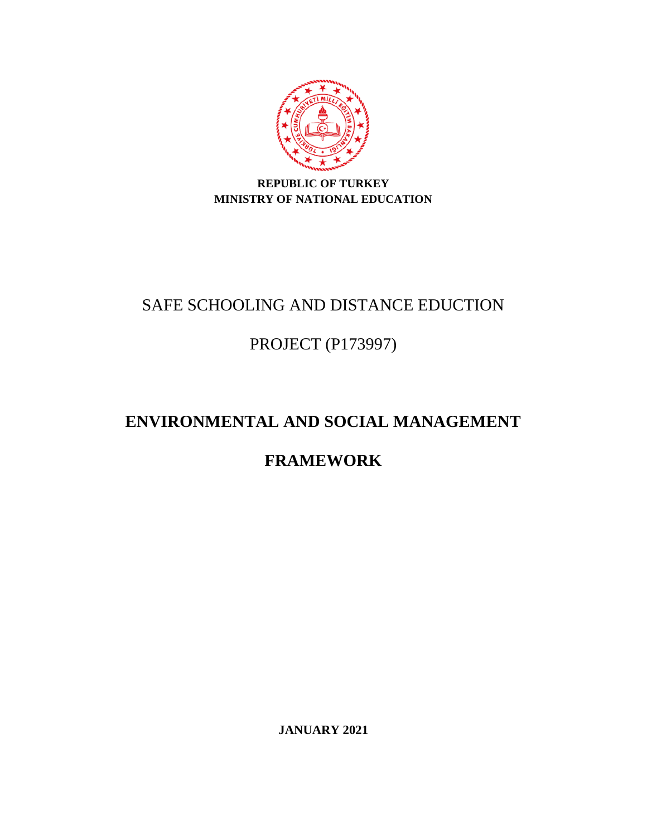

# **REPUBLIC OF TURKEY MINISTRY OF NATIONAL EDUCATION**

# SAFE SCHOOLING AND DISTANCE EDUCTION

# PROJECT (P173997)

# **ENVIRONMENTAL AND SOCIAL MANAGEMENT**

# **FRAMEWORK**

**JANUARY 2021**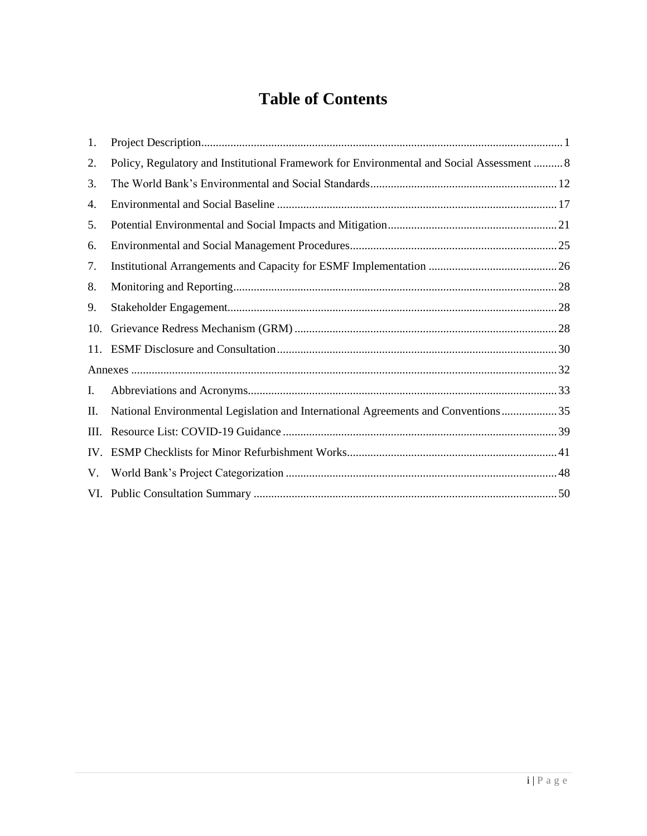# **Table of Contents**

| 1.  |                                                                                           |
|-----|-------------------------------------------------------------------------------------------|
| 2.  | Policy, Regulatory and Institutional Framework for Environmental and Social Assessment  8 |
| 3.  |                                                                                           |
| 4.  |                                                                                           |
| 5.  |                                                                                           |
| 6.  |                                                                                           |
| 7.  |                                                                                           |
| 8.  |                                                                                           |
| 9.  |                                                                                           |
| 10. |                                                                                           |
| 11. |                                                                                           |
|     |                                                                                           |
| I.  |                                                                                           |
| П.  | National Environmental Legislation and International Agreements and Conventions35         |
| Ш.  |                                                                                           |
| IV. |                                                                                           |
| V.  |                                                                                           |
|     |                                                                                           |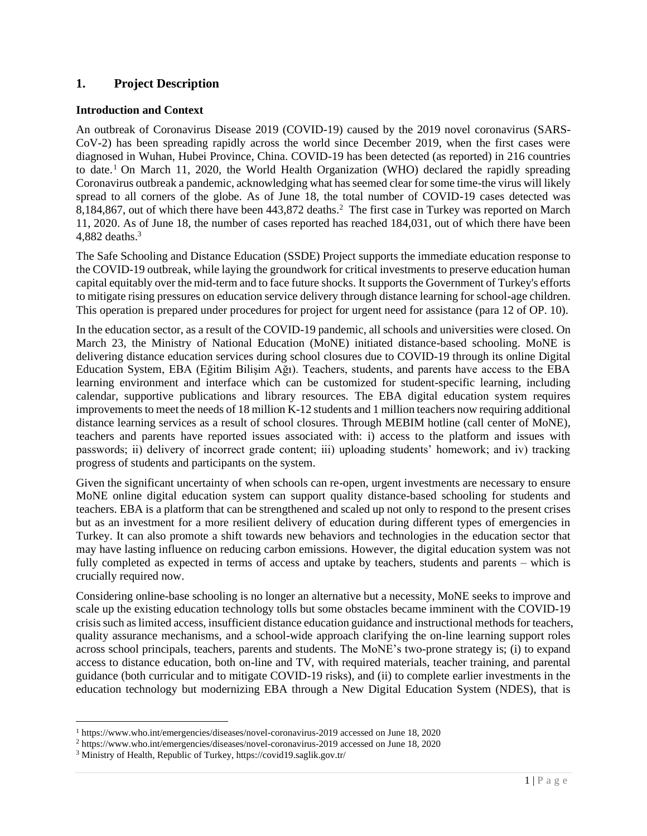# <span id="page-2-0"></span>**1. Project Description**

# **Introduction and Context**

An outbreak of Coronavirus Disease 2019 (COVID-19) caused by the 2019 novel coronavirus (SARS-CoV-2) has been spreading rapidly across the world since December 2019, when the first cases were diagnosed in Wuhan, Hubei Province, China. COVID-19 has been detected (as reported) in 216 countries to date.<sup>1</sup> On March 11, 2020, the World Health Organization (WHO) declared the rapidly spreading Coronavirus outbreak a pandemic, acknowledging what has seemed clear for some time-the virus will likely spread to all corners of the globe. As of June 18, the total number of COVID-19 cases detected was 8,184,867, out of which there have been 443,872 deaths.<sup>2</sup> The first case in Turkey was reported on March 11, 2020. As of June 18, the number of cases reported has reached 184,031, out of which there have been 4,882 deaths. $3$ 

The Safe Schooling and Distance Education (SSDE) Project supports the immediate education response to the COVID-19 outbreak, while laying the groundwork for critical investments to preserve education human capital equitably over the mid-term and to face future shocks. It supports the Government of Turkey's efforts to mitigate rising pressures on education service delivery through distance learning for school-age children. This operation is prepared under procedures for project for urgent need for assistance (para 12 of OP. 10).

In the education sector, as a result of the COVID-19 pandemic, all schools and universities were closed. On March 23, the Ministry of National Education (MoNE) initiated distance-based schooling. MoNE is delivering distance education services during school closures due to COVID-19 through its online Digital Education System, EBA (Eğitim Bilişim Ağı). Teachers, students, and parents have access to the EBA learning environment and interface which can be customized for student-specific learning, including calendar, supportive publications and library resources. The EBA digital education system requires improvements to meet the needs of 18 million K-12 students and 1 million teachers now requiring additional distance learning services as a result of school closures. Through MEBIM hotline (call center of MoNE), teachers and parents have reported issues associated with: i) access to the platform and issues with passwords; ii) delivery of incorrect grade content; iii) uploading students' homework; and iv) tracking progress of students and participants on the system.

Given the significant uncertainty of when schools can re-open, urgent investments are necessary to ensure MoNE online digital education system can support quality distance-based schooling for students and teachers. EBA is a platform that can be strengthened and scaled up not only to respond to the present crises but as an investment for a more resilient delivery of education during different types of emergencies in Turkey. It can also promote a shift towards new behaviors and technologies in the education sector that may have lasting influence on reducing carbon emissions. However, the digital education system was not fully completed as expected in terms of access and uptake by teachers, students and parents – which is crucially required now.

Considering online-base schooling is no longer an alternative but a necessity, MoNE seeks to improve and scale up the existing education technology tolls but some obstacles became imminent with the COVID-19 crisis such as limited access, insufficient distance education guidance and instructional methods for teachers, quality assurance mechanisms, and a school-wide approach clarifying the on-line learning support roles across school principals, teachers, parents and students. The MoNE's two-prone strategy is; (i) to expand access to distance education, both on-line and TV, with required materials, teacher training, and parental guidance (both curricular and to mitigate COVID-19 risks), and (ii) to complete earlier investments in the education technology but modernizing EBA through a New Digital Education System (NDES), that is

<sup>1</sup> https://www.who.int/emergencies/diseases/novel-coronavirus-2019 accessed on June 18, 2020

<sup>2</sup> https://www.who.int/emergencies/diseases/novel-coronavirus-2019 accessed on June 18, 2020

<sup>3</sup> Ministry of Health, Republic of Turkey, https://covid19.saglik.gov.tr/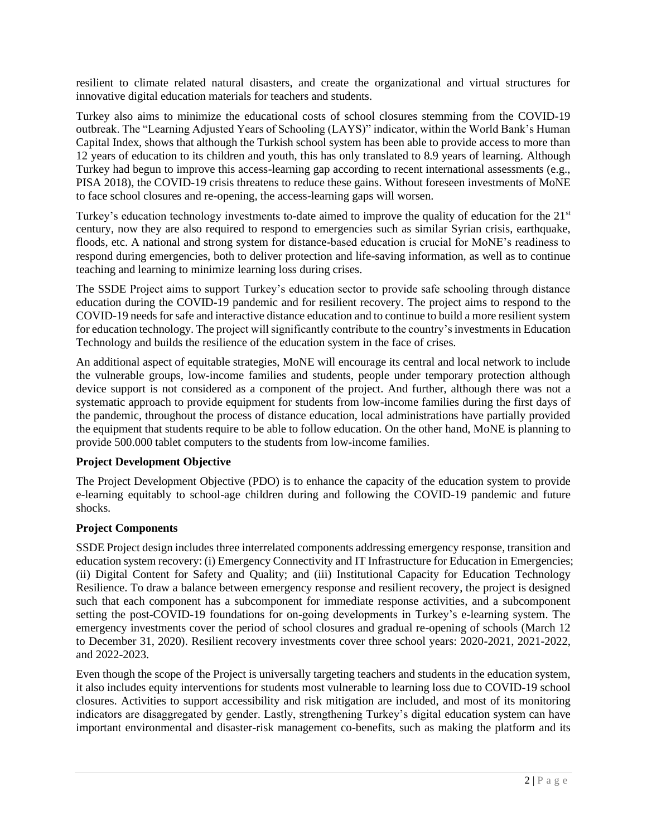resilient to climate related natural disasters, and create the organizational and virtual structures for innovative digital education materials for teachers and students.

Turkey also aims to minimize the educational costs of school closures stemming from the COVID-19 outbreak. The "Learning Adjusted Years of Schooling (LAYS)" indicator, within the World Bank's Human Capital Index, shows that although the Turkish school system has been able to provide access to more than 12 years of education to its children and youth, this has only translated to 8.9 years of learning. Although Turkey had begun to improve this access-learning gap according to recent international assessments (e.g., PISA 2018), the COVID-19 crisis threatens to reduce these gains. Without foreseen investments of MoNE to face school closures and re-opening, the access-learning gaps will worsen.

Turkey's education technology investments to-date aimed to improve the quality of education for the 21<sup>st</sup> century, now they are also required to respond to emergencies such as similar Syrian crisis, earthquake, floods, etc. A national and strong system for distance-based education is crucial for MoNE's readiness to respond during emergencies, both to deliver protection and life-saving information, as well as to continue teaching and learning to minimize learning loss during crises.

The SSDE Project aims to support Turkey's education sector to provide safe schooling through distance education during the COVID-19 pandemic and for resilient recovery. The project aims to respond to the COVID-19 needs for safe and interactive distance education and to continue to build a more resilient system for education technology. The project will significantly contribute to the country's investments in Education Technology and builds the resilience of the education system in the face of crises.

An additional aspect of equitable strategies, MoNE will encourage its central and local network to include the vulnerable groups, low-income families and students, people under temporary protection although device support is not considered as a component of the project. And further, although there was not a systematic approach to provide equipment for students from low-income families during the first days of the pandemic, throughout the process of distance education, local administrations have partially provided the equipment that students require to be able to follow education. On the other hand, MoNE is planning to provide 500.000 tablet computers to the students from low-income families.

# **Project Development Objective**

The Project Development Objective (PDO) is to enhance the capacity of the education system to provide e-learning equitably to school-age children during and following the COVID-19 pandemic and future shocks.

# **Project Components**

SSDE Project design includes three interrelated components addressing emergency response, transition and education system recovery: (i) Emergency Connectivity and IT Infrastructure for Education in Emergencies; (ii) Digital Content for Safety and Quality; and (iii) Institutional Capacity for Education Technology Resilience. To draw a balance between emergency response and resilient recovery, the project is designed such that each component has a subcomponent for immediate response activities, and a subcomponent setting the post-COVID-19 foundations for on-going developments in Turkey's e-learning system. The emergency investments cover the period of school closures and gradual re-opening of schools (March 12 to December 31, 2020). Resilient recovery investments cover three school years: 2020-2021, 2021-2022, and 2022-2023.

Even though the scope of the Project is universally targeting teachers and students in the education system, it also includes equity interventions for students most vulnerable to learning loss due to COVID-19 school closures. Activities to support accessibility and risk mitigation are included, and most of its monitoring indicators are disaggregated by gender. Lastly, strengthening Turkey's digital education system can have important environmental and disaster-risk management co-benefits, such as making the platform and its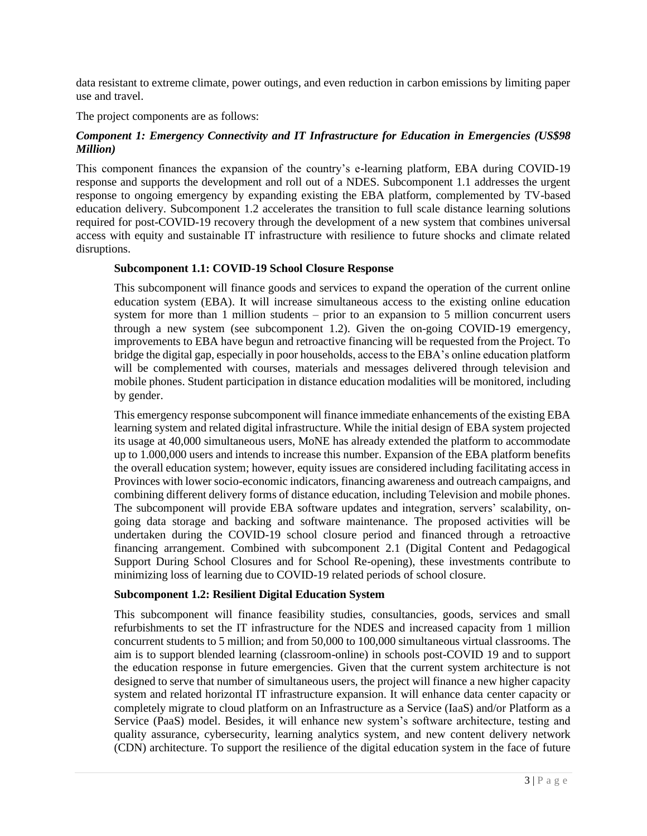data resistant to extreme climate, power outings, and even reduction in carbon emissions by limiting paper use and travel.

The project components are as follows:

# *Component 1: Emergency Connectivity and IT Infrastructure for Education in Emergencies (US\$98 Million)*

This component finances the expansion of the country's e-learning platform, EBA during COVID-19 response and supports the development and roll out of a NDES. Subcomponent 1.1 addresses the urgent response to ongoing emergency by expanding existing the EBA platform, complemented by TV-based education delivery. Subcomponent 1.2 accelerates the transition to full scale distance learning solutions required for post-COVID-19 recovery through the development of a new system that combines universal access with equity and sustainable IT infrastructure with resilience to future shocks and climate related disruptions.

#### **Subcomponent 1.1: COVID-19 School Closure Response**

This subcomponent will finance goods and services to expand the operation of the current online education system (EBA). It will increase simultaneous access to the existing online education system for more than 1 million students – prior to an expansion to 5 million concurrent users through a new system (see subcomponent 1.2). Given the on-going COVID-19 emergency, improvements to EBA have begun and retroactive financing will be requested from the Project. To bridge the digital gap, especially in poor households, access to the EBA's online education platform will be complemented with courses, materials and messages delivered through television and mobile phones. Student participation in distance education modalities will be monitored, including by gender.

This emergency response subcomponent will finance immediate enhancements of the existing EBA learning system and related digital infrastructure. While the initial design of EBA system projected its usage at 40,000 simultaneous users, MoNE has already extended the platform to accommodate up to 1.000,000 users and intends to increase this number. Expansion of the EBA platform benefits the overall education system; however, equity issues are considered including facilitating access in Provinces with lower socio-economic indicators, financing awareness and outreach campaigns, and combining different delivery forms of distance education, including Television and mobile phones. The subcomponent will provide EBA software updates and integration, servers' scalability, ongoing data storage and backing and software maintenance. The proposed activities will be undertaken during the COVID-19 school closure period and financed through a retroactive financing arrangement. Combined with subcomponent 2.1 (Digital Content and Pedagogical Support During School Closures and for School Re-opening), these investments contribute to minimizing loss of learning due to COVID-19 related periods of school closure.

#### **Subcomponent 1.2: Resilient Digital Education System**

This subcomponent will finance feasibility studies, consultancies, goods, services and small refurbishments to set the IT infrastructure for the NDES and increased capacity from 1 million concurrent students to 5 million; and from 50,000 to 100,000 simultaneous virtual classrooms. The aim is to support blended learning (classroom-online) in schools post-COVID 19 and to support the education response in future emergencies. Given that the current system architecture is not designed to serve that number of simultaneous users, the project will finance a new higher capacity system and related horizontal IT infrastructure expansion. It will enhance data center capacity or completely migrate to cloud platform on an Infrastructure as a Service (IaaS) and/or Platform as a Service (PaaS) model. Besides, it will enhance new system's software architecture, testing and quality assurance, cybersecurity, learning analytics system, and new content delivery network (CDN) architecture. To support the resilience of the digital education system in the face of future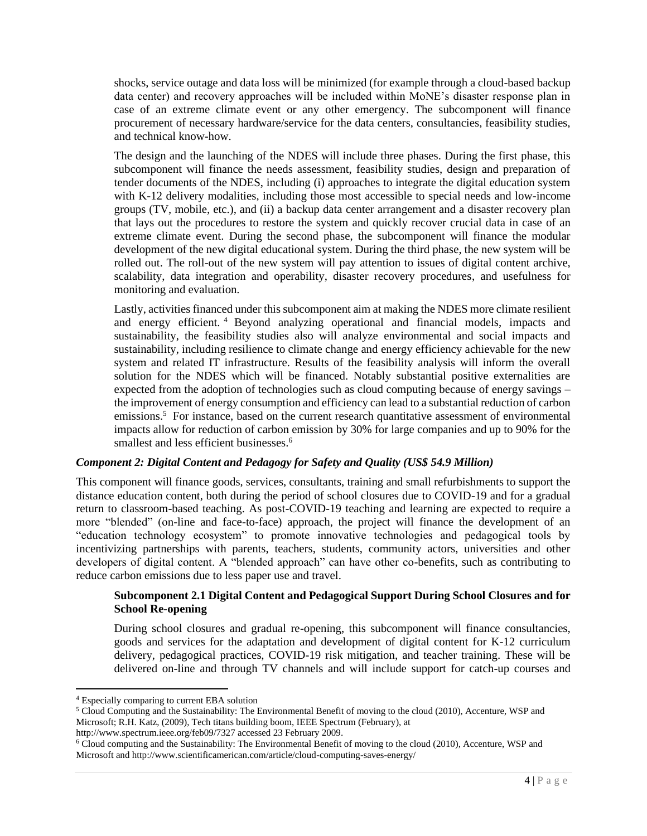shocks, service outage and data loss will be minimized (for example through a cloud-based backup data center) and recovery approaches will be included within MoNE's disaster response plan in case of an extreme climate event or any other emergency. The subcomponent will finance procurement of necessary hardware/service for the data centers, consultancies, feasibility studies, and technical know-how.

The design and the launching of the NDES will include three phases. During the first phase, this subcomponent will finance the needs assessment, feasibility studies, design and preparation of tender documents of the NDES, including (i) approaches to integrate the digital education system with K-12 delivery modalities, including those most accessible to special needs and low-income groups (TV, mobile, etc.), and (ii) a backup data center arrangement and a disaster recovery plan that lays out the procedures to restore the system and quickly recover crucial data in case of an extreme climate event. During the second phase, the subcomponent will finance the modular development of the new digital educational system. During the third phase, the new system will be rolled out. The roll-out of the new system will pay attention to issues of digital content archive, scalability, data integration and operability, disaster recovery procedures, and usefulness for monitoring and evaluation.

Lastly, activities financed under this subcomponent aim at making the NDES more climate resilient and energy efficient. <sup>4</sup> Beyond analyzing operational and financial models, impacts and sustainability, the feasibility studies also will analyze environmental and social impacts and sustainability, including resilience to climate change and energy efficiency achievable for the new system and related IT infrastructure. Results of the feasibility analysis will inform the overall solution for the NDES which will be financed. Notably substantial positive externalities are expected from the adoption of technologies such as cloud computing because of energy savings – the improvement of energy consumption and efficiency can lead to a substantial reduction of carbon emissions.<sup>5</sup> For instance, based on the current research quantitative assessment of environmental impacts allow for reduction of carbon emission by 30% for large companies and up to 90% for the smallest and less efficient businesses.<sup>6</sup>

#### *Component 2: Digital Content and Pedagogy for Safety and Quality (US\$ 54.9 Million)*

This component will finance goods, services, consultants, training and small refurbishments to support the distance education content, both during the period of school closures due to COVID-19 and for a gradual return to classroom-based teaching. As post-COVID-19 teaching and learning are expected to require a more "blended" (on-line and face-to-face) approach, the project will finance the development of an "education technology ecosystem" to promote innovative technologies and pedagogical tools by incentivizing partnerships with parents, teachers, students, community actors, universities and other developers of digital content. A "blended approach" can have other co-benefits, such as contributing to reduce carbon emissions due to less paper use and travel.

# **Subcomponent 2.1 Digital Content and Pedagogical Support During School Closures and for School Re-opening**

During school closures and gradual re-opening, this subcomponent will finance consultancies, goods and services for the adaptation and development of digital content for K-12 curriculum delivery, pedagogical practices, COVID-19 risk mitigation, and teacher training. These will be delivered on-line and through TV channels and will include support for catch-up courses and

<sup>4</sup> Especially comparing to current EBA solution

<sup>5</sup> Cloud Computing and the Sustainability: The Environmental Benefit of moving to the cloud (2010), Accenture, WSP and Microsoft; R.H. Katz, (2009), Tech titans building boom, IEEE Spectrum (February), at

http://www.spectrum.ieee.org/feb09/7327 accessed 23 February 2009.

<sup>6</sup> Cloud computing and the Sustainability: The Environmental Benefit of moving to the cloud (2010), Accenture, WSP and Microsoft and http://www.scientificamerican.com/article/cloud-computing-saves-energy/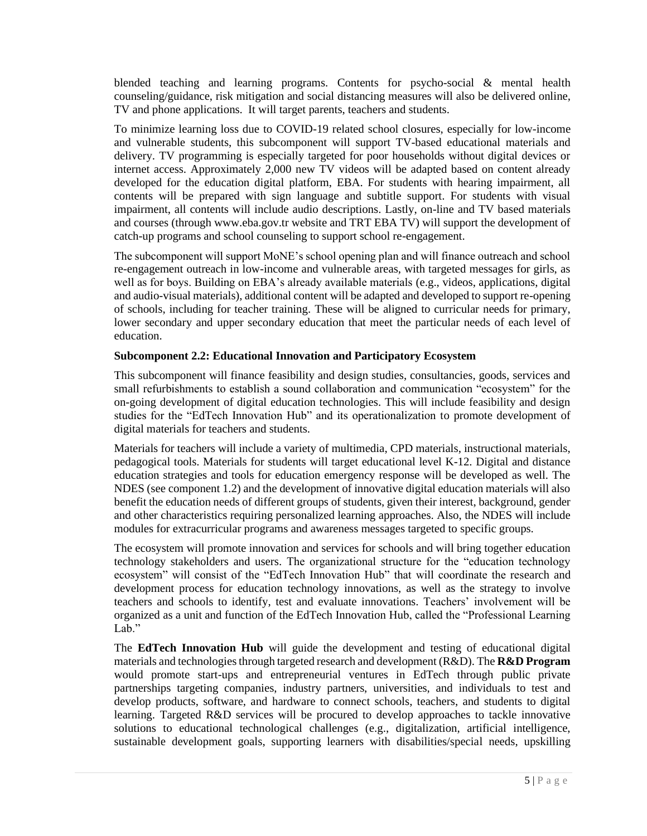blended teaching and learning programs. Contents for psycho-social & mental health counseling/guidance, risk mitigation and social distancing measures will also be delivered online, TV and phone applications. It will target parents, teachers and students.

To minimize learning loss due to COVID-19 related school closures, especially for low-income and vulnerable students, this subcomponent will support TV-based educational materials and delivery. TV programming is especially targeted for poor households without digital devices or internet access. Approximately 2,000 new TV videos will be adapted based on content already developed for the education digital platform, EBA. For students with hearing impairment, all contents will be prepared with sign language and subtitle support. For students with visual impairment, all contents will include audio descriptions. Lastly, on-line and TV based materials and courses (through www.eba.gov.tr website and TRT EBA TV) will support the development of catch-up programs and school counseling to support school re-engagement.

The subcomponent will support MoNE's school opening plan and will finance outreach and school re-engagement outreach in low-income and vulnerable areas, with targeted messages for girls, as well as for boys. Building on EBA's already available materials (e.g., videos, applications, digital and audio-visual materials), additional content will be adapted and developed to support re-opening of schools, including for teacher training. These will be aligned to curricular needs for primary, lower secondary and upper secondary education that meet the particular needs of each level of education.

# **Subcomponent 2.2: Educational Innovation and Participatory Ecosystem**

This subcomponent will finance feasibility and design studies, consultancies, goods, services and small refurbishments to establish a sound collaboration and communication "ecosystem" for the on-going development of digital education technologies. This will include feasibility and design studies for the "EdTech Innovation Hub" and its operationalization to promote development of digital materials for teachers and students.

Materials for teachers will include a variety of multimedia, CPD materials, instructional materials, pedagogical tools. Materials for students will target educational level K-12. Digital and distance education strategies and tools for education emergency response will be developed as well. The NDES (see component 1.2) and the development of innovative digital education materials will also benefit the education needs of different groups of students, given their interest, background, gender and other characteristics requiring personalized learning approaches. Also, the NDES will include modules for extracurricular programs and awareness messages targeted to specific groups.

The ecosystem will promote innovation and services for schools and will bring together education technology stakeholders and users. The organizational structure for the "education technology ecosystem" will consist of the "EdTech Innovation Hub" that will coordinate the research and development process for education technology innovations, as well as the strategy to involve teachers and schools to identify, test and evaluate innovations. Teachers' involvement will be organized as a unit and function of the EdTech Innovation Hub, called the "Professional Learning Lab."

The **EdTech Innovation Hub** will guide the development and testing of educational digital materials and technologies through targeted research and development (R&D). The **R&D Program** would promote start-ups and entrepreneurial ventures in EdTech through public private partnerships targeting companies, industry partners, universities, and individuals to test and develop products, software, and hardware to connect schools, teachers, and students to digital learning. Targeted R&D services will be procured to develop approaches to tackle innovative solutions to educational technological challenges (e.g., digitalization, artificial intelligence, sustainable development goals, supporting learners with disabilities/special needs, upskilling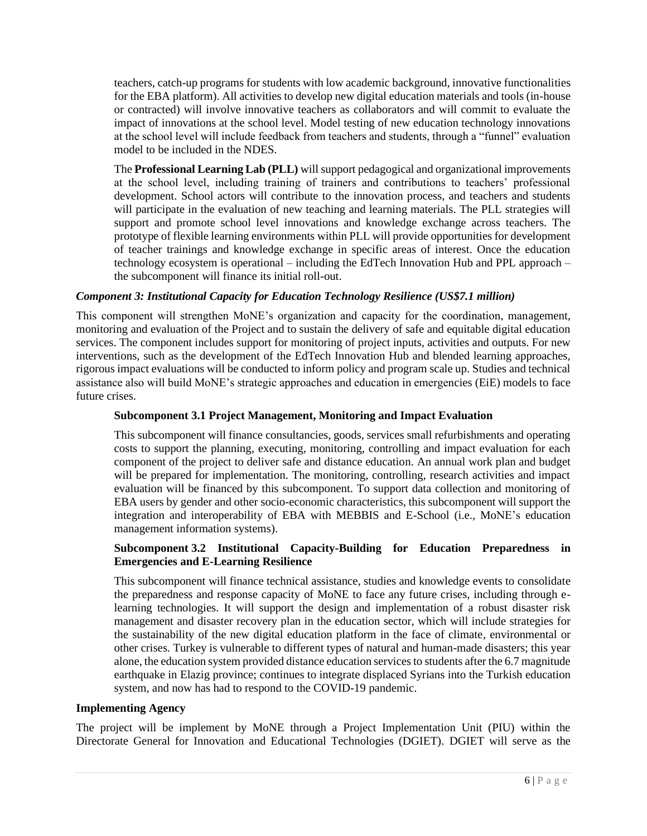teachers, catch-up programs for students with low academic background, innovative functionalities for the EBA platform). All activities to develop new digital education materials and tools (in-house or contracted) will involve innovative teachers as collaborators and will commit to evaluate the impact of innovations at the school level. Model testing of new education technology innovations at the school level will include feedback from teachers and students, through a "funnel" evaluation model to be included in the NDES.

The **Professional Learning Lab (PLL)** will support pedagogical and organizational improvements at the school level, including training of trainers and contributions to teachers' professional development. School actors will contribute to the innovation process, and teachers and students will participate in the evaluation of new teaching and learning materials. The PLL strategies will support and promote school level innovations and knowledge exchange across teachers. The prototype of flexible learning environments within PLL will provide opportunities for development of teacher trainings and knowledge exchange in specific areas of interest. Once the education technology ecosystem is operational – including the EdTech Innovation Hub and PPL approach – the subcomponent will finance its initial roll-out.

# *Component 3: Institutional Capacity for Education Technology Resilience (US\$7.1 million)*

This component will strengthen MoNE's organization and capacity for the coordination, management, monitoring and evaluation of the Project and to sustain the delivery of safe and equitable digital education services. The component includes support for monitoring of project inputs, activities and outputs. For new interventions, such as the development of the EdTech Innovation Hub and blended learning approaches, rigorous impact evaluations will be conducted to inform policy and program scale up. Studies and technical assistance also will build MoNE's strategic approaches and education in emergencies (EiE) models to face future crises.

#### **Subcomponent 3.1 Project Management, Monitoring and Impact Evaluation**

This subcomponent will finance consultancies, goods, services small refurbishments and operating costs to support the planning, executing, monitoring, controlling and impact evaluation for each component of the project to deliver safe and distance education. An annual work plan and budget will be prepared for implementation. The monitoring, controlling, research activities and impact evaluation will be financed by this subcomponent. To support data collection and monitoring of EBA users by gender and other socio-economic characteristics, this subcomponent will support the integration and interoperability of EBA with MEBBIS and E-School (i.e., MoNE's education management information systems).

# **Subcomponent 3.2 Institutional Capacity-Building for Education Preparedness in Emergencies and E-Learning Resilience**

This subcomponent will finance technical assistance, studies and knowledge events to consolidate the preparedness and response capacity of MoNE to face any future crises, including through elearning technologies. It will support the design and implementation of a robust disaster risk management and disaster recovery plan in the education sector, which will include strategies for the sustainability of the new digital education platform in the face of climate, environmental or other crises. Turkey is vulnerable to different types of natural and human-made disasters; this year alone, the education system provided distance education services to students after the 6.7 magnitude earthquake in Elazig province; continues to integrate displaced Syrians into the Turkish education system, and now has had to respond to the COVID-19 pandemic.

#### **Implementing Agency**

The project will be implement by MoNE through a Project Implementation Unit (PIU) within the Directorate General for Innovation and Educational Technologies (DGIET). DGIET will serve as the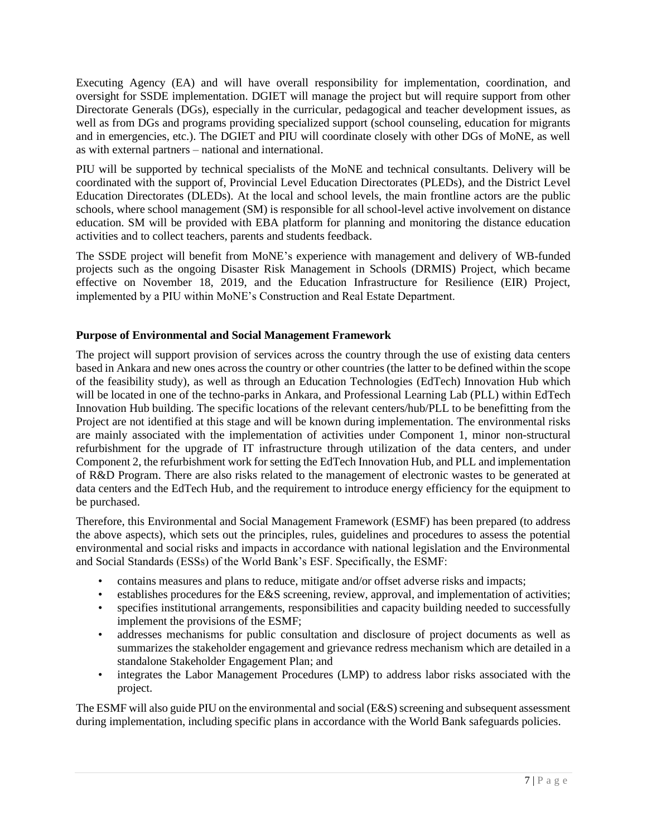Executing Agency (EA) and will have overall responsibility for implementation, coordination, and oversight for SSDE implementation. DGIET will manage the project but will require support from other Directorate Generals (DGs), especially in the curricular, pedagogical and teacher development issues, as well as from DGs and programs providing specialized support (school counseling, education for migrants and in emergencies, etc.). The DGIET and PIU will coordinate closely with other DGs of MoNE, as well as with external partners – national and international.

PIU will be supported by technical specialists of the MoNE and technical consultants. Delivery will be coordinated with the support of, Provincial Level Education Directorates (PLEDs), and the District Level Education Directorates (DLEDs). At the local and school levels, the main frontline actors are the public schools, where school management (SM) is responsible for all school-level active involvement on distance education. SM will be provided with EBA platform for planning and monitoring the distance education activities and to collect teachers, parents and students feedback.

The SSDE project will benefit from MoNE's experience with management and delivery of WB-funded projects such as the ongoing Disaster Risk Management in Schools (DRMIS) Project, which became effective on November 18, 2019, and the Education Infrastructure for Resilience (EIR) Project, implemented by a PIU within MoNE's Construction and Real Estate Department.

# **Purpose of Environmental and Social Management Framework**

The project will support provision of services across the country through the use of existing data centers based in Ankara and new ones across the country or other countries (the latter to be defined within the scope of the feasibility study), as well as through an Education Technologies (EdTech) Innovation Hub which will be located in one of the techno-parks in Ankara, and Professional Learning Lab (PLL) within EdTech Innovation Hub building. The specific locations of the relevant centers/hub/PLL to be benefitting from the Project are not identified at this stage and will be known during implementation. The environmental risks are mainly associated with the implementation of activities under Component 1, minor non-structural refurbishment for the upgrade of IT infrastructure through utilization of the data centers, and under Component 2, the refurbishment work for setting the EdTech Innovation Hub, and PLL and implementation of R&D Program. There are also risks related to the management of electronic wastes to be generated at data centers and the EdTech Hub, and the requirement to introduce energy efficiency for the equipment to be purchased.

Therefore, this Environmental and Social Management Framework (ESMF) has been prepared (to address the above aspects), which sets out the principles, rules, guidelines and procedures to assess the potential environmental and social risks and impacts in accordance with national legislation and the Environmental and Social Standards (ESSs) of the World Bank's ESF. Specifically, the ESMF:

- contains measures and plans to reduce, mitigate and/or offset adverse risks and impacts;
- establishes procedures for the E&S screening, review, approval, and implementation of activities;
- specifies institutional arrangements, responsibilities and capacity building needed to successfully implement the provisions of the ESMF;
- addresses mechanisms for public consultation and disclosure of project documents as well as summarizes the stakeholder engagement and grievance redress mechanism which are detailed in a standalone Stakeholder Engagement Plan; and
- integrates the Labor Management Procedures (LMP) to address labor risks associated with the project.

The ESMF will also guide PIU on the environmental and social (E&S) screening and subsequent assessment during implementation, including specific plans in accordance with the World Bank safeguards policies.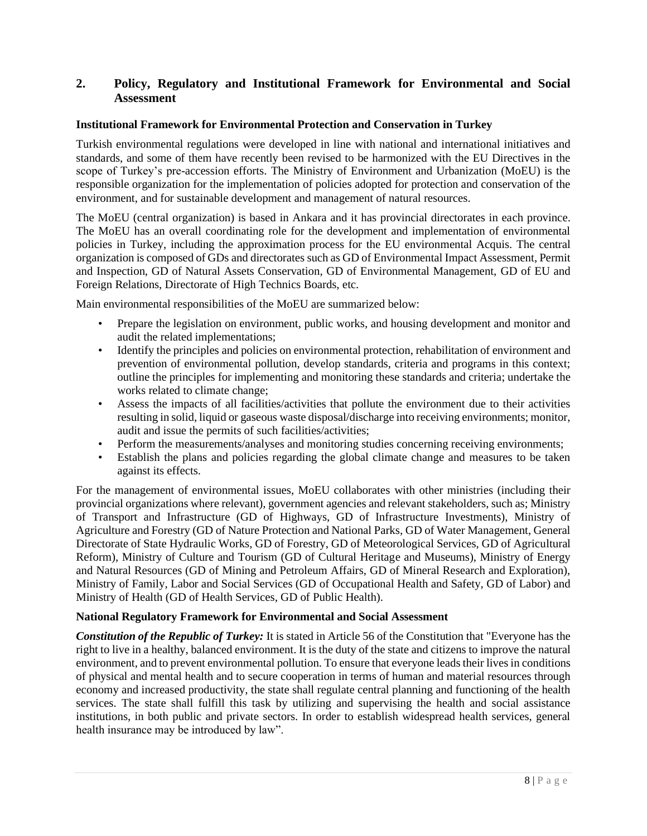# <span id="page-9-0"></span>**2. Policy, Regulatory and Institutional Framework for Environmental and Social Assessment**

# **Institutional Framework for Environmental Protection and Conservation in Turkey**

Turkish environmental regulations were developed in line with national and international initiatives and standards, and some of them have recently been revised to be harmonized with the EU Directives in the scope of Turkey's pre-accession efforts. The Ministry of Environment and Urbanization (MoEU) is the responsible organization for the implementation of policies adopted for protection and conservation of the environment, and for sustainable development and management of natural resources.

The MoEU (central organization) is based in Ankara and it has provincial directorates in each province. The MoEU has an overall coordinating role for the development and implementation of environmental policies in Turkey, including the approximation process for the EU environmental Acquis. The central organization is composed of GDs and directorates such as GD of Environmental Impact Assessment, Permit and Inspection, GD of Natural Assets Conservation, GD of Environmental Management, GD of EU and Foreign Relations, Directorate of High Technics Boards, etc.

Main environmental responsibilities of the MoEU are summarized below:

- Prepare the legislation on environment, public works, and housing development and monitor and audit the related implementations;
- Identify the principles and policies on environmental protection, rehabilitation of environment and prevention of environmental pollution, develop standards, criteria and programs in this context; outline the principles for implementing and monitoring these standards and criteria; undertake the works related to climate change;
- Assess the impacts of all facilities/activities that pollute the environment due to their activities resulting in solid, liquid or gaseous waste disposal/discharge into receiving environments; monitor, audit and issue the permits of such facilities/activities;
- Perform the measurements/analyses and monitoring studies concerning receiving environments;
- Establish the plans and policies regarding the global climate change and measures to be taken against its effects.

For the management of environmental issues, MoEU collaborates with other ministries (including their provincial organizations where relevant), government agencies and relevant stakeholders, such as; Ministry of Transport and Infrastructure (GD of Highways, GD of Infrastructure Investments), Ministry of Agriculture and Forestry (GD of Nature Protection and National Parks, GD of Water Management, General Directorate of State Hydraulic Works, GD of Forestry, GD of Meteorological Services, GD of Agricultural Reform), Ministry of Culture and Tourism (GD of Cultural Heritage and Museums), Ministry of Energy and Natural Resources (GD of Mining and Petroleum Affairs, GD of Mineral Research and Exploration), Ministry of Family, Labor and Social Services (GD of Occupational Health and Safety, GD of Labor) and Ministry of Health (GD of Health Services, GD of Public Health).

#### **National Regulatory Framework for Environmental and Social Assessment**

*Constitution of the Republic of Turkey:* It is stated in Article 56 of the Constitution that "Everyone has the right to live in a healthy, balanced environment. It is the duty of the state and citizens to improve the natural environment, and to prevent environmental pollution. To ensure that everyone leads their lives in conditions of physical and mental health and to secure cooperation in terms of human and material resources through economy and increased productivity, the state shall regulate central planning and functioning of the health services. The state shall fulfill this task by utilizing and supervising the health and social assistance institutions, in both public and private sectors. In order to establish widespread health services, general health insurance may be introduced by law".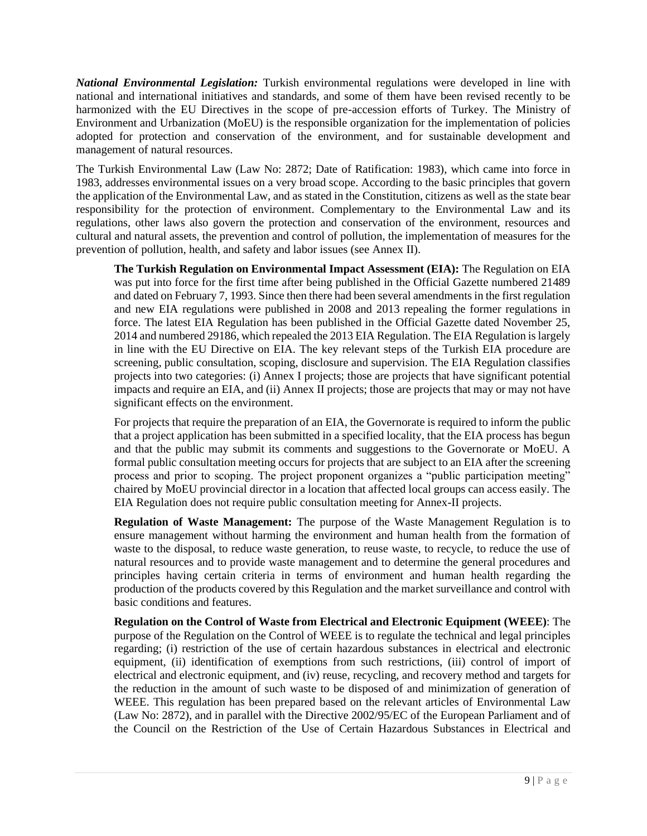*National Environmental Legislation:* Turkish environmental regulations were developed in line with national and international initiatives and standards, and some of them have been revised recently to be harmonized with the EU Directives in the scope of pre-accession efforts of Turkey. The Ministry of Environment and Urbanization (MoEU) is the responsible organization for the implementation of policies adopted for protection and conservation of the environment, and for sustainable development and management of natural resources.

The Turkish Environmental Law (Law No: 2872; Date of Ratification: 1983), which came into force in 1983, addresses environmental issues on a very broad scope. According to the basic principles that govern the application of the Environmental Law, and as stated in the Constitution, citizens as well as the state bear responsibility for the protection of environment. Complementary to the Environmental Law and its regulations, other laws also govern the protection and conservation of the environment, resources and cultural and natural assets, the prevention and control of pollution, the implementation of measures for the prevention of pollution, health, and safety and labor issues (see Annex II).

**The Turkish Regulation on Environmental Impact Assessment (EIA):** The Regulation on EIA was put into force for the first time after being published in the Official Gazette numbered 21489 and dated on February 7, 1993. Since then there had been several amendments in the first regulation and new EIA regulations were published in 2008 and 2013 repealing the former regulations in force. The latest EIA Regulation has been published in the Official Gazette dated November 25, 2014 and numbered 29186, which repealed the 2013 EIA Regulation. The EIA Regulation is largely in line with the EU Directive on EIA. The key relevant steps of the Turkish EIA procedure are screening, public consultation, scoping, disclosure and supervision. The EIA Regulation classifies projects into two categories: (i) Annex I projects; those are projects that have significant potential impacts and require an EIA, and (ii) Annex II projects; those are projects that may or may not have significant effects on the environment.

For projects that require the preparation of an EIA, the Governorate is required to inform the public that a project application has been submitted in a specified locality, that the EIA process has begun and that the public may submit its comments and suggestions to the Governorate or MoEU. A formal public consultation meeting occurs for projects that are subject to an EIA after the screening process and prior to scoping. The project proponent organizes a "public participation meeting" chaired by MoEU provincial director in a location that affected local groups can access easily. The EIA Regulation does not require public consultation meeting for Annex-II projects.

**Regulation of Waste Management:** The purpose of the Waste Management Regulation is to ensure management without harming the environment and human health from the formation of waste to the disposal, to reduce waste generation, to reuse waste, to recycle, to reduce the use of natural resources and to provide waste management and to determine the general procedures and principles having certain criteria in terms of environment and human health regarding the production of the products covered by this Regulation and the market surveillance and control with basic conditions and features.

**Regulation on the Control of Waste from Electrical and Electronic Equipment (WEEE)**: The purpose of the Regulation on the Control of WEEE is to regulate the technical and legal principles regarding; (i) restriction of the use of certain hazardous substances in electrical and electronic equipment, (ii) identification of exemptions from such restrictions, (iii) control of import of electrical and electronic equipment, and (iv) reuse, recycling, and recovery method and targets for the reduction in the amount of such waste to be disposed of and minimization of generation of WEEE. This regulation has been prepared based on the relevant articles of Environmental Law (Law No: 2872), and in parallel with the Directive 2002/95/EC of the European Parliament and of the Council on the Restriction of the Use of Certain Hazardous Substances in Electrical and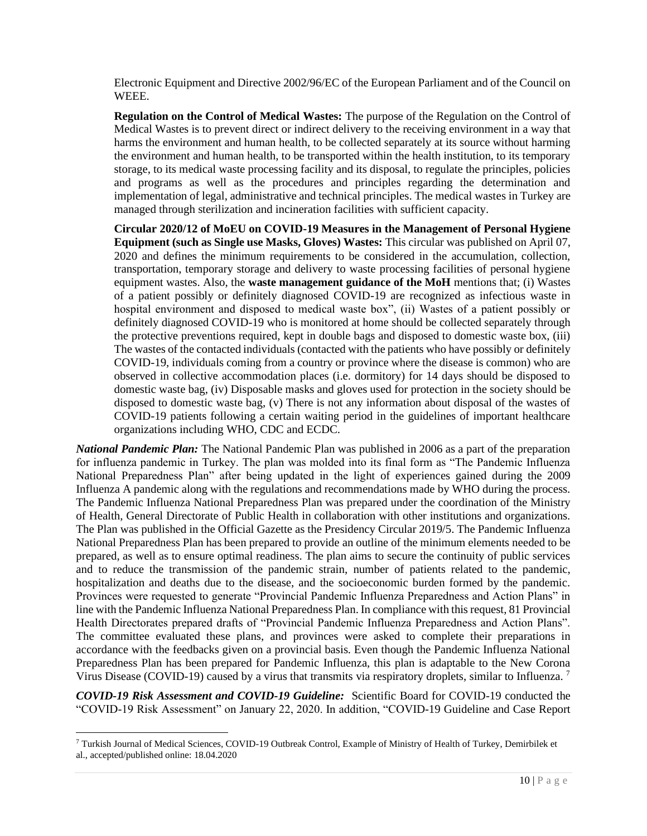Electronic Equipment and Directive 2002/96/EC of the European Parliament and of the Council on WEEE.

**Regulation on the Control of Medical Wastes:** The purpose of the Regulation on the Control of Medical Wastes is to prevent direct or indirect delivery to the receiving environment in a way that harms the environment and human health, to be collected separately at its source without harming the environment and human health, to be transported within the health institution, to its temporary storage, to its medical waste processing facility and its disposal, to regulate the principles, policies and programs as well as the procedures and principles regarding the determination and implementation of legal, administrative and technical principles. The medical wastes in Turkey are managed through sterilization and incineration facilities with sufficient capacity.

**Circular 2020/12 of MoEU on COVID-19 Measures in the Management of Personal Hygiene Equipment (such as Single use Masks, Gloves) Wastes:** This circular was published on April 07, 2020 and defines the minimum requirements to be considered in the accumulation, collection, transportation, temporary storage and delivery to waste processing facilities of personal hygiene equipment wastes. Also, the **waste management guidance of the MoH** mentions that; (i) Wastes of a patient possibly or definitely diagnosed COVID-19 are recognized as infectious waste in hospital environment and disposed to medical waste box", (ii) Wastes of a patient possibly or definitely diagnosed COVID-19 who is monitored at home should be collected separately through the protective preventions required, kept in double bags and disposed to domestic waste box, (iii) The wastes of the contacted individuals (contacted with the patients who have possibly or definitely COVID-19, individuals coming from a country or province where the disease is common) who are observed in collective accommodation places (i.e. dormitory) for 14 days should be disposed to domestic waste bag, (iv) Disposable masks and gloves used for protection in the society should be disposed to domestic waste bag, (v) There is not any information about disposal of the wastes of COVID-19 patients following a certain waiting period in the guidelines of important healthcare organizations including WHO, CDC and ECDC.

*National Pandemic Plan:* The National Pandemic Plan was published in 2006 as a part of the preparation for influenza pandemic in Turkey. The plan was molded into its final form as "The Pandemic Influenza National Preparedness Plan" after being updated in the light of experiences gained during the 2009 Influenza A pandemic along with the regulations and recommendations made by WHO during the process. The Pandemic Influenza National Preparedness Plan was prepared under the coordination of the Ministry of Health, General Directorate of Public Health in collaboration with other institutions and organizations. The Plan was published in the Official Gazette as the Presidency Circular 2019/5. The Pandemic Influenza National Preparedness Plan has been prepared to provide an outline of the minimum elements needed to be prepared, as well as to ensure optimal readiness. The plan aims to secure the continuity of public services and to reduce the transmission of the pandemic strain, number of patients related to the pandemic, hospitalization and deaths due to the disease, and the socioeconomic burden formed by the pandemic. Provinces were requested to generate "Provincial Pandemic Influenza Preparedness and Action Plans" in line with the Pandemic Influenza National Preparedness Plan. In compliance with this request, 81 Provincial Health Directorates prepared drafts of "Provincial Pandemic Influenza Preparedness and Action Plans". The committee evaluated these plans, and provinces were asked to complete their preparations in accordance with the feedbacks given on a provincial basis. Even though the Pandemic Influenza National Preparedness Plan has been prepared for Pandemic Influenza, this plan is adaptable to the New Corona Virus Disease (COVID-19) caused by a virus that transmits via respiratory droplets, similar to Influenza. <sup>7</sup>

*COVID-19 Risk Assessment and COVID-19 Guideline:* Scientific Board for COVID-19 conducted the "COVID-19 Risk Assessment" on January 22, 2020. In addition, "COVID-19 Guideline and Case Report

<sup>7</sup> Turkish Journal of Medical Sciences, COVID-19 Outbreak Control, Example of Ministry of Health of Turkey, Demirbilek et al., accepted/published online: 18.04.2020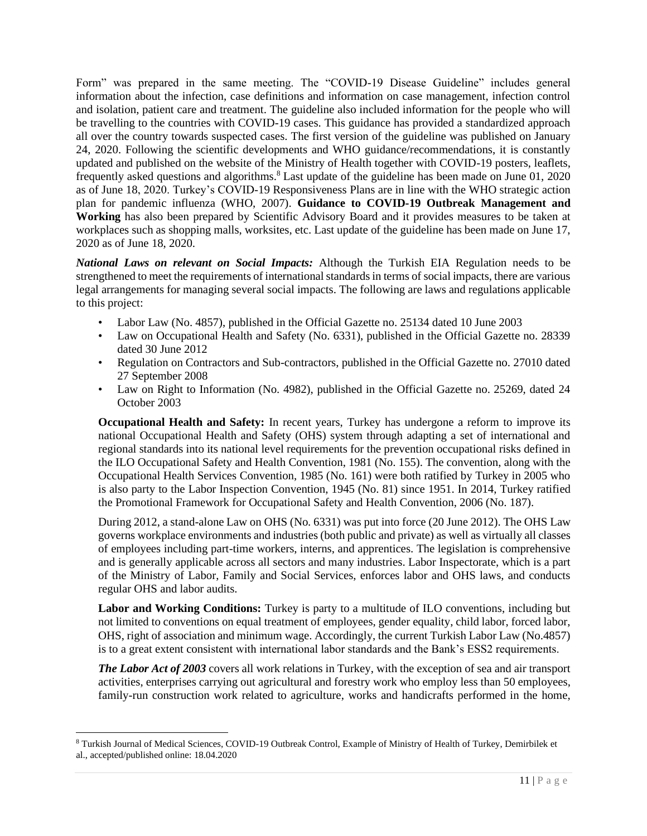Form" was prepared in the same meeting. The "COVID-19 Disease Guideline" includes general information about the infection, case definitions and information on case management, infection control and isolation, patient care and treatment. The guideline also included information for the people who will be travelling to the countries with COVID-19 cases. This guidance has provided a standardized approach all over the country towards suspected cases. The first version of the guideline was published on January 24, 2020. Following the scientific developments and WHO guidance/recommendations, it is constantly updated and published on the website of the Ministry of Health together with COVID-19 posters, leaflets, frequently asked questions and algorithms.<sup>8</sup> Last update of the guideline has been made on June 01, 2020 as of June 18, 2020. Turkey's COVID-19 Responsiveness Plans are in line with the WHO strategic action plan for pandemic influenza (WHO, 2007). **Guidance to COVID-19 Outbreak Management and Working** has also been prepared by Scientific Advisory Board and it provides measures to be taken at workplaces such as shopping malls, worksites, etc. Last update of the guideline has been made on June 17, 2020 as of June 18, 2020.

*National Laws on relevant on Social Impacts:* Although the Turkish EIA Regulation needs to be strengthened to meet the requirements of international standards in terms of social impacts, there are various legal arrangements for managing several social impacts. The following are laws and regulations applicable to this project:

- Labor Law (No. 4857), published in the Official Gazette no. 25134 dated 10 June 2003
- Law on Occupational Health and Safety (No. 6331), published in the Official Gazette no. 28339 dated 30 June 2012
- Regulation on Contractors and Sub-contractors, published in the Official Gazette no. 27010 dated 27 September 2008
- Law on Right to Information (No. 4982), published in the Official Gazette no. 25269, dated 24 October 2003

**Occupational Health and Safety:** In recent years, Turkey has undergone a reform to improve its national Occupational Health and Safety (OHS) system through adapting a set of international and regional standards into its national level requirements for the prevention occupational risks defined in the ILO Occupational Safety and Health Convention, 1981 (No. 155). The convention, along with the Occupational Health Services Convention, 1985 (No. 161) were both ratified by Turkey in 2005 who is also party to the Labor Inspection Convention, 1945 (No. 81) since 1951. In 2014, Turkey ratified the Promotional Framework for Occupational Safety and Health Convention, 2006 (No. 187).

During 2012, a stand-alone Law on OHS (No. 6331) was put into force (20 June 2012). The OHS Law governs workplace environments and industries (both public and private) as well as virtually all classes of employees including part-time workers, interns, and apprentices. The legislation is comprehensive and is generally applicable across all sectors and many industries. Labor Inspectorate, which is a part of the Ministry of Labor, Family and Social Services, enforces labor and OHS laws, and conducts regular OHS and labor audits.

**Labor and Working Conditions:** Turkey is party to a multitude of ILO conventions, including but not limited to conventions on equal treatment of employees, gender equality, child labor, forced labor, OHS, right of association and minimum wage. Accordingly, the current Turkish Labor Law (No.4857) is to a great extent consistent with international labor standards and the Bank's ESS2 requirements.

*The Labor Act of 2003* covers all work relations in Turkey, with the exception of sea and air transport activities, enterprises carrying out agricultural and forestry work who employ less than 50 employees, family-run construction work related to agriculture, works and handicrafts performed in the home,

<sup>8</sup> Turkish Journal of Medical Sciences, COVID-19 Outbreak Control, Example of Ministry of Health of Turkey, Demirbilek et al., accepted/published online: 18.04.2020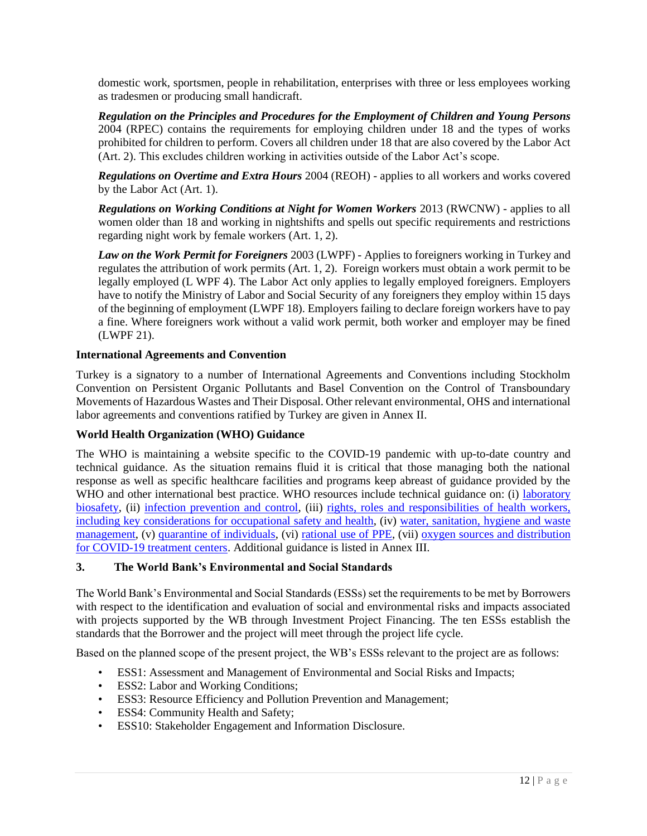domestic work, sportsmen, people in rehabilitation, enterprises with three or less employees working as tradesmen or producing small handicraft.

*Regulation on the Principles and Procedures for the Employment of Children and Young Persons* 2004 (RPEC) contains the requirements for employing children under 18 and the types of works prohibited for children to perform. Covers all children under 18 that are also covered by the Labor Act (Art. 2). This excludes children working in activities outside of the Labor Act's scope.

*Regulations on Overtime and Extra Hours* 2004 (REOH) - applies to all workers and works covered by the Labor Act (Art. 1).

*Regulations on Working Conditions at Night for Women Workers* 2013 (RWCNW) - applies to all women older than 18 and working in nightshifts and spells out specific requirements and restrictions regarding night work by female workers (Art. 1, 2).

*Law on the Work Permit for Foreigners* 2003 (LWPF) - Applies to foreigners working in Turkey and regulates the attribution of work permits (Art. 1, 2). Foreign workers must obtain a work permit to be legally employed (L WPF 4). The Labor Act only applies to legally employed foreigners. Employers have to notify the Ministry of Labor and Social Security of any foreigners they employ within 15 days of the beginning of employment (LWPF 18). Employers failing to declare foreign workers have to pay a fine. Where foreigners work without a valid work permit, both worker and employer may be fined (LWPF 21).

# **International Agreements and Convention**

Turkey is a signatory to a number of International Agreements and Conventions including Stockholm Convention on Persistent Organic Pollutants and Basel Convention on the Control of Transboundary Movements of Hazardous Wastes and Their Disposal. Other relevant environmental, OHS and international labor agreements and conventions ratified by Turkey are given in Annex II.

# **World Health Organization (WHO) Guidance**

The WHO is maintaining a website specific to the COVID-19 pandemic with up-to-date country and technical guidance. As the situation remains fluid it is critical that those managing both the national response as well as specific healthcare facilities and programs keep abreast of guidance provided by the WHO and other international best practice. WHO resources include technical guidance on: (i) laboratory [biosafety,](https://www.who.int/publications-detail/laboratory-biosafety-guidance-related-to-coronavirus-disease-2019-(covid-19)) (ii) [infection prevention and control,](https://www.who.int/publications-detail/infection-prevention-and-control-during-health-care-when-novel-coronavirus-(ncov)-infection-is-suspected-20200125) (iii) [rights, roles and responsibilities of health workers,](https://www.who.int/publications-detail/coronavirus-disease-(covid-19)-outbreak-rights-roles-and-responsibilities-of-health-workers-including-key-considerations-for-occupational-safety-and-health)  [including key considerations for occupational safety and health,](https://www.who.int/publications-detail/coronavirus-disease-(covid-19)-outbreak-rights-roles-and-responsibilities-of-health-workers-including-key-considerations-for-occupational-safety-and-health) (iv) [water, sanitation, hygiene](https://www.who.int/publications-detail/water-sanitation-hygiene-and-waste-management-for-covid-19) and waste [management,](https://www.who.int/publications-detail/water-sanitation-hygiene-and-waste-management-for-covid-19) (v) [quarantine of individuals,](https://www.who.int/publications-detail/considerations-for-quarantine-of-individuals-in-the-context-of-containment-for-coronavirus-disease-(covid-19)) (vi) [rational use of PPE,](https://apps.who.int/iris/bitstream/handle/10665/331215/WHO-2019-nCov-IPCPPE_use-2020.1-eng.pdf) (vii) oxygen sources and distribution [for COVID-19 treatment centers.](https://www.who.int/publications-detail/oxygen-sources-and-distribution-for-covid-19-treatment-centres) Additional guidance is listed in Annex III.

#### <span id="page-13-0"></span>**3. The World Bank's Environmental and Social Standards**

The World Bank's Environmental and Social Standards (ESSs) set the requirements to be met by Borrowers with respect to the identification and evaluation of social and environmental risks and impacts associated with projects supported by the WB through Investment Project Financing. The ten ESSs establish the standards that the Borrower and the project will meet through the project life cycle.

Based on the planned scope of the present project, the WB's ESSs relevant to the project are as follows:

- ESS1: Assessment and Management of Environmental and Social Risks and Impacts;
- ESS2: Labor and Working Conditions;
- ESS3: Resource Efficiency and Pollution Prevention and Management;
- ESS4: Community Health and Safety;
- ESS10: Stakeholder Engagement and Information Disclosure.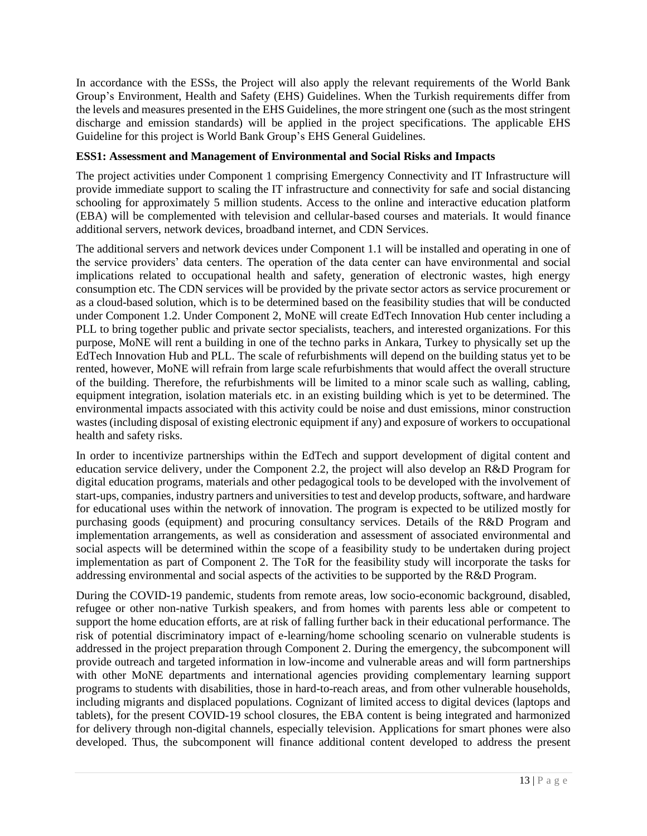In accordance with the ESSs, the Project will also apply the relevant requirements of the World Bank Group's Environment, Health and Safety (EHS) Guidelines. When the Turkish requirements differ from the levels and measures presented in the EHS Guidelines, the more stringent one (such as the most stringent discharge and emission standards) will be applied in the project specifications. The applicable EHS Guideline for this project is World Bank Group's EHS General Guidelines.

# **ESS1: Assessment and Management of Environmental and Social Risks and Impacts**

The project activities under Component 1 comprising Emergency Connectivity and IT Infrastructure will provide immediate support to scaling the IT infrastructure and connectivity for safe and social distancing schooling for approximately 5 million students. Access to the online and interactive education platform (EBA) will be complemented with television and cellular-based courses and materials. It would finance additional servers, network devices, broadband internet, and CDN Services.

The additional servers and network devices under Component 1.1 will be installed and operating in one of the service providers' data centers. The operation of the data center can have environmental and social implications related to occupational health and safety, generation of electronic wastes, high energy consumption etc. The CDN services will be provided by the private sector actors as service procurement or as a cloud-based solution, which is to be determined based on the feasibility studies that will be conducted under Component 1.2. Under Component 2, MoNE will create EdTech Innovation Hub center including a PLL to bring together public and private sector specialists, teachers, and interested organizations. For this purpose, MoNE will rent a building in one of the techno parks in Ankara, Turkey to physically set up the EdTech Innovation Hub and PLL. The scale of refurbishments will depend on the building status yet to be rented, however, MoNE will refrain from large scale refurbishments that would affect the overall structure of the building. Therefore, the refurbishments will be limited to a minor scale such as walling, cabling, equipment integration, isolation materials etc. in an existing building which is yet to be determined. The environmental impacts associated with this activity could be noise and dust emissions, minor construction wastes (including disposal of existing electronic equipment if any) and exposure of workers to occupational health and safety risks.

In order to incentivize partnerships within the EdTech and support development of digital content and education service delivery, under the Component 2.2, the project will also develop an R&D Program for digital education programs, materials and other pedagogical tools to be developed with the involvement of start-ups, companies, industry partners and universities to test and develop products, software, and hardware for educational uses within the network of innovation. The program is expected to be utilized mostly for purchasing goods (equipment) and procuring consultancy services. Details of the R&D Program and implementation arrangements, as well as consideration and assessment of associated environmental and social aspects will be determined within the scope of a feasibility study to be undertaken during project implementation as part of Component 2. The ToR for the feasibility study will incorporate the tasks for addressing environmental and social aspects of the activities to be supported by the R&D Program.

During the COVID-19 pandemic, students from remote areas, low socio-economic background, disabled, refugee or other non-native Turkish speakers, and from homes with parents less able or competent to support the home education efforts, are at risk of falling further back in their educational performance. The risk of potential discriminatory impact of e-learning/home schooling scenario on vulnerable students is addressed in the project preparation through Component 2. During the emergency, the subcomponent will provide outreach and targeted information in low-income and vulnerable areas and will form partnerships with other MoNE departments and international agencies providing complementary learning support programs to students with disabilities, those in hard-to-reach areas, and from other vulnerable households, including migrants and displaced populations. Cognizant of limited access to digital devices (laptops and tablets), for the present COVID-19 school closures, the EBA content is being integrated and harmonized for delivery through non-digital channels, especially television. Applications for smart phones were also developed. Thus, the subcomponent will finance additional content developed to address the present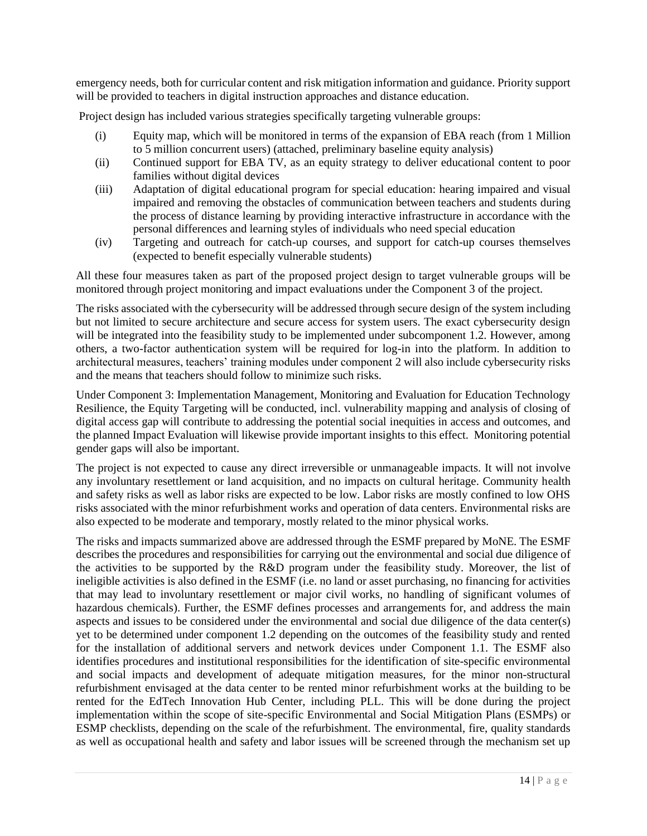emergency needs, both for curricular content and risk mitigation information and guidance. Priority support will be provided to teachers in digital instruction approaches and distance education.

Project design has included various strategies specifically targeting vulnerable groups:

- (i) Equity map, which will be monitored in terms of the expansion of EBA reach (from 1 Million to 5 million concurrent users) (attached, preliminary baseline equity analysis)
- (ii) Continued support for EBA TV, as an equity strategy to deliver educational content to poor families without digital devices
- (iii) Adaptation of digital educational program for special education: hearing impaired and visual impaired and removing the obstacles of communication between teachers and students during the process of distance learning by providing interactive infrastructure in accordance with the personal differences and learning styles of individuals who need special education
- (iv) Targeting and outreach for catch-up courses, and support for catch-up courses themselves (expected to benefit especially vulnerable students)

All these four measures taken as part of the proposed project design to target vulnerable groups will be monitored through project monitoring and impact evaluations under the Component 3 of the project.

The risks associated with the cybersecurity will be addressed through secure design of the system including but not limited to secure architecture and secure access for system users. The exact cybersecurity design will be integrated into the feasibility study to be implemented under subcomponent 1.2. However, among others, a two-factor authentication system will be required for log-in into the platform. In addition to architectural measures, teachers' training modules under component 2 will also include cybersecurity risks and the means that teachers should follow to minimize such risks.

Under Component 3: Implementation Management, Monitoring and Evaluation for Education Technology Resilience, the Equity Targeting will be conducted, incl. vulnerability mapping and analysis of closing of digital access gap will contribute to addressing the potential social inequities in access and outcomes, and the planned Impact Evaluation will likewise provide important insights to this effect. Monitoring potential gender gaps will also be important.

The project is not expected to cause any direct irreversible or unmanageable impacts. It will not involve any involuntary resettlement or land acquisition, and no impacts on cultural heritage. Community health and safety risks as well as labor risks are expected to be low. Labor risks are mostly confined to low OHS risks associated with the minor refurbishment works and operation of data centers. Environmental risks are also expected to be moderate and temporary, mostly related to the minor physical works.

The risks and impacts summarized above are addressed through the ESMF prepared by MoNE. The ESMF describes the procedures and responsibilities for carrying out the environmental and social due diligence of the activities to be supported by the R&D program under the feasibility study. Moreover, the list of ineligible activities is also defined in the ESMF (i.e. no land or asset purchasing, no financing for activities that may lead to involuntary resettlement or major civil works, no handling of significant volumes of hazardous chemicals). Further, the ESMF defines processes and arrangements for, and address the main aspects and issues to be considered under the environmental and social due diligence of the data center(s) yet to be determined under component 1.2 depending on the outcomes of the feasibility study and rented for the installation of additional servers and network devices under Component 1.1. The ESMF also identifies procedures and institutional responsibilities for the identification of site-specific environmental and social impacts and development of adequate mitigation measures, for the minor non-structural refurbishment envisaged at the data center to be rented minor refurbishment works at the building to be rented for the EdTech Innovation Hub Center, including PLL. This will be done during the project implementation within the scope of site-specific Environmental and Social Mitigation Plans (ESMPs) or ESMP checklists, depending on the scale of the refurbishment. The environmental, fire, quality standards as well as occupational health and safety and labor issues will be screened through the mechanism set up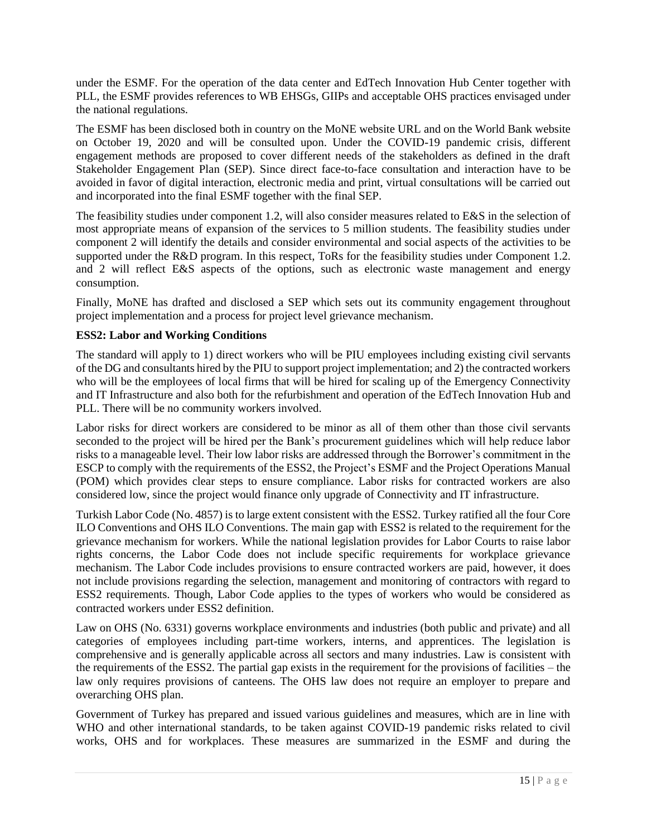under the ESMF. For the operation of the data center and EdTech Innovation Hub Center together with PLL, the ESMF provides references to WB EHSGs, GIIPs and acceptable OHS practices envisaged under the national regulations.

The ESMF has been disclosed both in country on the MoNE website URL and on the World Bank website on October 19, 2020 and will be consulted upon. Under the COVID-19 pandemic crisis, different engagement methods are proposed to cover different needs of the stakeholders as defined in the draft Stakeholder Engagement Plan (SEP). Since direct face-to-face consultation and interaction have to be avoided in favor of digital interaction, electronic media and print, virtual consultations will be carried out and incorporated into the final ESMF together with the final SEP.

The feasibility studies under component 1.2, will also consider measures related to E&S in the selection of most appropriate means of expansion of the services to 5 million students. The feasibility studies under component 2 will identify the details and consider environmental and social aspects of the activities to be supported under the R&D program. In this respect, ToRs for the feasibility studies under Component 1.2. and 2 will reflect E&S aspects of the options, such as electronic waste management and energy consumption.

Finally, MoNE has drafted and disclosed a SEP which sets out its community engagement throughout project implementation and a process for project level grievance mechanism.

# **ESS2: Labor and Working Conditions**

The standard will apply to 1) direct workers who will be PIU employees including existing civil servants of the DG and consultants hired by the PIU to support project implementation; and 2) the contracted workers who will be the employees of local firms that will be hired for scaling up of the Emergency Connectivity and IT Infrastructure and also both for the refurbishment and operation of the EdTech Innovation Hub and PLL. There will be no community workers involved.

Labor risks for direct workers are considered to be minor as all of them other than those civil servants seconded to the project will be hired per the Bank's procurement guidelines which will help reduce labor risks to a manageable level. Their low labor risks are addressed through the Borrower's commitment in the ESCP to comply with the requirements of the ESS2, the Project's ESMF and the Project Operations Manual (POM) which provides clear steps to ensure compliance. Labor risks for contracted workers are also considered low, since the project would finance only upgrade of Connectivity and IT infrastructure.

Turkish Labor Code (No. 4857) is to large extent consistent with the ESS2. Turkey ratified all the four Core ILO Conventions and OHS ILO Conventions. The main gap with ESS2 is related to the requirement for the grievance mechanism for workers. While the national legislation provides for Labor Courts to raise labor rights concerns, the Labor Code does not include specific requirements for workplace grievance mechanism. The Labor Code includes provisions to ensure contracted workers are paid, however, it does not include provisions regarding the selection, management and monitoring of contractors with regard to ESS2 requirements. Though, Labor Code applies to the types of workers who would be considered as contracted workers under ESS2 definition.

Law on OHS (No. 6331) governs workplace environments and industries (both public and private) and all categories of employees including part-time workers, interns, and apprentices. The legislation is comprehensive and is generally applicable across all sectors and many industries. Law is consistent with the requirements of the ESS2. The partial gap exists in the requirement for the provisions of facilities – the law only requires provisions of canteens. The OHS law does not require an employer to prepare and overarching OHS plan.

Government of Turkey has prepared and issued various guidelines and measures, which are in line with WHO and other international standards, to be taken against COVID-19 pandemic risks related to civil works, OHS and for workplaces. These measures are summarized in the ESMF and during the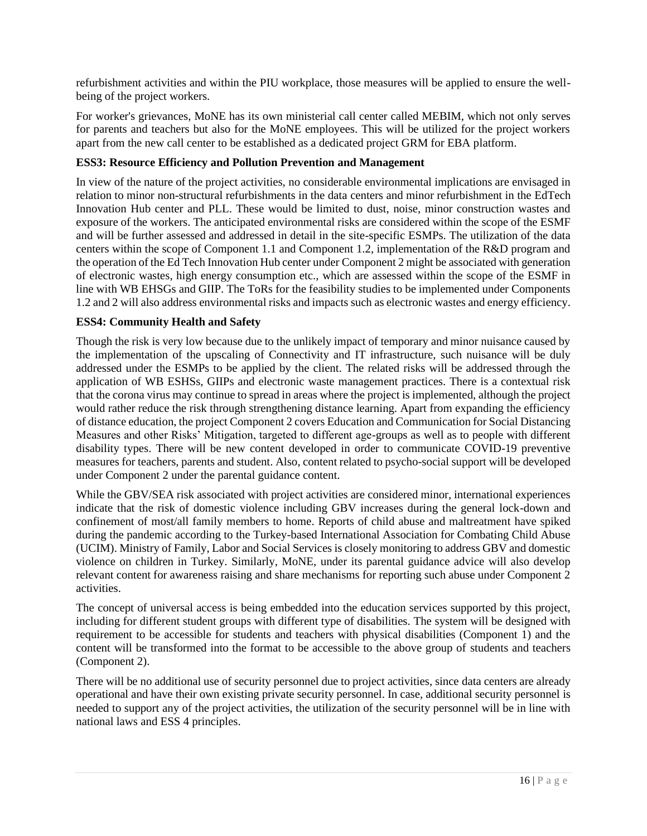refurbishment activities and within the PIU workplace, those measures will be applied to ensure the wellbeing of the project workers.

For worker's grievances, MoNE has its own ministerial call center called MEBIM, which not only serves for parents and teachers but also for the MoNE employees. This will be utilized for the project workers apart from the new call center to be established as a dedicated project GRM for EBA platform.

# **ESS3: Resource Efficiency and Pollution Prevention and Management**

In view of the nature of the project activities, no considerable environmental implications are envisaged in relation to minor non-structural refurbishments in the data centers and minor refurbishment in the EdTech Innovation Hub center and PLL. These would be limited to dust, noise, minor construction wastes and exposure of the workers. The anticipated environmental risks are considered within the scope of the ESMF and will be further assessed and addressed in detail in the site-specific ESMPs. The utilization of the data centers within the scope of Component 1.1 and Component 1.2, implementation of the R&D program and the operation of the Ed Tech Innovation Hub center under Component 2 might be associated with generation of electronic wastes, high energy consumption etc., which are assessed within the scope of the ESMF in line with WB EHSGs and GIIP. The ToRs for the feasibility studies to be implemented under Components 1.2 and 2 will also address environmental risks and impacts such as electronic wastes and energy efficiency.

# **ESS4: Community Health and Safety**

Though the risk is very low because due to the unlikely impact of temporary and minor nuisance caused by the implementation of the upscaling of Connectivity and IT infrastructure, such nuisance will be duly addressed under the ESMPs to be applied by the client. The related risks will be addressed through the application of WB ESHSs, GIIPs and electronic waste management practices. There is a contextual risk that the corona virus may continue to spread in areas where the project is implemented, although the project would rather reduce the risk through strengthening distance learning. Apart from expanding the efficiency of distance education, the project Component 2 covers Education and Communication for Social Distancing Measures and other Risks' Mitigation, targeted to different age-groups as well as to people with different disability types. There will be new content developed in order to communicate COVID-19 preventive measures for teachers, parents and student. Also, content related to psycho-social support will be developed under Component 2 under the parental guidance content.

While the GBV/SEA risk associated with project activities are considered minor, international experiences indicate that the risk of domestic violence including GBV increases during the general lock-down and confinement of most/all family members to home. Reports of child abuse and maltreatment have spiked during the pandemic according to the Turkey-based International Association for Combating Child Abuse (UCIM). Ministry of Family, Labor and Social Services is closely monitoring to address GBV and domestic violence on children in Turkey. Similarly, MoNE, under its parental guidance advice will also develop relevant content for awareness raising and share mechanisms for reporting such abuse under Component 2 activities.

The concept of universal access is being embedded into the education services supported by this project, including for different student groups with different type of disabilities. The system will be designed with requirement to be accessible for students and teachers with physical disabilities (Component 1) and the content will be transformed into the format to be accessible to the above group of students and teachers (Component 2).

There will be no additional use of security personnel due to project activities, since data centers are already operational and have their own existing private security personnel. In case, additional security personnel is needed to support any of the project activities, the utilization of the security personnel will be in line with national laws and ESS 4 principles.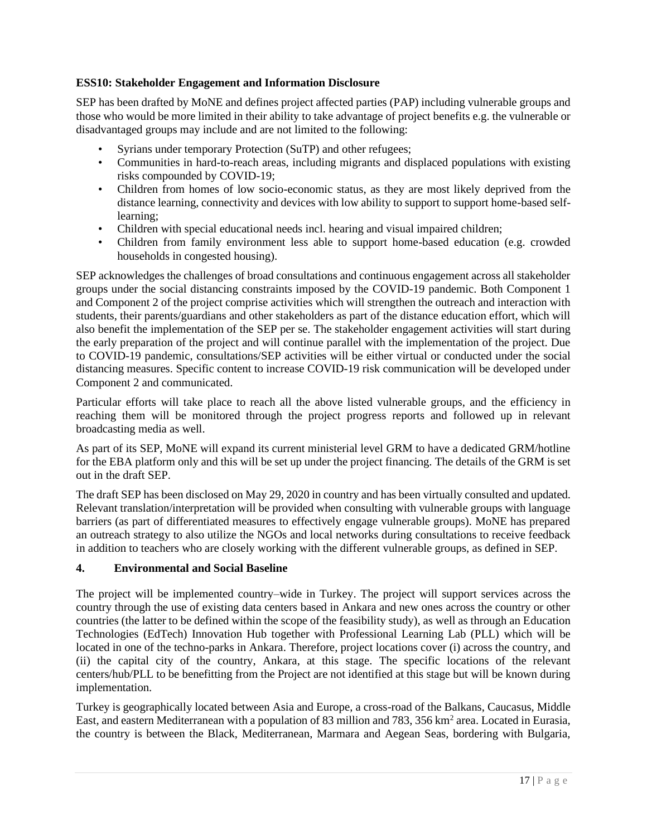# **ESS10: Stakeholder Engagement and Information Disclosure**

SEP has been drafted by MoNE and defines project affected parties (PAP) including vulnerable groups and those who would be more limited in their ability to take advantage of project benefits e.g. the vulnerable or disadvantaged groups may include and are not limited to the following:

- Syrians under temporary Protection (SuTP) and other refugees;
- Communities in hard-to-reach areas, including migrants and displaced populations with existing risks compounded by COVID-19;
- Children from homes of low socio-economic status, as they are most likely deprived from the distance learning, connectivity and devices with low ability to support to support home-based selflearning;
- Children with special educational needs incl. hearing and visual impaired children;
- Children from family environment less able to support home-based education (e.g. crowded households in congested housing).

SEP acknowledges the challenges of broad consultations and continuous engagement across all stakeholder groups under the social distancing constraints imposed by the COVID-19 pandemic. Both Component 1 and Component 2 of the project comprise activities which will strengthen the outreach and interaction with students, their parents/guardians and other stakeholders as part of the distance education effort, which will also benefit the implementation of the SEP per se. The stakeholder engagement activities will start during the early preparation of the project and will continue parallel with the implementation of the project. Due to COVID-19 pandemic, consultations/SEP activities will be either virtual or conducted under the social distancing measures. Specific content to increase COVID-19 risk communication will be developed under Component 2 and communicated.

Particular efforts will take place to reach all the above listed vulnerable groups, and the efficiency in reaching them will be monitored through the project progress reports and followed up in relevant broadcasting media as well.

As part of its SEP, MoNE will expand its current ministerial level GRM to have a dedicated GRM/hotline for the EBA platform only and this will be set up under the project financing. The details of the GRM is set out in the draft SEP.

The draft SEP has been disclosed on May 29, 2020 in country and has been virtually consulted and updated. Relevant translation/interpretation will be provided when consulting with vulnerable groups with language barriers (as part of differentiated measures to effectively engage vulnerable groups). MoNE has prepared an outreach strategy to also utilize the NGOs and local networks during consultations to receive feedback in addition to teachers who are closely working with the different vulnerable groups, as defined in SEP.

#### <span id="page-18-0"></span>**4. Environmental and Social Baseline**

The project will be implemented country–wide in Turkey. The project will support services across the country through the use of existing data centers based in Ankara and new ones across the country or other countries (the latter to be defined within the scope of the feasibility study), as well as through an Education Technologies (EdTech) Innovation Hub together with Professional Learning Lab (PLL) which will be located in one of the techno-parks in Ankara. Therefore, project locations cover (i) across the country, and (ii) the capital city of the country, Ankara, at this stage. The specific locations of the relevant centers/hub/PLL to be benefitting from the Project are not identified at this stage but will be known during implementation.

Turkey is geographically located between Asia and Europe, a cross-road of the Balkans, Caucasus, Middle East, and eastern Mediterranean with a population of 83 million and 783, 356 km<sup>2</sup> area. Located in Eurasia, the country is between the Black, Mediterranean, Marmara and Aegean Seas, bordering with Bulgaria,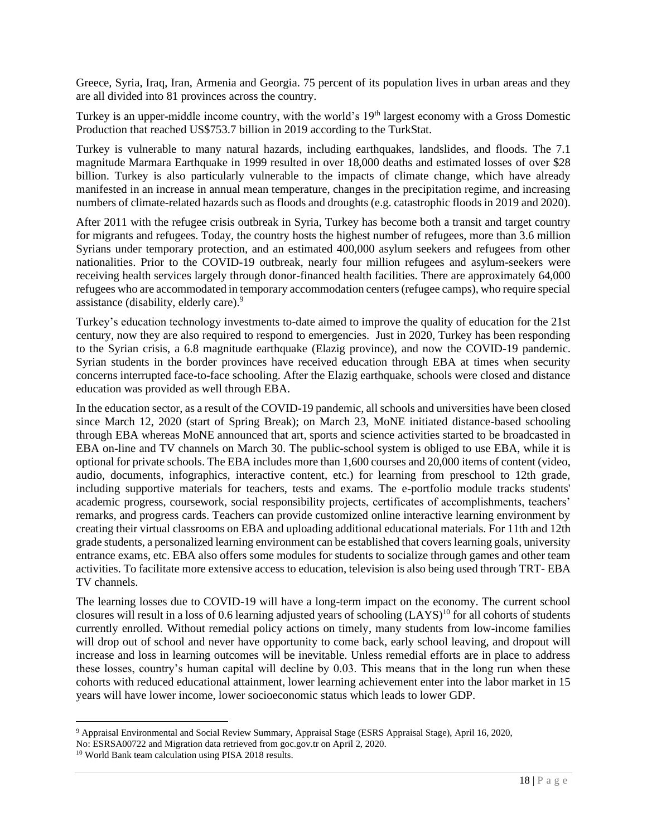Greece, Syria, Iraq, Iran, Armenia and Georgia. 75 percent of its population lives in urban areas and they are all divided into 81 provinces across the country.

Turkey is an upper-middle income country, with the world's 19<sup>th</sup> largest economy with a Gross Domestic Production that reached US\$753.7 billion in 2019 according to the TurkStat.

Turkey is vulnerable to many natural hazards, including earthquakes, landslides, and floods. The 7.1 magnitude Marmara Earthquake in 1999 resulted in over 18,000 deaths and estimated losses of over \$28 billion. Turkey is also particularly vulnerable to the impacts of climate change, which have already manifested in an increase in annual mean temperature, changes in the precipitation regime, and increasing numbers of climate-related hazards such as floods and droughts (e.g. catastrophic floods in 2019 and 2020).

After 2011 with the refugee crisis outbreak in Syria, Turkey has become both a transit and target country for migrants and refugees. Today, the country hosts the highest number of refugees, more than 3.6 million Syrians under temporary protection, and an estimated 400,000 asylum seekers and refugees from other nationalities. Prior to the COVID-19 outbreak, nearly four million refugees and asylum-seekers were receiving health services largely through donor-financed health facilities. There are approximately 64,000 refugees who are accommodated in temporary accommodation centers (refugee camps), who require special assistance (disability, elderly care).<sup>9</sup>

Turkey's education technology investments to-date aimed to improve the quality of education for the 21st century, now they are also required to respond to emergencies. Just in 2020, Turkey has been responding to the Syrian crisis, a 6.8 magnitude earthquake (Elazig province), and now the COVID-19 pandemic. Syrian students in the border provinces have received education through EBA at times when security concerns interrupted face-to-face schooling. After the Elazig earthquake, schools were closed and distance education was provided as well through EBA.

In the education sector, as a result of the COVID-19 pandemic, all schools and universities have been closed since March 12, 2020 (start of Spring Break); on March 23, MoNE initiated distance-based schooling through EBA whereas MoNE announced that art, sports and science activities started to be broadcasted in EBA on-line and TV channels on March 30. The public-school system is obliged to use EBA, while it is optional for private schools. The EBA includes more than 1,600 courses and 20,000 items of content (video, audio, documents, infographics, interactive content, etc.) for learning from preschool to 12th grade, including supportive materials for teachers, tests and exams. The e-portfolio module tracks students' academic progress, coursework, social responsibility projects, certificates of accomplishments, teachers' remarks, and progress cards. Teachers can provide customized online interactive learning environment by creating their virtual classrooms on EBA and uploading additional educational materials. For 11th and 12th grade students, a personalized learning environment can be established that covers learning goals, university entrance exams, etc. EBA also offers some modules for students to socialize through games and other team activities. To facilitate more extensive access to education, television is also being used through TRT- EBA TV channels.

The learning losses due to COVID-19 will have a long-term impact on the economy. The current school closures will result in a loss of 0.6 learning adjusted years of schooling  $(LAYS)^{10}$  for all cohorts of students currently enrolled. Without remedial policy actions on timely, many students from low-income families will drop out of school and never have opportunity to come back, early school leaving, and dropout will increase and loss in learning outcomes will be inevitable. Unless remedial efforts are in place to address these losses, country's human capital will decline by 0.03. This means that in the long run when these cohorts with reduced educational attainment, lower learning achievement enter into the labor market in 15 years will have lower income, lower socioeconomic status which leads to lower GDP.

<sup>9</sup> Appraisal Environmental and Social Review Summary, Appraisal Stage (ESRS Appraisal Stage), April 16, 2020,

No: ESRSA00722 and Migration data retrieved from goc.gov.tr on April 2, 2020.

<sup>10</sup> World Bank team calculation using PISA 2018 results.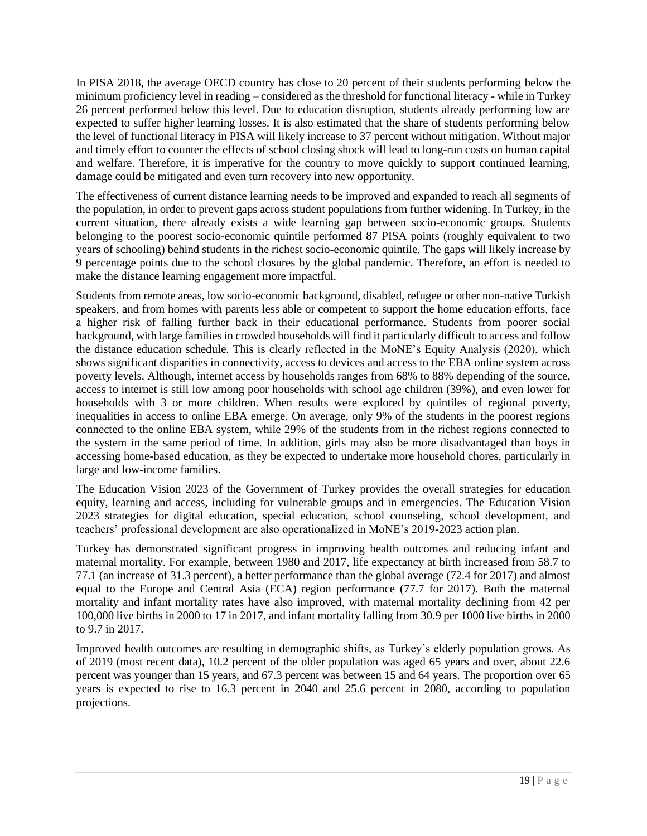In PISA 2018, the average OECD country has close to 20 percent of their students performing below the minimum proficiency level in reading – considered as the threshold for functional literacy - while in Turkey 26 percent performed below this level. Due to education disruption, students already performing low are expected to suffer higher learning losses. It is also estimated that the share of students performing below the level of functional literacy in PISA will likely increase to 37 percent without mitigation. Without major and timely effort to counter the effects of school closing shock will lead to long-run costs on human capital and welfare. Therefore, it is imperative for the country to move quickly to support continued learning, damage could be mitigated and even turn recovery into new opportunity.

The effectiveness of current distance learning needs to be improved and expanded to reach all segments of the population, in order to prevent gaps across student populations from further widening. In Turkey, in the current situation, there already exists a wide learning gap between socio-economic groups. Students belonging to the poorest socio-economic quintile performed 87 PISA points (roughly equivalent to two years of schooling) behind students in the richest socio-economic quintile. The gaps will likely increase by 9 percentage points due to the school closures by the global pandemic. Therefore, an effort is needed to make the distance learning engagement more impactful.

Students from remote areas, low socio-economic background, disabled, refugee or other non-native Turkish speakers, and from homes with parents less able or competent to support the home education efforts, face a higher risk of falling further back in their educational performance. Students from poorer social background, with large families in crowded households will find it particularly difficult to access and follow the distance education schedule. This is clearly reflected in the MoNE's Equity Analysis (2020), which shows significant disparities in connectivity, access to devices and access to the EBA online system across poverty levels. Although, internet access by households ranges from 68% to 88% depending of the source, access to internet is still low among poor households with school age children (39%), and even lower for households with 3 or more children. When results were explored by quintiles of regional poverty, inequalities in access to online EBA emerge. On average, only 9% of the students in the poorest regions connected to the online EBA system, while 29% of the students from in the richest regions connected to the system in the same period of time. In addition, girls may also be more disadvantaged than boys in accessing home-based education, as they be expected to undertake more household chores, particularly in large and low-income families.

The Education Vision 2023 of the Government of Turkey provides the overall strategies for education equity, learning and access, including for vulnerable groups and in emergencies. The Education Vision 2023 strategies for digital education, special education, school counseling, school development, and teachers' professional development are also operationalized in MoNE's 2019-2023 action plan.

Turkey has demonstrated significant progress in improving health outcomes and reducing infant and maternal mortality. For example, between 1980 and 2017, life expectancy at birth increased from 58.7 to 77.1 (an increase of 31.3 percent), a better performance than the global average (72.4 for 2017) and almost equal to the Europe and Central Asia (ECA) region performance (77.7 for 2017). Both the maternal mortality and infant mortality rates have also improved, with maternal mortality declining from 42 per 100,000 live births in 2000 to 17 in 2017, and infant mortality falling from 30.9 per 1000 live births in 2000 to 9.7 in 2017.

Improved health outcomes are resulting in demographic shifts, as Turkey's elderly population grows. As of 2019 (most recent data), 10.2 percent of the older population was aged 65 years and over, about 22.6 percent was younger than 15 years, and 67.3 percent was between 15 and 64 years. The proportion over 65 years is expected to rise to 16.3 percent in 2040 and 25.6 percent in 2080, according to population projections.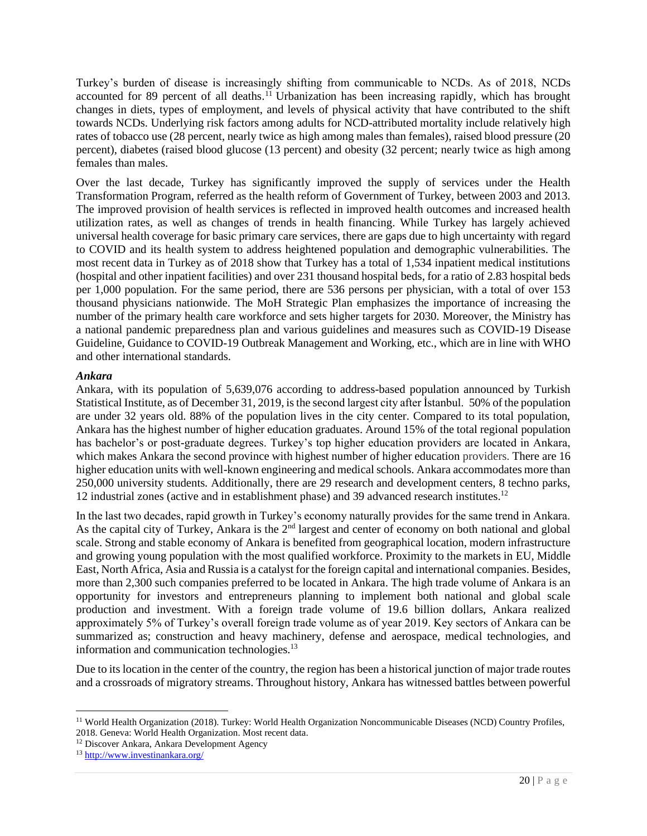Turkey's burden of disease is increasingly shifting from communicable to NCDs. As of 2018, NCDs accounted for 89 percent of all deaths.<sup>11</sup> Urbanization has been increasing rapidly, which has brought changes in diets, types of employment, and levels of physical activity that have contributed to the shift towards NCDs. Underlying risk factors among adults for NCD-attributed mortality include relatively high rates of tobacco use (28 percent, nearly twice as high among males than females), raised blood pressure (20 percent), diabetes (raised blood glucose (13 percent) and obesity (32 percent; nearly twice as high among females than males.

Over the last decade, Turkey has significantly improved the supply of services under the Health Transformation Program, referred as the health reform of Government of Turkey, between 2003 and 2013. The improved provision of health services is reflected in improved health outcomes and increased health utilization rates, as well as changes of trends in health financing. While Turkey has largely achieved universal health coverage for basic primary care services, there are gaps due to high uncertainty with regard to COVID and its health system to address heightened population and demographic vulnerabilities. The most recent data in Turkey as of 2018 show that Turkey has a total of 1,534 inpatient medical institutions (hospital and other inpatient facilities) and over 231 thousand hospital beds, for a ratio of 2.83 hospital beds per 1,000 population. For the same period, there are 536 persons per physician, with a total of over 153 thousand physicians nationwide. The MoH Strategic Plan emphasizes the importance of increasing the number of the primary health care workforce and sets higher targets for 2030. Moreover, the Ministry has a national pandemic preparedness plan and various guidelines and measures such as COVID-19 Disease Guideline, Guidance to COVID-19 Outbreak Management and Working, etc., which are in line with WHO and other international standards.

# *Ankara*

Ankara, with its population of 5,639,076 according to address-based population announced by Turkish Statistical Institute, as of December 31, 2019, is the second largest city after İstanbul. 50% of the population are under 32 years old. 88% of the population lives in the city center. Compared to its total population, Ankara has the highest number of higher education graduates. Around 15% of the total regional population has bachelor's or post-graduate degrees. Turkey's top higher education providers are located in Ankara, which makes Ankara the second province with highest number of higher education providers. There are 16 higher education units with well-known engineering and medical schools. Ankara accommodates more than 250,000 university students. Additionally, there are 29 research and development centers, 8 techno parks, 12 industrial zones (active and in establishment phase) and 39 advanced research institutes.<sup>12</sup>

In the last two decades, rapid growth in Turkey's economy naturally provides for the same trend in Ankara. As the capital city of Turkey, Ankara is the 2<sup>nd</sup> largest and center of economy on both national and global scale. Strong and stable economy of Ankara is benefited from geographical location, modern infrastructure and growing young population with the most qualified workforce. Proximity to the markets in EU, Middle East, North Africa, Asia and Russia is a catalyst for the foreign capital and international companies. Besides, more than 2,300 such companies preferred to be located in Ankara. The high trade volume of Ankara is an opportunity for investors and entrepreneurs planning to implement both national and global scale production and investment. With a foreign trade volume of 19.6 billion dollars, Ankara realized approximately 5% of Turkey's overall foreign trade volume as of year 2019. Key sectors of Ankara can be summarized as; construction and heavy machinery, defense and aerospace, medical technologies, and information and communication technologies.<sup>13</sup>

Due to its location in the center of the country, the region has been a historical junction of major trade routes and a crossroads of migratory streams. Throughout history, Ankara has witnessed battles between powerful

<sup>12</sup> Discover Ankara, Ankara Development Agency

<sup>&</sup>lt;sup>11</sup> World Health Organization (2018). Turkey: World Health Organization Noncommunicable Diseases (NCD) Country Profiles, 2018. Geneva: World Health Organization. Most recent data.

<sup>13</sup> [http://www.investinankara.org/](http://www.investinankara.org/content/economy)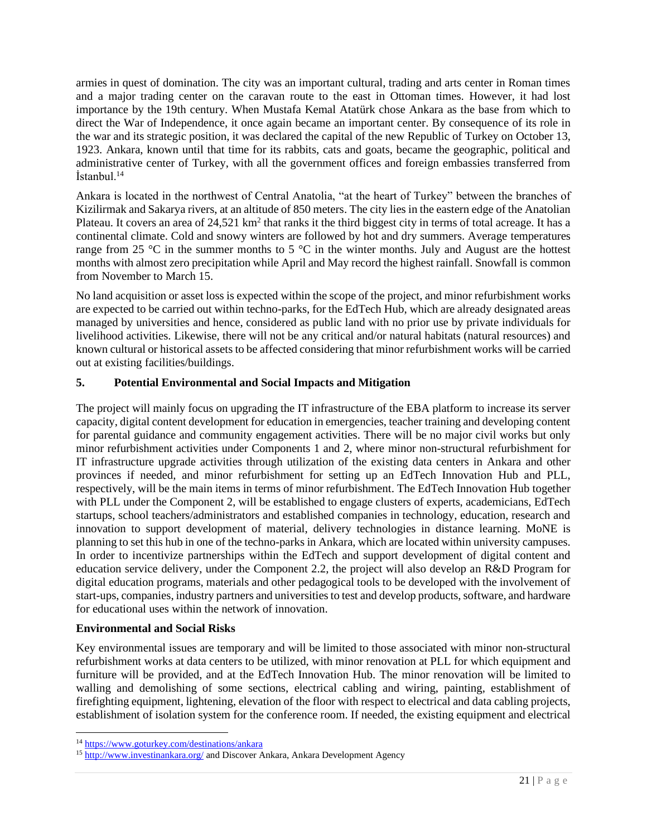armies in quest of domination. The city was an important cultural, trading and arts center in Roman times and a major trading center on the caravan route to the east in Ottoman times. However, it had lost importance by the 19th century. When Mustafa Kemal Atatürk chose Ankara as the base from which to direct the War of Independence, it once again became an important center. By consequence of its role in the war and its strategic position, it was declared the capital of the new Republic of Turkey on October 13, 1923. Ankara, known until that time for its rabbits, cats and goats, became the geographic, political and administrative center of Turkey, with all the government offices and foreign embassies transferred from  $İ$ stanbul.<sup>14</sup>

Ankara is located in the northwest of Central Anatolia, "at the heart of Turkey" between the branches of Kizilirmak and Sakarya rivers, at an altitude of 850 meters. The city lies in the eastern edge of the Anatolian Plateau. It covers an area of  $24,521 \text{ km}^2$  that ranks it the third biggest city in terms of total acreage. It has a continental climate. Cold and snowy winters are followed by hot and dry summers. Average temperatures range from 25  $\degree$ C in the summer months to 5  $\degree$ C in the winter months. July and August are the hottest months with almost zero precipitation while April and May record the highest rainfall. Snowfall is common from November to March 15.

No land acquisition or asset loss is expected within the scope of the project, and minor refurbishment works are expected to be carried out within techno-parks, for the EdTech Hub, which are already designated areas managed by universities and hence, considered as public land with no prior use by private individuals for livelihood activities. Likewise, there will not be any critical and/or natural habitats (natural resources) and known cultural or historical assets to be affected considering that minor refurbishment works will be carried out at existing facilities/buildings.

# <span id="page-22-0"></span>**5. Potential Environmental and Social Impacts and Mitigation**

The project will mainly focus on upgrading the IT infrastructure of the EBA platform to increase its server capacity, digital content development for education in emergencies, teacher training and developing content for parental guidance and community engagement activities. There will be no major civil works but only minor refurbishment activities under Components 1 and 2, where minor non-structural refurbishment for IT infrastructure upgrade activities through utilization of the existing data centers in Ankara and other provinces if needed, and minor refurbishment for setting up an EdTech Innovation Hub and PLL, respectively, will be the main items in terms of minor refurbishment. The EdTech Innovation Hub together with PLL under the Component 2, will be established to engage clusters of experts, academicians, EdTech startups, school teachers/administrators and established companies in technology, education, research and innovation to support development of material, delivery technologies in distance learning. MoNE is planning to set this hub in one of the techno-parks in Ankara, which are located within university campuses. In order to incentivize partnerships within the EdTech and support development of digital content and education service delivery, under the Component 2.2, the project will also develop an R&D Program for digital education programs, materials and other pedagogical tools to be developed with the involvement of start-ups, companies, industry partners and universities to test and develop products, software, and hardware for educational uses within the network of innovation.

# **Environmental and Social Risks**

Key environmental issues are temporary and will be limited to those associated with minor non-structural refurbishment works at data centers to be utilized, with minor renovation at PLL for which equipment and furniture will be provided, and at the EdTech Innovation Hub. The minor renovation will be limited to walling and demolishing of some sections, electrical cabling and wiring, painting, establishment of firefighting equipment, lightening, elevation of the floor with respect to electrical and data cabling projects, establishment of isolation system for the conference room. If needed, the existing equipment and electrical

<sup>14</sup> <https://www.goturkey.com/destinations/ankara>

<sup>15</sup> [http://www.investinankara.org/](http://www.investinankara.org/content/economy) and Discover Ankara, Ankara Development Agency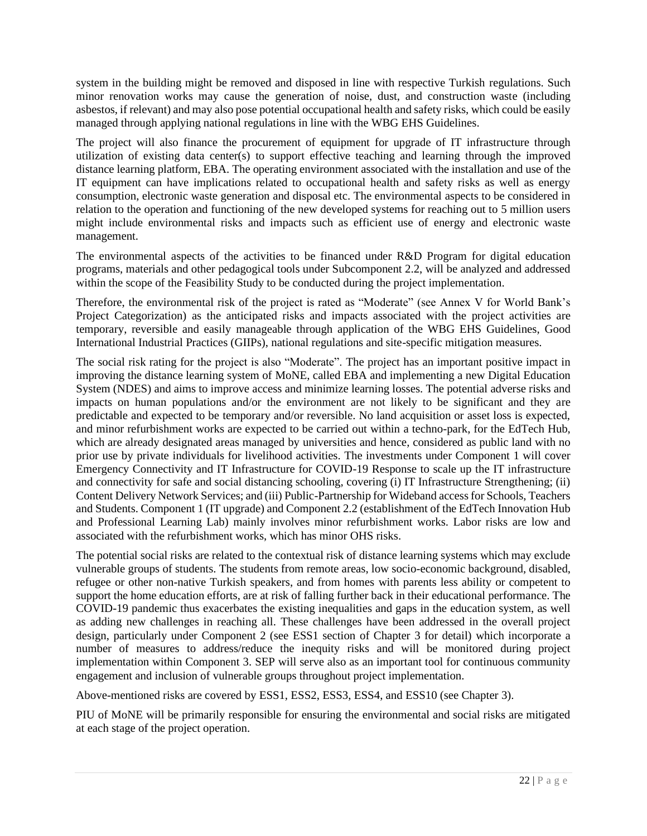system in the building might be removed and disposed in line with respective Turkish regulations. Such minor renovation works may cause the generation of noise, dust, and construction waste (including asbestos, if relevant) and may also pose potential occupational health and safety risks, which could be easily managed through applying national regulations in line with the WBG EHS Guidelines.

The project will also finance the procurement of equipment for upgrade of IT infrastructure through utilization of existing data center(s) to support effective teaching and learning through the improved distance learning platform, EBA. The operating environment associated with the installation and use of the IT equipment can have implications related to occupational health and safety risks as well as energy consumption, electronic waste generation and disposal etc. The environmental aspects to be considered in relation to the operation and functioning of the new developed systems for reaching out to 5 million users might include environmental risks and impacts such as efficient use of energy and electronic waste management.

The environmental aspects of the activities to be financed under R&D Program for digital education programs, materials and other pedagogical tools under Subcomponent 2.2, will be analyzed and addressed within the scope of the Feasibility Study to be conducted during the project implementation.

Therefore, the environmental risk of the project is rated as "Moderate" (see Annex V for World Bank's Project Categorization) as the anticipated risks and impacts associated with the project activities are temporary, reversible and easily manageable through application of the WBG EHS Guidelines, Good International Industrial Practices (GIIPs), national regulations and site-specific mitigation measures.

The social risk rating for the project is also "Moderate". The project has an important positive impact in improving the distance learning system of MoNE, called EBA and implementing a new Digital Education System (NDES) and aims to improve access and minimize learning losses. The potential adverse risks and impacts on human populations and/or the environment are not likely to be significant and they are predictable and expected to be temporary and/or reversible. No land acquisition or asset loss is expected, and minor refurbishment works are expected to be carried out within a techno-park, for the EdTech Hub, which are already designated areas managed by universities and hence, considered as public land with no prior use by private individuals for livelihood activities. The investments under Component 1 will cover Emergency Connectivity and IT Infrastructure for COVID-19 Response to scale up the IT infrastructure and connectivity for safe and social distancing schooling, covering (i) IT Infrastructure Strengthening; (ii) Content Delivery Network Services; and (iii) Public-Partnership for Wideband access for Schools, Teachers and Students. Component 1 (IT upgrade) and Component 2.2 (establishment of the EdTech Innovation Hub and Professional Learning Lab) mainly involves minor refurbishment works. Labor risks are low and associated with the refurbishment works, which has minor OHS risks.

The potential social risks are related to the contextual risk of distance learning systems which may exclude vulnerable groups of students. The students from remote areas, low socio-economic background, disabled, refugee or other non-native Turkish speakers, and from homes with parents less ability or competent to support the home education efforts, are at risk of falling further back in their educational performance. The COVID-19 pandemic thus exacerbates the existing inequalities and gaps in the education system, as well as adding new challenges in reaching all. These challenges have been addressed in the overall project design, particularly under Component 2 (see ESS1 section of Chapter 3 for detail) which incorporate a number of measures to address/reduce the inequity risks and will be monitored during project implementation within Component 3. SEP will serve also as an important tool for continuous community engagement and inclusion of vulnerable groups throughout project implementation.

Above-mentioned risks are covered by ESS1, ESS2, ESS3, ESS4, and ESS10 (see Chapter 3).

PIU of MoNE will be primarily responsible for ensuring the environmental and social risks are mitigated at each stage of the project operation.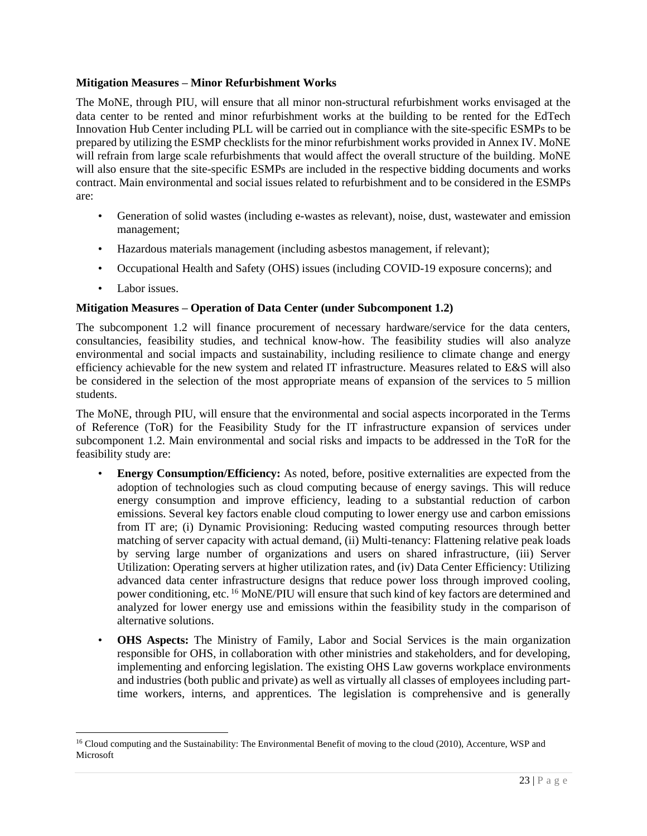# **Mitigation Measures – Minor Refurbishment Works**

The MoNE, through PIU, will ensure that all minor non-structural refurbishment works envisaged at the data center to be rented and minor refurbishment works at the building to be rented for the EdTech Innovation Hub Center including PLL will be carried out in compliance with the site-specific ESMPs to be prepared by utilizing the ESMP checklists for the minor refurbishment works provided in Annex IV. MoNE will refrain from large scale refurbishments that would affect the overall structure of the building. MoNE will also ensure that the site-specific ESMPs are included in the respective bidding documents and works contract. Main environmental and social issues related to refurbishment and to be considered in the ESMPs are:

- Generation of solid wastes (including e-wastes as relevant), noise, dust, wastewater and emission management;
- Hazardous materials management (including asbestos management, if relevant);
- Occupational Health and Safety (OHS) issues (including COVID-19 exposure concerns); and
- Labor issues.

# **Mitigation Measures – Operation of Data Center (under Subcomponent 1.2)**

The subcomponent 1.2 will finance procurement of necessary hardware/service for the data centers, consultancies, feasibility studies, and technical know-how. The feasibility studies will also analyze environmental and social impacts and sustainability, including resilience to climate change and energy efficiency achievable for the new system and related IT infrastructure. Measures related to E&S will also be considered in the selection of the most appropriate means of expansion of the services to 5 million students.

The MoNE, through PIU, will ensure that the environmental and social aspects incorporated in the Terms of Reference (ToR) for the Feasibility Study for the IT infrastructure expansion of services under subcomponent 1.2. Main environmental and social risks and impacts to be addressed in the ToR for the feasibility study are:

- **Energy Consumption/Efficiency:** As noted, before, positive externalities are expected from the adoption of technologies such as cloud computing because of energy savings. This will reduce energy consumption and improve efficiency, leading to a substantial reduction of carbon emissions. Several key factors enable cloud computing to lower energy use and carbon emissions from IT are; (i) Dynamic Provisioning: Reducing wasted computing resources through better matching of server capacity with actual demand, (ii) Multi-tenancy: Flattening relative peak loads by serving large number of organizations and users on shared infrastructure, (iii) Server Utilization: Operating servers at higher utilization rates, and (iv) Data Center Efficiency: Utilizing advanced data center infrastructure designs that reduce power loss through improved cooling, power conditioning, etc. <sup>16</sup> MoNE/PIU will ensure that such kind of key factors are determined and analyzed for lower energy use and emissions within the feasibility study in the comparison of alternative solutions.
- **OHS Aspects:** The Ministry of Family, Labor and Social Services is the main organization responsible for OHS, in collaboration with other ministries and stakeholders, and for developing, implementing and enforcing legislation. The existing OHS Law governs workplace environments and industries (both public and private) as well as virtually all classes of employees including parttime workers, interns, and apprentices. The legislation is comprehensive and is generally

<sup>&</sup>lt;sup>16</sup> Cloud computing and the Sustainability: The Environmental Benefit of moving to the cloud (2010), Accenture, WSP and Microsoft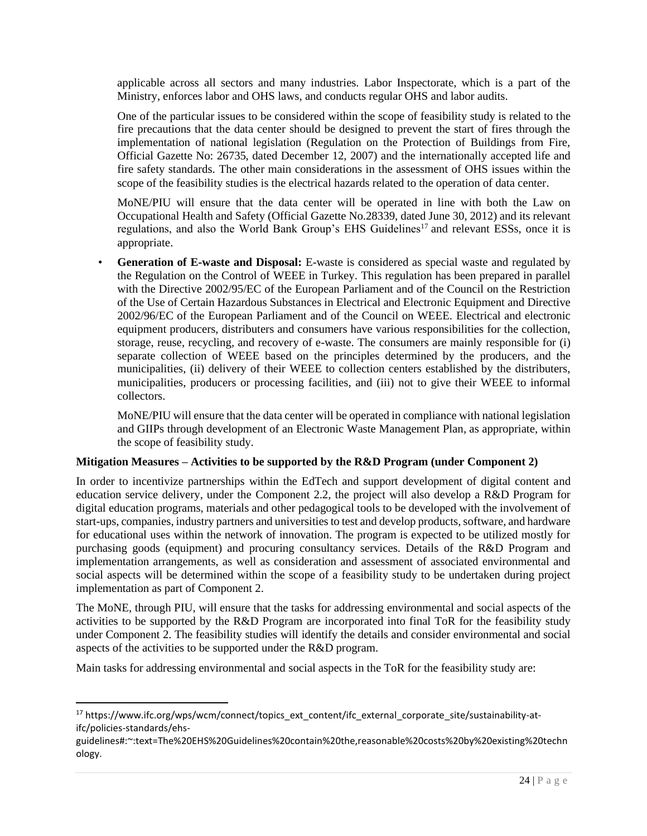applicable across all sectors and many industries. Labor Inspectorate, which is a part of the Ministry, enforces labor and OHS laws, and conducts regular OHS and labor audits.

One of the particular issues to be considered within the scope of feasibility study is related to the fire precautions that the data center should be designed to prevent the start of fires through the implementation of national legislation (Regulation on the Protection of Buildings from Fire, Official Gazette No: 26735, dated December 12, 2007) and the internationally accepted life and fire safety standards. The other main considerations in the assessment of OHS issues within the scope of the feasibility studies is the electrical hazards related to the operation of data center.

MoNE/PIU will ensure that the data center will be operated in line with both the Law on Occupational Health and Safety (Official Gazette No.28339, dated June 30, 2012) and its relevant regulations, and also the World Bank Group's EHS Guidelines<sup>17</sup> and relevant ESSs, once it is appropriate.

• **Generation of E-waste and Disposal:** E-waste is considered as special waste and regulated by the Regulation on the Control of WEEE in Turkey. This regulation has been prepared in parallel with the Directive 2002/95/EC of the European Parliament and of the Council on the Restriction of the Use of Certain Hazardous Substances in Electrical and Electronic Equipment and Directive 2002/96/EC of the European Parliament and of the Council on WEEE. Electrical and electronic equipment producers, distributers and consumers have various responsibilities for the collection, storage, reuse, recycling, and recovery of e-waste. The consumers are mainly responsible for (i) separate collection of WEEE based on the principles determined by the producers, and the municipalities, (ii) delivery of their WEEE to collection centers established by the distributers, municipalities, producers or processing facilities, and (iii) not to give their WEEE to informal collectors.

MoNE/PIU will ensure that the data center will be operated in compliance with national legislation and GIIPs through development of an Electronic Waste Management Plan, as appropriate, within the scope of feasibility study.

#### **Mitigation Measures – Activities to be supported by the R&D Program (under Component 2)**

In order to incentivize partnerships within the EdTech and support development of digital content and education service delivery, under the Component 2.2, the project will also develop a R&D Program for digital education programs, materials and other pedagogical tools to be developed with the involvement of start-ups, companies, industry partners and universities to test and develop products, software, and hardware for educational uses within the network of innovation. The program is expected to be utilized mostly for purchasing goods (equipment) and procuring consultancy services. Details of the R&D Program and implementation arrangements, as well as consideration and assessment of associated environmental and social aspects will be determined within the scope of a feasibility study to be undertaken during project implementation as part of Component 2.

The MoNE, through PIU, will ensure that the tasks for addressing environmental and social aspects of the activities to be supported by the R&D Program are incorporated into final ToR for the feasibility study under Component 2. The feasibility studies will identify the details and consider environmental and social aspects of the activities to be supported under the R&D program.

Main tasks for addressing environmental and social aspects in the ToR for the feasibility study are:

<sup>&</sup>lt;sup>17</sup> https://www.ifc.org/wps/wcm/connect/topics\_ext\_content/ifc\_external\_corporate\_site/sustainability-atifc/policies-standards/ehs-

guidelines#:~:text=The%20EHS%20Guidelines%20contain%20the,reasonable%20costs%20by%20existing%20techn ology.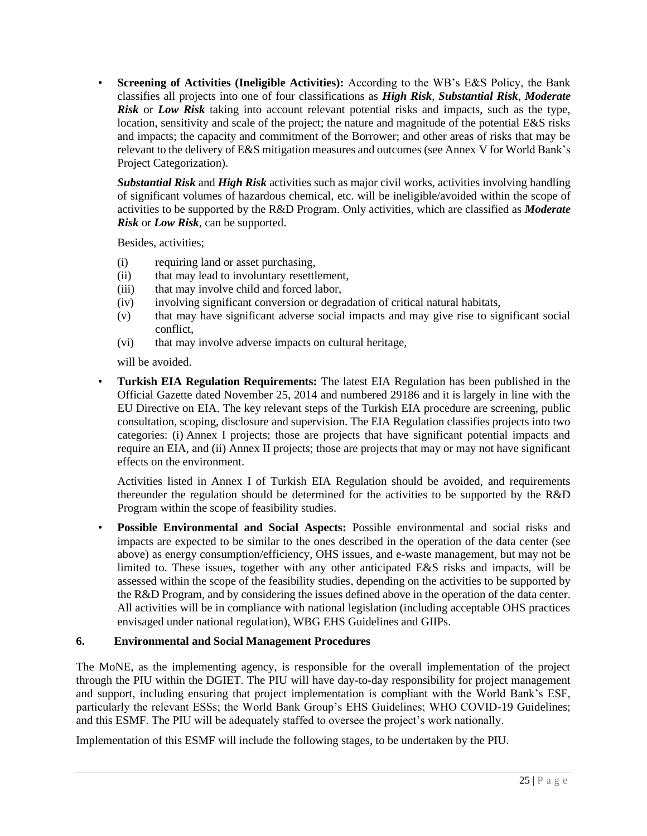• **Screening of Activities (Ineligible Activities):** According to the WB's E&S Policy, the Bank classifies all projects into one of four classifications as *High Risk*, *Substantial Risk*, *Moderate Risk* or *Low Risk* taking into account relevant potential risks and impacts, such as the type, location, sensitivity and scale of the project; the nature and magnitude of the potential E&S risks and impacts; the capacity and commitment of the Borrower; and other areas of risks that may be relevant to the delivery of E&S mitigation measures and outcomes (see Annex V for World Bank's Project Categorization).

*Substantial Risk* and *High Risk* activities such as major civil works, activities involving handling of significant volumes of hazardous chemical, etc. will be ineligible/avoided within the scope of activities to be supported by the R&D Program. Only activities, which are classified as *Moderate Risk* or *Low Risk*, can be supported.

Besides, activities;

- (i) requiring land or asset purchasing,
- (ii) that may lead to involuntary resettlement,
- (iii) that may involve child and forced labor,
- (iv) involving significant conversion or degradation of critical natural habitats,
- (v) that may have significant adverse social impacts and may give rise to significant social conflict,
- (vi) that may involve adverse impacts on cultural heritage,

will be avoided.

• **Turkish EIA Regulation Requirements:** The latest EIA Regulation has been published in the Official Gazette dated November 25, 2014 and numbered 29186 and it is largely in line with the EU Directive on EIA. The key relevant steps of the Turkish EIA procedure are screening, public consultation, scoping, disclosure and supervision. The EIA Regulation classifies projects into two categories: (i) Annex I projects; those are projects that have significant potential impacts and require an EIA, and (ii) Annex II projects; those are projects that may or may not have significant effects on the environment.

Activities listed in Annex I of Turkish EIA Regulation should be avoided, and requirements thereunder the regulation should be determined for the activities to be supported by the R&D Program within the scope of feasibility studies.

• **Possible Environmental and Social Aspects:** Possible environmental and social risks and impacts are expected to be similar to the ones described in the operation of the data center (see above) as energy consumption/efficiency, OHS issues, and e-waste management, but may not be limited to. These issues, together with any other anticipated E&S risks and impacts, will be assessed within the scope of the feasibility studies, depending on the activities to be supported by the R&D Program, and by considering the issues defined above in the operation of the data center. All activities will be in compliance with national legislation (including acceptable OHS practices envisaged under national regulation), WBG EHS Guidelines and GIIPs.

# <span id="page-26-0"></span>**6. Environmental and Social Management Procedures**

The MoNE, as the implementing agency, is responsible for the overall implementation of the project through the PIU within the DGIET. The PIU will have day-to-day responsibility for project management and support, including ensuring that project implementation is compliant with the World Bank's ESF, particularly the relevant ESSs; the World Bank Group's EHS Guidelines; WHO COVID-19 Guidelines; and this ESMF. The PIU will be adequately staffed to oversee the project's work nationally.

Implementation of this ESMF will include the following stages, to be undertaken by the PIU.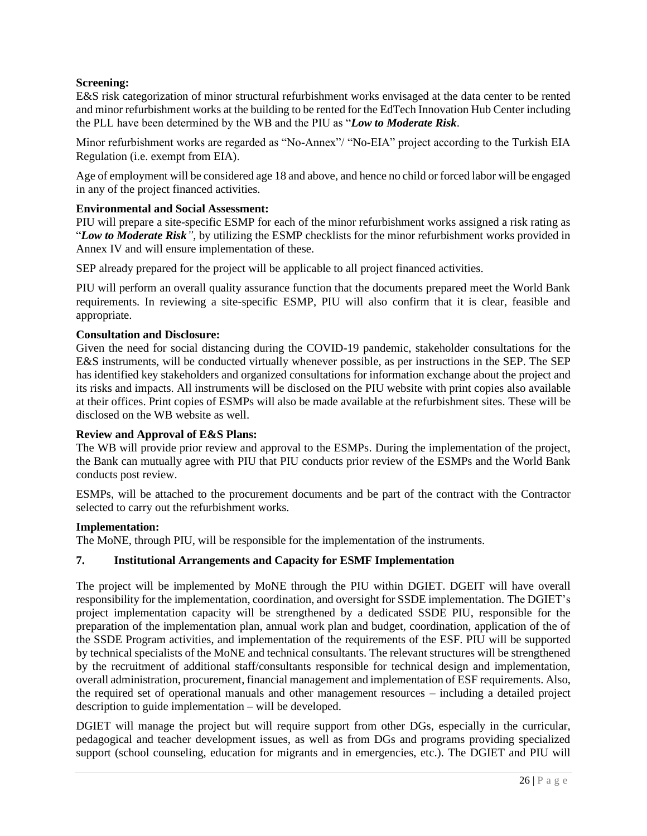# **Screening:**

E&S risk categorization of minor structural refurbishment works envisaged at the data center to be rented and minor refurbishment works at the building to be rented for the EdTech Innovation Hub Center including the PLL have been determined by the WB and the PIU as "*Low to Moderate Risk*.

Minor refurbishment works are regarded as "No-Annex"/ "No-EIA" project according to the Turkish EIA Regulation (i.e. exempt from EIA).

Age of employment will be considered age 18 and above, and hence no child or forced labor will be engaged in any of the project financed activities.

#### **Environmental and Social Assessment:**

PIU will prepare a site-specific ESMP for each of the minor refurbishment works assigned a risk rating as "*Low to Moderate Risk"*, by utilizing the ESMP checklists for the minor refurbishment works provided in Annex IV and will ensure implementation of these.

SEP already prepared for the project will be applicable to all project financed activities.

PIU will perform an overall quality assurance function that the documents prepared meet the World Bank requirements. In reviewing a site-specific ESMP, PIU will also confirm that it is clear, feasible and appropriate.

#### **Consultation and Disclosure:**

Given the need for social distancing during the COVID-19 pandemic, stakeholder consultations for the E&S instruments, will be conducted virtually whenever possible, as per instructions in the SEP. The SEP has identified key stakeholders and organized consultations for information exchange about the project and its risks and impacts. All instruments will be disclosed on the PIU website with print copies also available at their offices. Print copies of ESMPs will also be made available at the refurbishment sites. These will be disclosed on the WB website as well.

#### **Review and Approval of E&S Plans:**

The WB will provide prior review and approval to the ESMPs. During the implementation of the project, the Bank can mutually agree with PIU that PIU conducts prior review of the ESMPs and the World Bank conducts post review.

ESMPs, will be attached to the procurement documents and be part of the contract with the Contractor selected to carry out the refurbishment works.

#### **Implementation:**

The MoNE, through PIU, will be responsible for the implementation of the instruments.

#### <span id="page-27-0"></span>**7. Institutional Arrangements and Capacity for ESMF Implementation**

The project will be implemented by MoNE through the PIU within DGIET. DGEIT will have overall responsibility for the implementation, coordination, and oversight for SSDE implementation. The DGIET's project implementation capacity will be strengthened by a dedicated SSDE PIU, responsible for the preparation of the implementation plan, annual work plan and budget, coordination, application of the of the SSDE Program activities, and implementation of the requirements of the ESF. PIU will be supported by technical specialists of the MoNE and technical consultants. The relevant structures will be strengthened by the recruitment of additional staff/consultants responsible for technical design and implementation, overall administration, procurement, financial management and implementation of ESF requirements. Also, the required set of operational manuals and other management resources – including a detailed project description to guide implementation – will be developed.

DGIET will manage the project but will require support from other DGs, especially in the curricular, pedagogical and teacher development issues, as well as from DGs and programs providing specialized support (school counseling, education for migrants and in emergencies, etc.). The DGIET and PIU will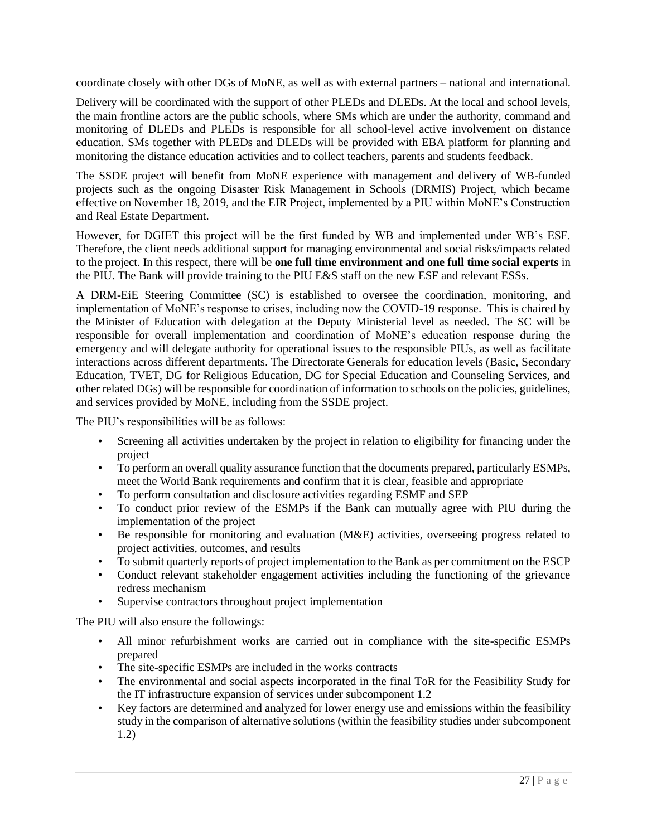coordinate closely with other DGs of MoNE, as well as with external partners – national and international.

Delivery will be coordinated with the support of other PLEDs and DLEDs. At the local and school levels, the main frontline actors are the public schools, where SMs which are under the authority, command and monitoring of DLEDs and PLEDs is responsible for all school-level active involvement on distance education. SMs together with PLEDs and DLEDs will be provided with EBA platform for planning and monitoring the distance education activities and to collect teachers, parents and students feedback.

The SSDE project will benefit from MoNE experience with management and delivery of WB-funded projects such as the ongoing Disaster Risk Management in Schools (DRMIS) Project, which became effective on November 18, 2019, and the EIR Project, implemented by a PIU within MoNE's Construction and Real Estate Department.

However, for DGIET this project will be the first funded by WB and implemented under WB's ESF. Therefore, the client needs additional support for managing environmental and social risks/impacts related to the project. In this respect, there will be **one full time environment and one full time social experts** in the PIU. The Bank will provide training to the PIU E&S staff on the new ESF and relevant ESSs.

A DRM-EiE Steering Committee (SC) is established to oversee the coordination, monitoring, and implementation of MoNE's response to crises, including now the COVID-19 response. This is chaired by the Minister of Education with delegation at the Deputy Ministerial level as needed. The SC will be responsible for overall implementation and coordination of MoNE's education response during the emergency and will delegate authority for operational issues to the responsible PIUs, as well as facilitate interactions across different departments. The Directorate Generals for education levels (Basic, Secondary Education, TVET, DG for Religious Education, DG for Special Education and Counseling Services, and other related DGs) will be responsible for coordination of information to schools on the policies, guidelines, and services provided by MoNE, including from the SSDE project.

The PIU's responsibilities will be as follows:

- Screening all activities undertaken by the project in relation to eligibility for financing under the project
- To perform an overall quality assurance function that the documents prepared, particularly ESMPs, meet the World Bank requirements and confirm that it is clear, feasible and appropriate
- To perform consultation and disclosure activities regarding ESMF and SEP
- To conduct prior review of the ESMPs if the Bank can mutually agree with PIU during the implementation of the project
- Be responsible for monitoring and evaluation (M&E) activities, overseeing progress related to project activities, outcomes, and results
- To submit quarterly reports of project implementation to the Bank as per commitment on the ESCP
- Conduct relevant stakeholder engagement activities including the functioning of the grievance redress mechanism
- Supervise contractors throughout project implementation

The PIU will also ensure the followings:

- All minor refurbishment works are carried out in compliance with the site-specific ESMPs prepared
- The site-specific ESMPs are included in the works contracts
- The environmental and social aspects incorporated in the final ToR for the Feasibility Study for the IT infrastructure expansion of services under subcomponent 1.2
- Key factors are determined and analyzed for lower energy use and emissions within the feasibility study in the comparison of alternative solutions (within the feasibility studies under subcomponent 1.2)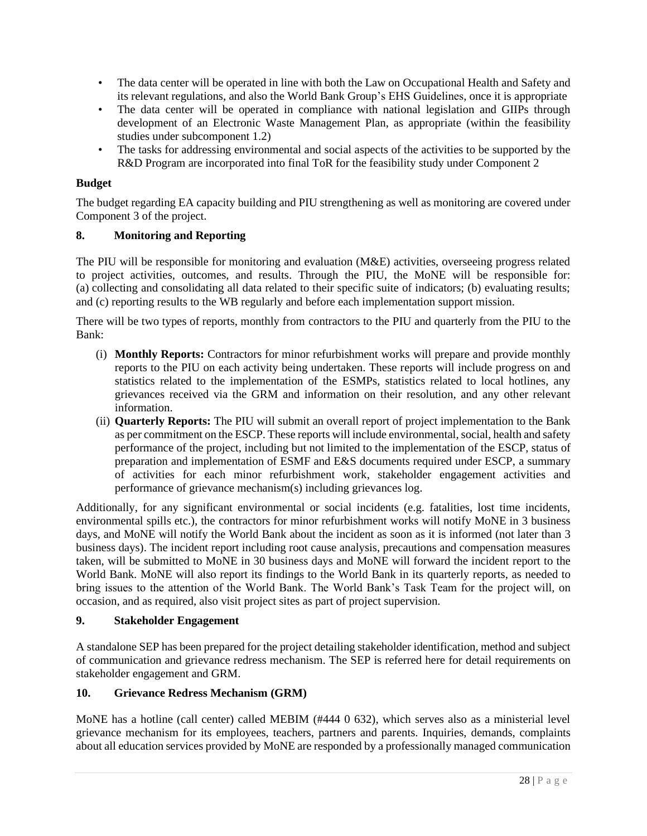- The data center will be operated in line with both the Law on Occupational Health and Safety and its relevant regulations, and also the World Bank Group's EHS Guidelines, once it is appropriate
- The data center will be operated in compliance with national legislation and GIIPs through development of an Electronic Waste Management Plan, as appropriate (within the feasibility studies under subcomponent 1.2)
- The tasks for addressing environmental and social aspects of the activities to be supported by the R&D Program are incorporated into final ToR for the feasibility study under Component 2

# **Budget**

The budget regarding EA capacity building and PIU strengthening as well as monitoring are covered under Component 3 of the project.

# <span id="page-29-0"></span>**8. Monitoring and Reporting**

The PIU will be responsible for monitoring and evaluation (M&E) activities, overseeing progress related to project activities, outcomes, and results. Through the PIU, the MoNE will be responsible for: (a) collecting and consolidating all data related to their specific suite of indicators; (b) evaluating results; and (c) reporting results to the WB regularly and before each implementation support mission.

There will be two types of reports, monthly from contractors to the PIU and quarterly from the PIU to the Bank:

- (i) **Monthly Reports:** Contractors for minor refurbishment works will prepare and provide monthly reports to the PIU on each activity being undertaken. These reports will include progress on and statistics related to the implementation of the ESMPs, statistics related to local hotlines, any grievances received via the GRM and information on their resolution, and any other relevant information.
- (ii) **Quarterly Reports:** The PIU will submit an overall report of project implementation to the Bank as per commitment on the ESCP. These reports will include environmental, social, health and safety performance of the project, including but not limited to the implementation of the ESCP, status of preparation and implementation of ESMF and E&S documents required under ESCP, a summary of activities for each minor refurbishment work, stakeholder engagement activities and performance of grievance mechanism(s) including grievances log.

Additionally, for any significant environmental or social incidents (e.g. fatalities, lost time incidents, environmental spills etc.), the contractors for minor refurbishment works will notify MoNE in 3 business days, and MoNE will notify the World Bank about the incident as soon as it is informed (not later than 3 business days). The incident report including root cause analysis, precautions and compensation measures taken, will be submitted to MoNE in 30 business days and MoNE will forward the incident report to the World Bank. MoNE will also report its findings to the World Bank in its quarterly reports, as needed to bring issues to the attention of the World Bank. The World Bank's Task Team for the project will, on occasion, and as required, also visit project sites as part of project supervision.

# <span id="page-29-1"></span>**9. Stakeholder Engagement**

A standalone SEP has been prepared for the project detailing stakeholder identification, method and subject of communication and grievance redress mechanism. The SEP is referred here for detail requirements on stakeholder engagement and GRM.

# <span id="page-29-2"></span>**10. Grievance Redress Mechanism (GRM)**

MoNE has a hotline (call center) called MEBIM (#444 0 632), which serves also as a ministerial level grievance mechanism for its employees, teachers, partners and parents. Inquiries, demands, complaints about all education services provided by MoNE are responded by a professionally managed communication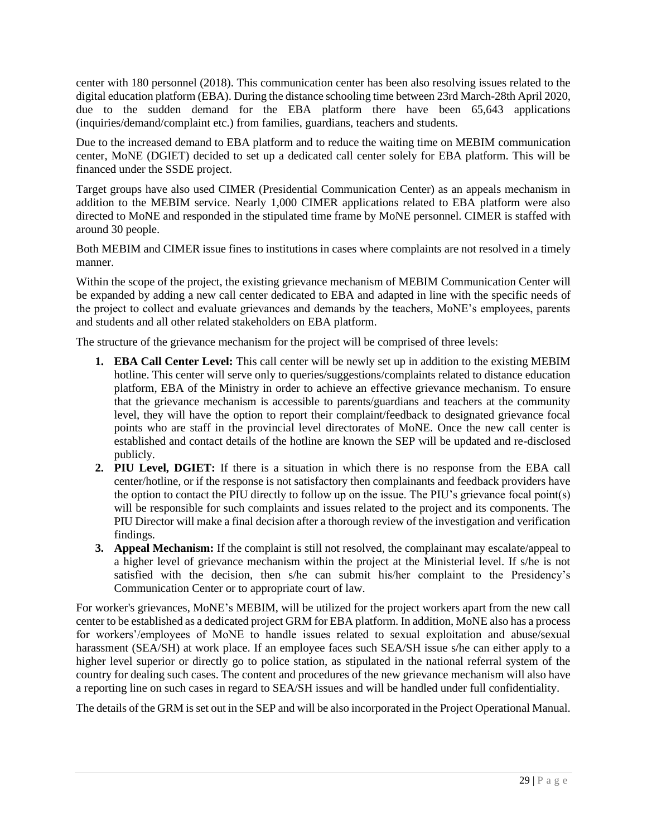center with 180 personnel (2018). This communication center has been also resolving issues related to the digital education platform (EBA). During the distance schooling time between 23rd March-28th April 2020, due to the sudden demand for the EBA platform there have been 65,643 applications (inquiries/demand/complaint etc.) from families, guardians, teachers and students.

Due to the increased demand to EBA platform and to reduce the waiting time on MEBIM communication center, MoNE (DGIET) decided to set up a dedicated call center solely for EBA platform. This will be financed under the SSDE project.

Target groups have also used CIMER (Presidential Communication Center) as an appeals mechanism in addition to the MEBIM service. Nearly 1,000 CIMER applications related to EBA platform were also directed to MoNE and responded in the stipulated time frame by MoNE personnel. CIMER is staffed with around 30 people.

Both MEBIM and CIMER issue fines to institutions in cases where complaints are not resolved in a timely manner.

Within the scope of the project, the existing grievance mechanism of MEBIM Communication Center will be expanded by adding a new call center dedicated to EBA and adapted in line with the specific needs of the project to collect and evaluate grievances and demands by the teachers, MoNE's employees, parents and students and all other related stakeholders on EBA platform.

The structure of the grievance mechanism for the project will be comprised of three levels:

- **1. EBA Call Center Level:** This call center will be newly set up in addition to the existing MEBIM hotline. This center will serve only to queries/suggestions/complaints related to distance education platform, EBA of the Ministry in order to achieve an effective grievance mechanism. To ensure that the grievance mechanism is accessible to parents/guardians and teachers at the community level, they will have the option to report their complaint/feedback to designated grievance focal points who are staff in the provincial level directorates of MoNE. Once the new call center is established and contact details of the hotline are known the SEP will be updated and re-disclosed publicly.
- **2. PIU Level, DGIET:** If there is a situation in which there is no response from the EBA call center/hotline, or if the response is not satisfactory then complainants and feedback providers have the option to contact the PIU directly to follow up on the issue. The PIU's grievance focal point(s) will be responsible for such complaints and issues related to the project and its components. The PIU Director will make a final decision after a thorough review of the investigation and verification findings.
- **3. Appeal Mechanism:** If the complaint is still not resolved, the complainant may escalate/appeal to a higher level of grievance mechanism within the project at the Ministerial level. If s/he is not satisfied with the decision, then s/he can submit his/her complaint to the Presidency's Communication Center or to appropriate court of law.

For worker's grievances, MoNE's MEBIM, will be utilized for the project workers apart from the new call center to be established as a dedicated project GRM for EBA platform. In addition, MoNE also has a process for workers'/employees of MoNE to handle issues related to sexual exploitation and abuse/sexual harassment (SEA/SH) at work place. If an employee faces such SEA/SH issue s/he can either apply to a higher level superior or directly go to police station, as stipulated in the national referral system of the country for dealing such cases. The content and procedures of the new grievance mechanism will also have a reporting line on such cases in regard to SEA/SH issues and will be handled under full confidentiality.

The details of the GRM is set out in the SEP and will be also incorporated in the Project Operational Manual.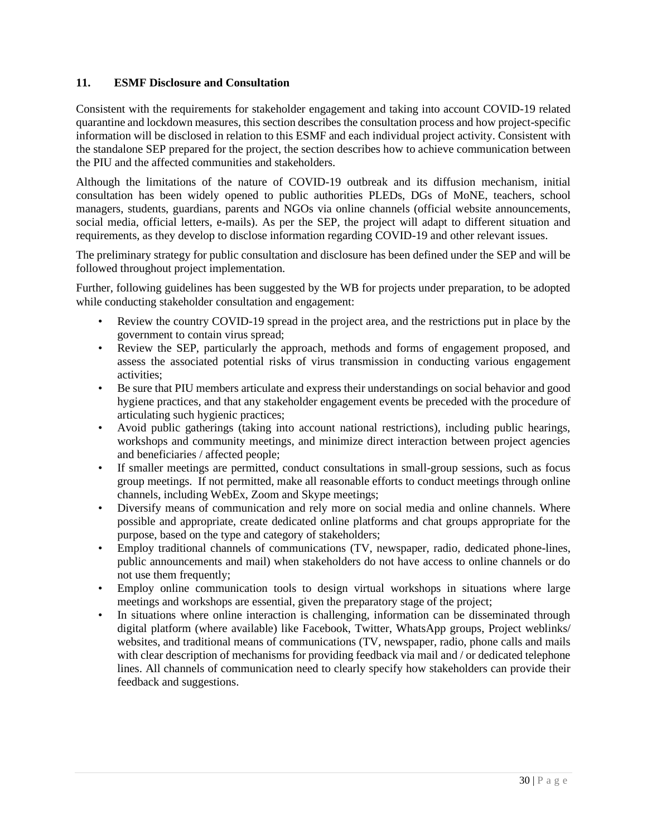# <span id="page-31-0"></span>**11. ESMF Disclosure and Consultation**

Consistent with the requirements for stakeholder engagement and taking into account COVID-19 related quarantine and lockdown measures, this section describes the consultation process and how project-specific information will be disclosed in relation to this ESMF and each individual project activity. Consistent with the standalone SEP prepared for the project, the section describes how to achieve communication between the PIU and the affected communities and stakeholders.

Although the limitations of the nature of COVID-19 outbreak and its diffusion mechanism, initial consultation has been widely opened to public authorities PLEDs, DGs of MoNE, teachers, school managers, students, guardians, parents and NGOs via online channels (official website announcements, social media, official letters, e-mails). As per the SEP, the project will adapt to different situation and requirements, as they develop to disclose information regarding COVID-19 and other relevant issues.

The preliminary strategy for public consultation and disclosure has been defined under the SEP and will be followed throughout project implementation.

Further, following guidelines has been suggested by the WB for projects under preparation, to be adopted while conducting stakeholder consultation and engagement:

- Review the country COVID-19 spread in the project area, and the restrictions put in place by the government to contain virus spread;
- Review the SEP, particularly the approach, methods and forms of engagement proposed, and assess the associated potential risks of virus transmission in conducting various engagement activities;
- Be sure that PIU members articulate and express their understandings on social behavior and good hygiene practices, and that any stakeholder engagement events be preceded with the procedure of articulating such hygienic practices;
- Avoid public gatherings (taking into account national restrictions), including public hearings, workshops and community meetings, and minimize direct interaction between project agencies and beneficiaries / affected people;
- If smaller meetings are permitted, conduct consultations in small-group sessions, such as focus group meetings. If not permitted, make all reasonable efforts to conduct meetings through online channels, including WebEx, Zoom and Skype meetings;
- Diversify means of communication and rely more on social media and online channels. Where possible and appropriate, create dedicated online platforms and chat groups appropriate for the purpose, based on the type and category of stakeholders;
- Employ traditional channels of communications (TV, newspaper, radio, dedicated phone-lines, public announcements and mail) when stakeholders do not have access to online channels or do not use them frequently;
- Employ online communication tools to design virtual workshops in situations where large meetings and workshops are essential, given the preparatory stage of the project;
- In situations where online interaction is challenging, information can be disseminated through digital platform (where available) like Facebook, Twitter, WhatsApp groups, Project weblinks/ websites, and traditional means of communications (TV, newspaper, radio, phone calls and mails with clear description of mechanisms for providing feedback via mail and / or dedicated telephone lines. All channels of communication need to clearly specify how stakeholders can provide their feedback and suggestions.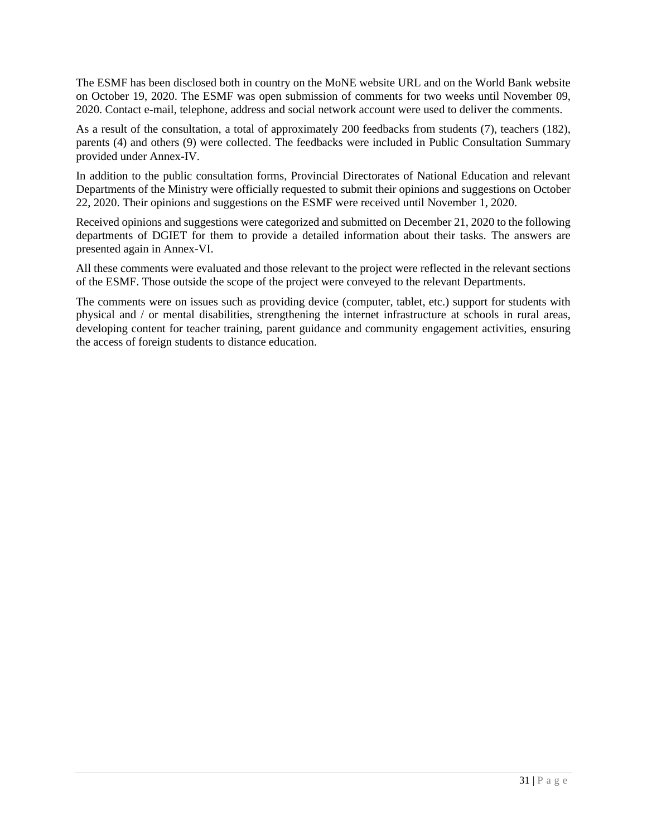The ESMF has been disclosed both in country on the MoNE website URL and on the World Bank website on October 19, 2020. The ESMF was open submission of comments for two weeks until November 09, 2020. Contact e-mail, telephone, address and social network account were used to deliver the comments.

As a result of the consultation, a total of approximately 200 feedbacks from students (7), teachers (182), parents (4) and others (9) were collected. The feedbacks were included in Public Consultation Summary provided under Annex-IV.

In addition to the public consultation forms, Provincial Directorates of National Education and relevant Departments of the Ministry were officially requested to submit their opinions and suggestions on October 22, 2020. Their opinions and suggestions on the ESMF were received until November 1, 2020.

Received opinions and suggestions were categorized and submitted on December 21, 2020 to the following departments of DGIET for them to provide a detailed information about their tasks. The answers are presented again in Annex-VI.

All these comments were evaluated and those relevant to the project were reflected in the relevant sections of the ESMF. Those outside the scope of the project were conveyed to the relevant Departments.

The comments were on issues such as providing device (computer, tablet, etc.) support for students with physical and / or mental disabilities, strengthening the internet infrastructure at schools in rural areas, developing content for teacher training, parent guidance and community engagement activities, ensuring the access of foreign students to distance education.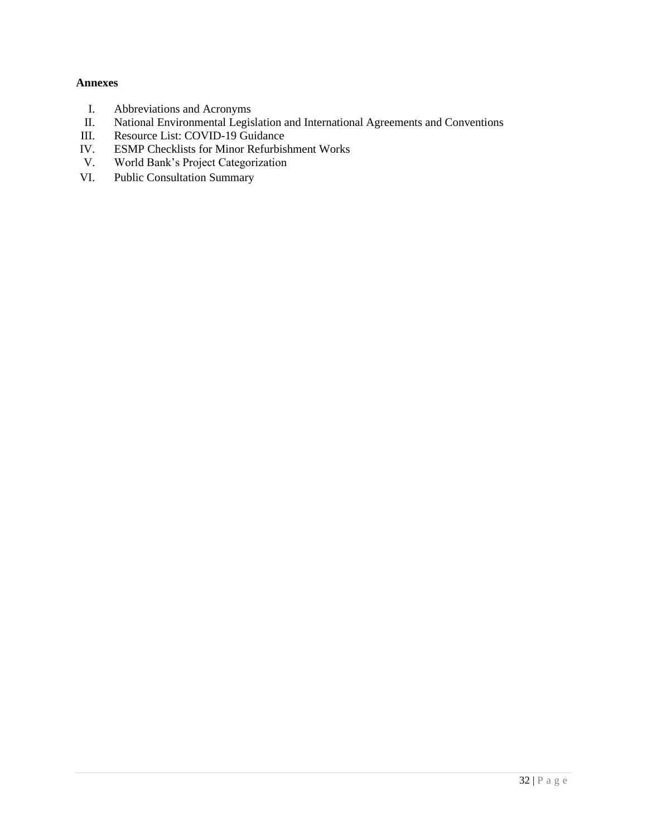# <span id="page-33-0"></span>**Annexes**

- I. Abbreviations and Acronyms<br>II. National Environmental Legis
- II. National Environmental Legislation and International Agreements and Conventions<br>III. Resource List: COVID-19 Guidance
- Resource List: COVID-19 Guidance
- IV. ESMP Checklists for Minor Refurbishment Works<br>V. World Bank's Project Categorization
- World Bank's Project Categorization
- VI. Public Consultation Summary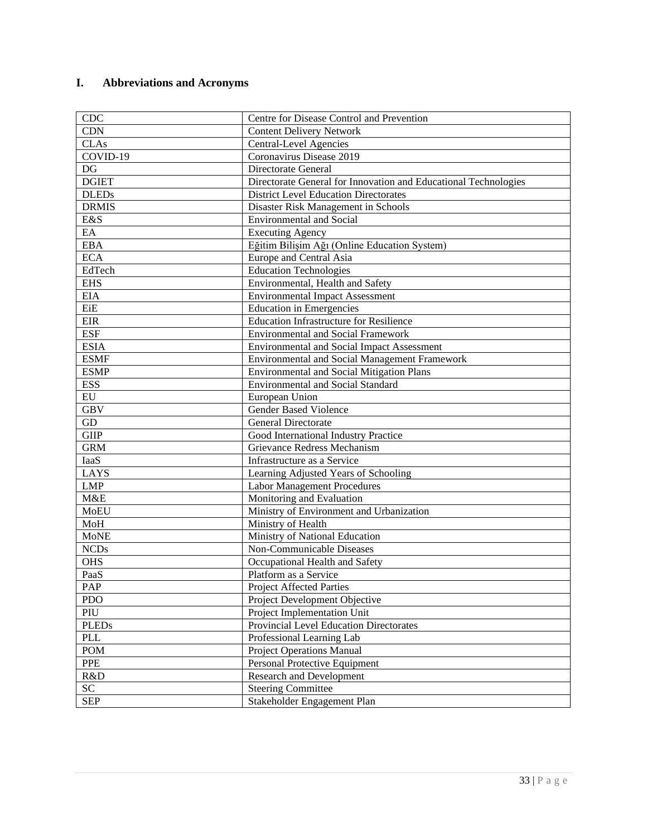# <span id="page-34-0"></span>**I. Abbreviations and Acronyms**

| <b>CDC</b>   | Centre for Disease Control and Prevention                       |
|--------------|-----------------------------------------------------------------|
| <b>CDN</b>   | <b>Content Delivery Network</b>                                 |
| <b>CLAs</b>  | <b>Central-Level Agencies</b>                                   |
| COVID-19     | Coronavirus Disease 2019                                        |
| DG           | <b>Directorate General</b>                                      |
| <b>DGIET</b> | Directorate General for Innovation and Educational Technologies |
| <b>DLEDs</b> | <b>District Level Education Directorates</b>                    |
| <b>DRMIS</b> | Disaster Risk Management in Schools                             |
| E&S          | <b>Environmental and Social</b>                                 |
| EA           | <b>Executing Agency</b>                                         |
| <b>EBA</b>   | Eğitim Bilişim Ağı (Online Education System)                    |
| <b>ECA</b>   | Europe and Central Asia                                         |
| EdTech       | <b>Education Technologies</b>                                   |
| <b>EHS</b>   | Environmental, Health and Safety                                |
| <b>EIA</b>   | <b>Environmental Impact Assessment</b>                          |
| EiE          | <b>Education in Emergencies</b>                                 |
| EIR          | <b>Education Infrastructure for Resilience</b>                  |
| <b>ESF</b>   | <b>Environmental and Social Framework</b>                       |
| <b>ESIA</b>  | <b>Environmental and Social Impact Assessment</b>               |
| <b>ESMF</b>  | <b>Environmental and Social Management Framework</b>            |
| <b>ESMP</b>  | <b>Environmental and Social Mitigation Plans</b>                |
| <b>ESS</b>   | <b>Environmental and Social Standard</b>                        |
| ${\rm EU}$   | European Union                                                  |
| <b>GBV</b>   | <b>Gender Based Violence</b>                                    |
| GD           | General Directorate                                             |
| <b>GIIP</b>  | Good International Industry Practice                            |
| <b>GRM</b>   | Grievance Redress Mechanism                                     |
| IaaS         | Infrastructure as a Service                                     |
| <b>LAYS</b>  | Learning Adjusted Years of Schooling                            |
| <b>LMP</b>   | <b>Labor Management Procedures</b>                              |
| M&E          | Monitoring and Evaluation                                       |
| <b>MoEU</b>  | Ministry of Environment and Urbanization                        |
| MoH          | Ministry of Health                                              |
| <b>MoNE</b>  | Ministry of National Education                                  |
| <b>NCDs</b>  | Non-Communicable Diseases                                       |
| <b>OHS</b>   | Occupational Health and Safety                                  |
| PaaS         | Platform as a Service                                           |
| PAP          | Project Affected Parties                                        |
| <b>PDO</b>   | Project Development Objective                                   |
| PIU          | Project Implementation Unit                                     |
| <b>PLEDs</b> | Provincial Level Education Directorates                         |
| <b>PLL</b>   | Professional Learning Lab                                       |
| <b>POM</b>   | Project Operations Manual                                       |
| <b>PPE</b>   | Personal Protective Equipment                                   |
| R&D          | <b>Research and Development</b>                                 |
| SC           | <b>Steering Committee</b>                                       |
| <b>SEP</b>   | Stakeholder Engagement Plan                                     |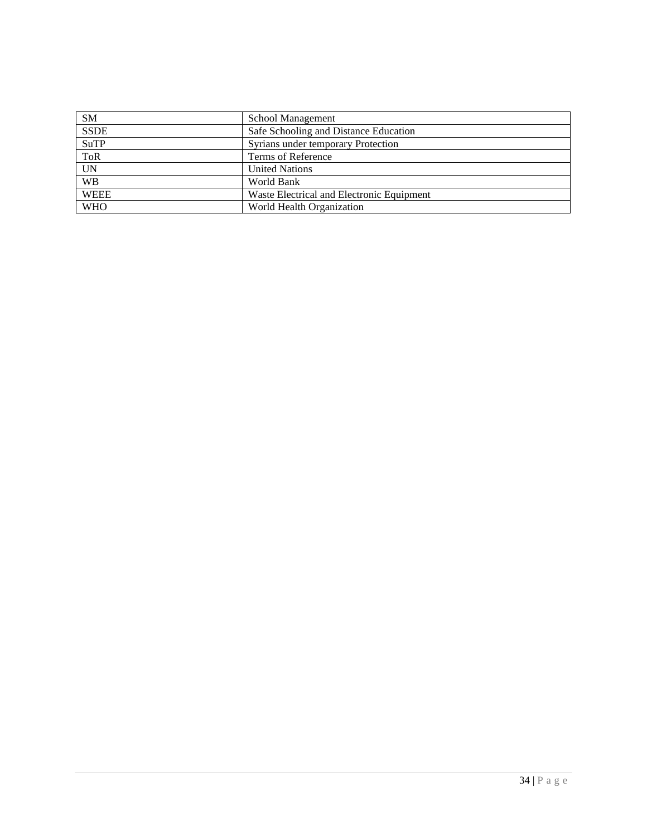| <b>SM</b>   | School Management                         |
|-------------|-------------------------------------------|
| <b>SSDE</b> | Safe Schooling and Distance Education     |
| <b>SuTP</b> | Syrians under temporary Protection        |
| <b>ToR</b>  | Terms of Reference                        |
| <b>UN</b>   | <b>United Nations</b>                     |
| <b>WB</b>   | World Bank                                |
| <b>WEEE</b> | Waste Electrical and Electronic Equipment |
| <b>WHO</b>  | World Health Organization                 |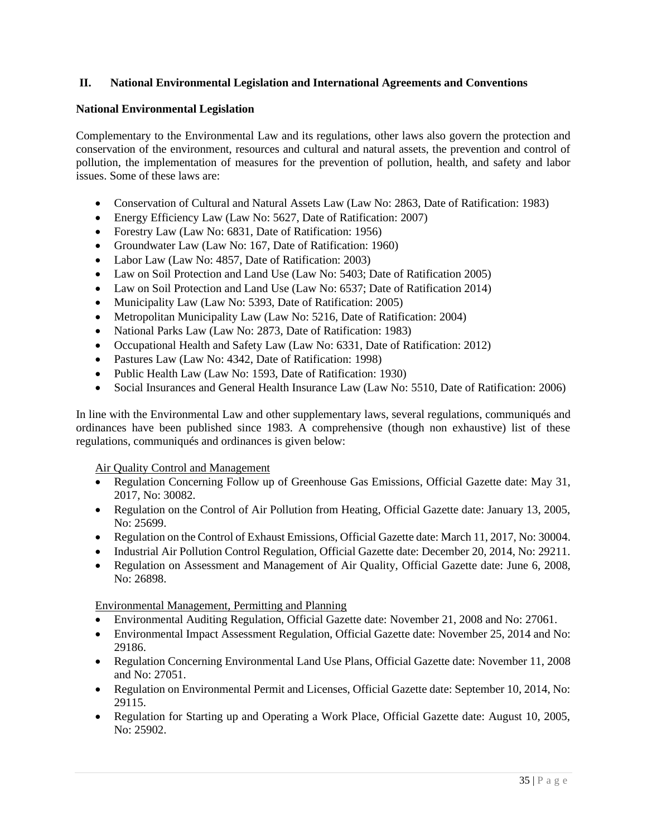# <span id="page-36-0"></span>**II. National Environmental Legislation and International Agreements and Conventions**

### **National Environmental Legislation**

Complementary to the Environmental Law and its regulations, other laws also govern the protection and conservation of the environment, resources and cultural and natural assets, the prevention and control of pollution, the implementation of measures for the prevention of pollution, health, and safety and labor issues. Some of these laws are:

- Conservation of Cultural and Natural Assets Law (Law No: 2863, Date of Ratification: 1983)
- Energy Efficiency Law (Law No: 5627, Date of Ratification: 2007)
- Forestry Law (Law No: 6831, Date of Ratification: 1956)
- Groundwater Law (Law No: 167, Date of Ratification: 1960)
- Labor Law (Law No: 4857, Date of Ratification: 2003)
- Law on Soil Protection and Land Use (Law No: 5403; Date of Ratification 2005)
- Law on Soil Protection and Land Use (Law No: 6537; Date of Ratification 2014)
- Municipality Law (Law No: 5393, Date of Ratification: 2005)
- Metropolitan Municipality Law (Law No: 5216, Date of Ratification: 2004)
- National Parks Law (Law No: 2873, Date of Ratification: 1983)
- Occupational Health and Safety Law (Law No: 6331, Date of Ratification: 2012)
- Pastures Law (Law No: 4342, Date of Ratification: 1998)
- Public Health Law (Law No: 1593, Date of Ratification: 1930)
- Social Insurances and General Health Insurance Law (Law No: 5510, Date of Ratification: 2006)

In line with the Environmental Law and other supplementary laws, several regulations, communiqués and ordinances have been published since 1983. A comprehensive (though non exhaustive) list of these regulations, communiqués and ordinances is given below:

#### Air Quality Control and Management

- Regulation Concerning Follow up of Greenhouse Gas Emissions, Official Gazette date: May 31, 2017, No: 30082.
- Regulation on the Control of Air Pollution from Heating, Official Gazette date: January 13, 2005, No: 25699.
- Regulation on the Control of Exhaust Emissions, Official Gazette date: March 11, 2017, No: 30004.
- Industrial Air Pollution Control Regulation, Official Gazette date: December 20, 2014, No: 29211.
- Regulation on Assessment and Management of Air Quality, Official Gazette date: June 6, 2008, No: 26898.

Environmental Management, Permitting and Planning

- Environmental Auditing Regulation, Official Gazette date: November 21, 2008 and No: 27061.
- Environmental Impact Assessment Regulation, Official Gazette date: November 25, 2014 and No: 29186.
- Regulation Concerning Environmental Land Use Plans, Official Gazette date: November 11, 2008 and No: 27051.
- Regulation on Environmental Permit and Licenses, Official Gazette date: September 10, 2014, No: 29115.
- Regulation for Starting up and Operating a Work Place, Official Gazette date: August 10, 2005, No: 25902.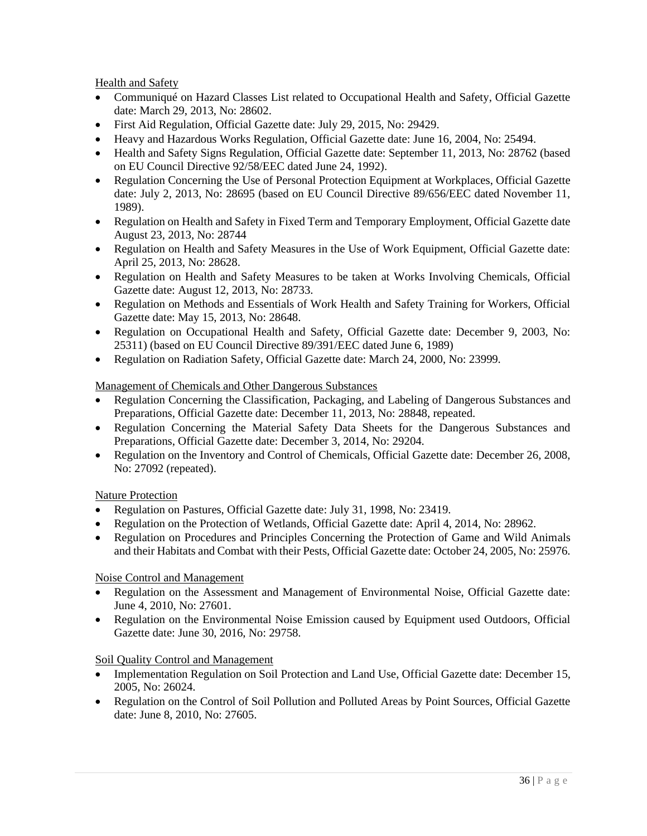Health and Safety

- Communiqué on Hazard Classes List related to Occupational Health and Safety, Official Gazette date: March 29, 2013, No: 28602.
- First Aid Regulation, Official Gazette date: July 29, 2015, No: 29429.
- Heavy and Hazardous Works Regulation, Official Gazette date: June 16, 2004, No: 25494.
- Health and Safety Signs Regulation, Official Gazette date: September 11, 2013, No: 28762 (based on EU Council Directive 92/58/EEC dated June 24, 1992).
- Regulation Concerning the Use of Personal Protection Equipment at Workplaces, Official Gazette date: July 2, 2013, No: 28695 (based on EU Council Directive 89/656/EEC dated November 11, 1989).
- Regulation on Health and Safety in Fixed Term and Temporary Employment, Official Gazette date August 23, 2013, No: 28744
- Regulation on Health and Safety Measures in the Use of Work Equipment, Official Gazette date: April 25, 2013, No: 28628.
- Regulation on Health and Safety Measures to be taken at Works Involving Chemicals, Official Gazette date: August 12, 2013, No: 28733.
- Regulation on Methods and Essentials of Work Health and Safety Training for Workers, Official Gazette date: May 15, 2013, No: 28648.
- Regulation on Occupational Health and Safety, Official Gazette date: December 9, 2003, No: 25311) (based on EU Council Directive 89/391/EEC dated June 6, 1989)
- Regulation on Radiation Safety, Official Gazette date: March 24, 2000, No: 23999.

# Management of Chemicals and Other Dangerous Substances

- Regulation Concerning the Classification, Packaging, and Labeling of Dangerous Substances and Preparations, Official Gazette date: December 11, 2013, No: 28848, repeated.
- Regulation Concerning the Material Safety Data Sheets for the Dangerous Substances and Preparations, Official Gazette date: December 3, 2014, No: 29204.
- Regulation on the Inventory and Control of Chemicals, Official Gazette date: December 26, 2008, No: 27092 (repeated).

#### Nature Protection

- Regulation on Pastures, Official Gazette date: July 31, 1998, No: 23419.
- Regulation on the Protection of Wetlands, Official Gazette date: April 4, 2014, No: 28962.
- Regulation on Procedures and Principles Concerning the Protection of Game and Wild Animals and their Habitats and Combat with their Pests, Official Gazette date: October 24, 2005, No: 25976.

#### Noise Control and Management

- Regulation on the Assessment and Management of Environmental Noise, Official Gazette date: June 4, 2010, No: 27601.
- Regulation on the Environmental Noise Emission caused by Equipment used Outdoors, Official Gazette date: June 30, 2016, No: 29758.

#### Soil Quality Control and Management

- Implementation Regulation on Soil Protection and Land Use, Official Gazette date: December 15, 2005, No: 26024.
- Regulation on the Control of Soil Pollution and Polluted Areas by Point Sources, Official Gazette date: June 8, 2010, No: 27605.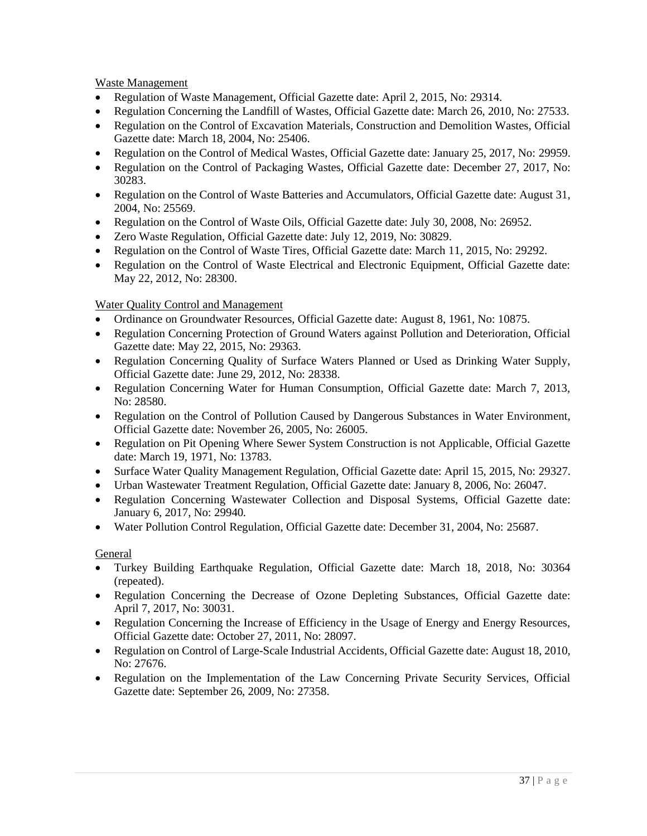Waste Management

- Regulation of Waste Management, Official Gazette date: April 2, 2015, No: 29314.
- Regulation Concerning the Landfill of Wastes, Official Gazette date: March 26, 2010, No: 27533.
- Regulation on the Control of Excavation Materials, Construction and Demolition Wastes, Official Gazette date: March 18, 2004, No: 25406.
- Regulation on the Control of Medical Wastes, Official Gazette date: January 25, 2017, No: 29959.
- Regulation on the Control of Packaging Wastes, Official Gazette date: December 27, 2017, No: 30283.
- Regulation on the Control of Waste Batteries and Accumulators, Official Gazette date: August 31, 2004, No: 25569.
- Regulation on the Control of Waste Oils, Official Gazette date: July 30, 2008, No: 26952.
- Zero Waste Regulation, Official Gazette date: July 12, 2019, No: 30829.
- Regulation on the Control of Waste Tires, Official Gazette date: March 11, 2015, No: 29292.
- Regulation on the Control of Waste Electrical and Electronic Equipment, Official Gazette date: May 22, 2012, No: 28300.

# Water Quality Control and Management

- Ordinance on Groundwater Resources, Official Gazette date: August 8, 1961, No: 10875.
- Regulation Concerning Protection of Ground Waters against Pollution and Deterioration, Official Gazette date: May 22, 2015, No: 29363.
- Regulation Concerning Quality of Surface Waters Planned or Used as Drinking Water Supply, Official Gazette date: June 29, 2012, No: 28338.
- Regulation Concerning Water for Human Consumption, Official Gazette date: March 7, 2013, No: 28580.
- Regulation on the Control of Pollution Caused by Dangerous Substances in Water Environment, Official Gazette date: November 26, 2005, No: 26005.
- Regulation on Pit Opening Where Sewer System Construction is not Applicable, Official Gazette date: March 19, 1971, No: 13783.
- Surface Water Quality Management Regulation, Official Gazette date: April 15, 2015, No: 29327.
- Urban Wastewater Treatment Regulation, Official Gazette date: January 8, 2006, No: 26047.
- Regulation Concerning Wastewater Collection and Disposal Systems, Official Gazette date: January 6, 2017, No: 29940.
- Water Pollution Control Regulation, Official Gazette date: December 31, 2004, No: 25687.

# **General**

- Turkey Building Earthquake Regulation, Official Gazette date: March 18, 2018, No: 30364 (repeated).
- Regulation Concerning the Decrease of Ozone Depleting Substances, Official Gazette date: April 7, 2017, No: 30031.
- Regulation Concerning the Increase of Efficiency in the Usage of Energy and Energy Resources, Official Gazette date: October 27, 2011, No: 28097.
- Regulation on Control of Large-Scale Industrial Accidents, Official Gazette date: August 18, 2010, No: 27676.
- Regulation on the Implementation of the Law Concerning Private Security Services, Official Gazette date: September 26, 2009, No: 27358.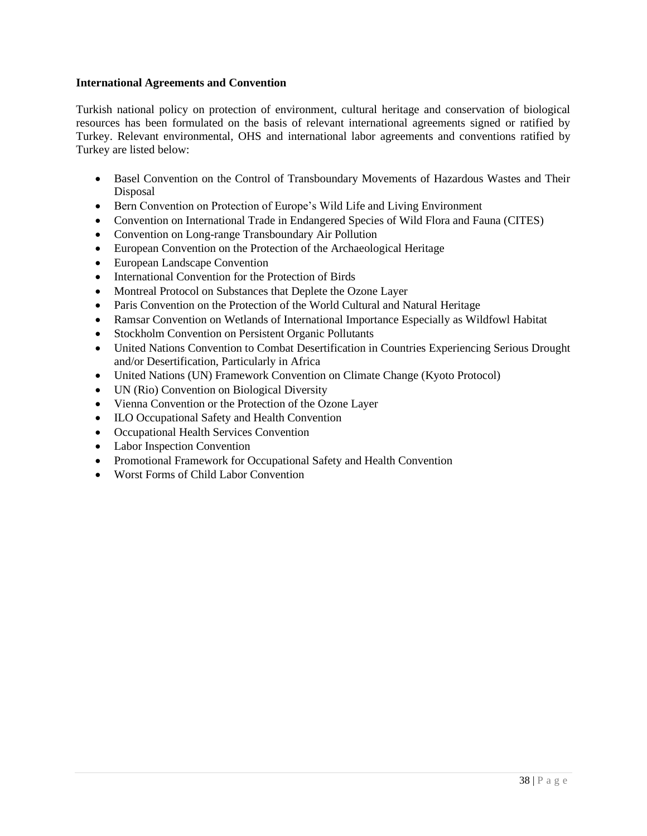#### **International Agreements and Convention**

Turkish national policy on protection of environment, cultural heritage and conservation of biological resources has been formulated on the basis of relevant international agreements signed or ratified by Turkey. Relevant environmental, OHS and international labor agreements and conventions ratified by Turkey are listed below:

- Basel Convention on the Control of Transboundary Movements of Hazardous Wastes and Their Disposal
- Bern Convention on Protection of Europe's Wild Life and Living Environment
- Convention on International Trade in Endangered Species of Wild Flora and Fauna (CITES)
- Convention on Long-range Transboundary Air Pollution
- European Convention on the Protection of the Archaeological Heritage
- European Landscape Convention
- International Convention for the Protection of Birds
- Montreal Protocol on Substances that Deplete the Ozone Layer
- Paris Convention on the Protection of the World Cultural and Natural Heritage
- Ramsar Convention on Wetlands of International Importance Especially as Wildfowl Habitat
- Stockholm Convention on Persistent Organic Pollutants
- United Nations Convention to Combat Desertification in Countries Experiencing Serious Drought and/or Desertification, Particularly in Africa
- United Nations (UN) Framework Convention on Climate Change (Kyoto Protocol)
- UN (Rio) Convention on Biological Diversity
- Vienna Convention or the Protection of the Ozone Layer
- ILO Occupational Safety and Health Convention
- Occupational Health Services Convention
- Labor Inspection Convention
- Promotional Framework for Occupational Safety and Health Convention
- Worst Forms of Child Labor Convention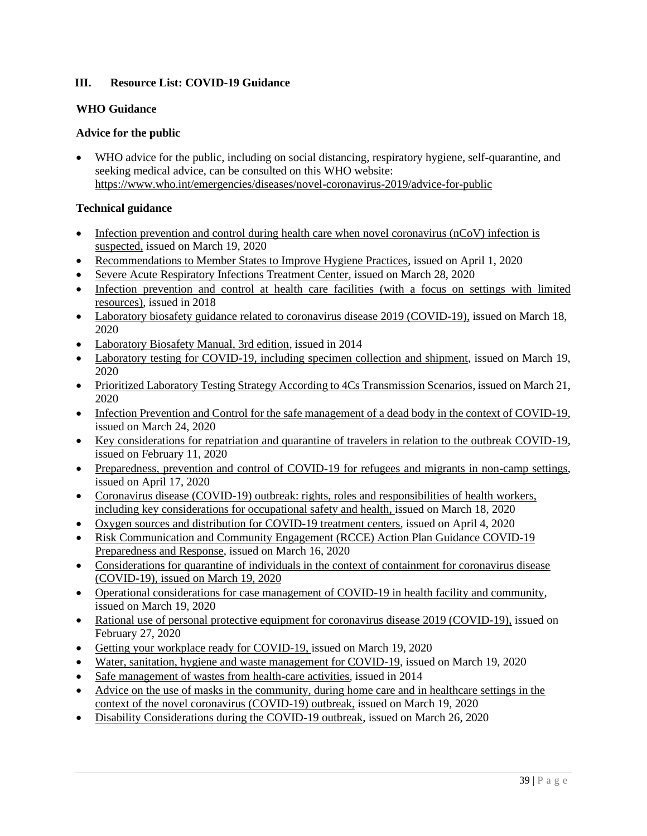# <span id="page-40-0"></span>**III. Resource List: COVID-19 Guidance**

# **WHO Guidance**

# **Advice for the public**

• WHO advice for the public, including on social distancing, respiratory hygiene, self-quarantine, and seeking medical advice, can be consulted on this WHO website: <https://www.who.int/emergencies/diseases/novel-coronavirus-2019/advice-for-public>

# **Technical guidance**

- [Infection prevention and control during health care when novel coronavirus \(nCoV\) infection is](https://www.who.int/publications-detail/infection-prevention-and-control-during-health-care-when-novel-coronavirus-(ncov)-infection-is-suspected-20200125)  [suspected,](https://www.who.int/publications-detail/infection-prevention-and-control-during-health-care-when-novel-coronavirus-(ncov)-infection-is-suspected-20200125) issued on March 19, 2020
- [Recommendations to Member States to Improve Hygiene Practices,](https://www.who.int/publications-detail/recommendations-to-member-states-to-improve-hand-hygiene-practices-to-help-prevent-the-transmission-of-the-covid-19-virus) issued on April 1, 2020
- [Severe Acute Respiratory Infections Treatment Center,](https://www.who.int/publications-detail/severe-acute-respiratory-infections-treatment-centre) issued on March 28, 2020
- [Infection prevention and control at health care facilities \(with a focus on settings with limited](https://www.who.int/infection-prevention/tools/core-components/facility-manual.pdf)  [resources\),](https://www.who.int/infection-prevention/tools/core-components/facility-manual.pdf) issued in 2018
- [Laboratory biosafety guidance related to coronavirus disease 2019 \(COVID-19\),](https://www.who.int/publications-detail/laboratory-biosafety-guidance-related-to-coronavirus-disease-2019-(covid-19)) issued on March 18, 2020
- [Laboratory Biosafety Manual, 3rd edition,](https://www.who.int/csr/resources/publications/biosafety/Biosafety7.pdf?ua=1) issued in 2014
- [Laboratory testing for COVID-19, including specimen collection and shipment,](https://www.who.int/publications-detail/laboratory-testing-for-2019-novel-coronavirus-in-suspected-human-cases-20200117) issued on March 19, 2020
- [Prioritized Laboratory Testing Strategy According to 4Cs Transmission Scenarios,](https://apps.who.int/iris/bitstream/handle/10665/331509/WHO-COVID-19-lab_testing-2020.1-eng.pdf) issued on March 21, 2020
- [Infection Prevention and Control for the safe management of a dead body in the context of COVID-19,](https://apps.who.int/iris/bitstream/handle/10665/331538/WHO-COVID-19-lPC_DBMgmt-2020.1-eng.pdf) issued on March 24, 2020
- [Key considerations for repatriation and quarantine of travelers in relation to the outbreak COVID-19,](https://www.who.int/news-room/articles-detail/key-considerations-for-repatriation-and-quarantine-of-travellers-in-relation-to-the-outbreak-of-novel-coronavirus-2019-ncov) issued on February 11, 2020
- [Preparedness, prevention and control of COVID-19 for refugees and migrants in non-camp settings,](https://www.who.int/publications-detail/preparedness-prevention-and-control-of-coronavirus-disease-(covid-19)-for-refugees-and-migrants-in-non-camp-settings) issued on April 17, 2020
- [Coronavirus disease \(COVID-19\) outbreak: rights, roles and responsibilities of health workers,](https://www.who.int/publications-detail/coronavirus-disease-(covid-19)-outbreak-rights-roles-and-responsibilities-of-health-workers-including-key-considerations-for-occupational-safety-and-health)  [including key considerations for occupational safety and health,](https://www.who.int/publications-detail/coronavirus-disease-(covid-19)-outbreak-rights-roles-and-responsibilities-of-health-workers-including-key-considerations-for-occupational-safety-and-health) issued on March 18, 2020
- [Oxygen sources and distribution for COVID-19 treatment centers,](https://www.who.int/publications-detail/oxygen-sources-and-distribution-for-covid-19-treatment-centres) issued on April 4, 2020
- Risk Communication and Community Engagement (RCCE) Action Plan Guidance COVID-19 [Preparedness and Response,](https://www.who.int/publications-detail/risk-communication-and-community-engagement-(rcce)-action-plan-guidance) issued on March 16, 2020
- Considerations for quarantine of individuals in the context of containment for coronavirus disease [\(COVID-19\),](https://www.who.int/publications-detail/considerations-for-quarantine-of-individuals-in-the-context-of-containment-for-coronavirus-disease-(covid-19)) issued on March 19, 2020
- [Operational considerations for case management of COVID-19 in health facility and community,](https://apps.who.int/iris/bitstream/handle/10665/331492/WHO-2019-nCoV-HCF_operations-2020.1-eng.pdf) issued on March 19, 2020
- [Rational use of personal protective equipment for coronavirus disease 2019 \(COVID-19\),](https://apps.who.int/iris/bitstream/handle/10665/331215/WHO-2019-nCov-IPCPPE_use-2020.1-eng.pdf) issued on February 27, 2020
- [Getting your workplace ready for COVID-19,](https://www.who.int/docs/default-source/coronaviruse/getting-workplace-ready-for-covid-19.pdf) issued on March 19, 2020
- [Water, sanitation, hygiene and waste management for COVID-19,](https://www.who.int/publications-detail/water-sanitation-hygiene-and-waste-management-for-covid-19) issued on March 19, 2020
- [Safe management of wastes from health-care activities,](https://apps.who.int/iris/bitstream/handle/10665/85349/9789241548564_eng.pdf?sequence=1) issued in 2014
- [Advice on the use of masks in the community, during home care and in healthcare settings in the](https://www.who.int/publications-detail/advice-on-the-use-of-masks-in-the-community-during-home-care-and-in-healthcare-settings-in-the-context-of-the-novel-coronavirus-(2019-ncov)-outbreak)  [context of the novel coronavirus \(COVID-19\) outbreak,](https://www.who.int/publications-detail/advice-on-the-use-of-masks-in-the-community-during-home-care-and-in-healthcare-settings-in-the-context-of-the-novel-coronavirus-(2019-ncov)-outbreak) issued on March 19, 2020
- [Disability Considerations during the COVID-19](https://www.who.int/who-documents-detail/disability-considerations-during-the-covid-19-outbreak) outbreak, issued on March 26, 2020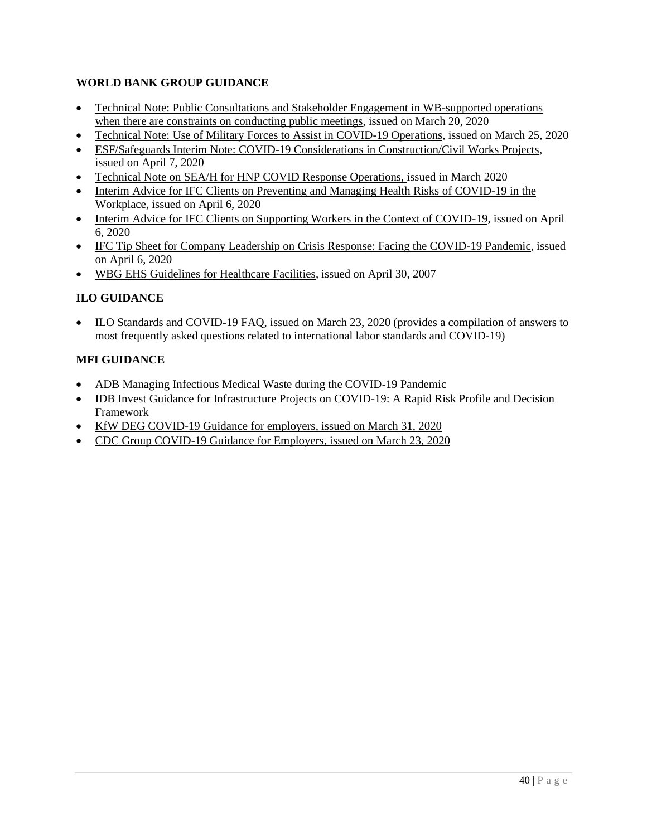# **WORLD BANK GROUP GUIDANCE**

- Technical Note: Public Consultations and Stakeholder Engagement in WB-supported operations [when there are constraints on conducting public meetings,](https://worldbankgroup.sharepoint.com/sites/wbunits/opcs/Knowledge%20Base/Public%20Consultations%20in%20WB%20Operations.pdf) issued on March 20, 2020
- [Technical Note: Use of Military Forces to Assist in COVID-19 Operations,](https://worldbankgroup.sharepoint.com/sites/wbunits/opcs/Knowledge%20Base/Security%20Forces%20EandS%20issues%20in%20COVID%20projects.pdf) issued on March 25, 2020
- [ESF/Safeguards Interim Note: COVID-19 Considerations in Construction/Civil Works Projects,](https://worldbankgroup.sharepoint.com/sites/wbunits/opcs/Knowledge%20Base/ESF%20Safeguards%20Interim%20Note%20Construction%20Civil%20Works%20COVID.pdf) issued on April 7, 2020
- [Technical Note on SEA/H for HNP COVID Response Operations,](https://worldbankgroup.sharepoint.com/sites/gsg/HealthySocieties/Documents/COVID-19/Technical%20Note%20on%20addressing%20SEAH%20in%20HNP%20COVID%20response%20operations.pdf) issued in March 2020
- [Interim Advice for IFC Clients on Preventing and Managing Health Risks](https://www.ifc.org/wps/wcm/connect/topics_ext_content/ifc_external_corporate_site/sustainability-at-ifc/publications/publications_tipsheet_covid-19-ohs) of COVID-19 in the [Workplace,](https://www.ifc.org/wps/wcm/connect/topics_ext_content/ifc_external_corporate_site/sustainability-at-ifc/publications/publications_tipsheet_covid-19-ohs) issued on April 6, 2020
- Interim Advice for [IFC Clients on Supporting Workers in the Context of COVID-19,](https://www.ifc.org/wps/wcm/connect/topics_ext_content/ifc_external_corporate_site/sustainability-at-ifc/publications/publications_tipsheet_covid-19_supportingworkers) issued on April 6, 2020
- [IFC Tip Sheet for Company Leadership on Crisis Response: Facing the COVID-19 Pandemic,](https://www.ifc.org/wps/wcm/connect/topics_ext_content/ifc_external_corporate_site/ifc+cg/resources/guidelines_reviews+and+case+studies/tip+sheet+for+company+leadership+on+crisis+response+-+facing+the+covid-19+pandemic) issued on April 6, 2020
- [WBG EHS Guidelines for Healthcare Facilities,](https://www.ifc.org/wps/wcm/connect/960ef524-1fa5-4696-8db3-82c60edf5367/Final%2B-%2BHealth%2BCare%2BFacilities.pdf?MOD=AJPERES&CVID=jqeCW2Q&id=1323161961169) issued on April 30, 2007

# **ILO GUIDANCE**

• [ILO Standards and COVID-19 FAQ,](https://www.ilo.org/wcmsp5/groups/public/---ed_norm/---normes/documents/publication/wcms_739937.pdf) issued on March 23, 2020 (provides a compilation of answers to most frequently asked questions related to international labor standards and COVID-19)

# **MFI GUIDANCE**

- [ADB Managing Infectious Medical Waste during the COVID-19 Pandemic](https://www.adb.org/publications/managing-medical-waste-covid19)
- [IDB Invest](https://idbinvest.org/en/download/9625) [Guidance for Infrastructure Projects on COVID-19: A Rapid Risk Profile and Decision](https://idbinvest.org/en/download/9625)  [Framework](https://idbinvest.org/en/download/9625)
- [KfW DEG COVID-19 Guidance for employers,](https://www.deginvest.de/Unsere-L%C3%B6sungen/COVID-19-DEG-information-for-customers-and-business-partners/) issued on March 31, 2020
- [CDC Group COVID-19 Guidance for Employers,](https://assets.cdcgroup.com/wp-content/uploads/2020/03/23093424/COVID-19-CDC-ESG-Guidance.pdf) issued on March 23, 2020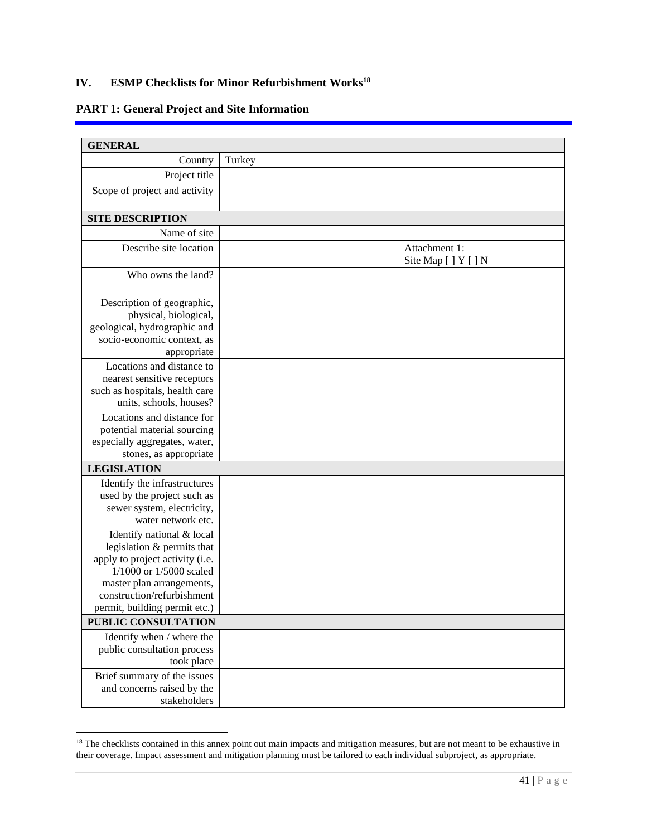# <span id="page-42-0"></span>**IV. ESMP Checklists for Minor Refurbishment Works<sup>18</sup>**

# **PART 1: General Project and Site Information**

| <b>GENERAL</b>                            |                                       |
|-------------------------------------------|---------------------------------------|
| Country                                   | Turkey                                |
| Project title                             |                                       |
| Scope of project and activity             |                                       |
|                                           |                                       |
| <b>SITE DESCRIPTION</b>                   |                                       |
| Name of site                              |                                       |
| Describe site location                    | Attachment 1:<br>Site Map [ ] Y [ ] N |
| Who owns the land?                        |                                       |
| Description of geographic,                |                                       |
| physical, biological,                     |                                       |
| geological, hydrographic and              |                                       |
| socio-economic context, as<br>appropriate |                                       |
| Locations and distance to                 |                                       |
| nearest sensitive receptors               |                                       |
| such as hospitals, health care            |                                       |
| units, schools, houses?                   |                                       |
| Locations and distance for                |                                       |
| potential material sourcing               |                                       |
| especially aggregates, water,             |                                       |
| stones, as appropriate                    |                                       |
| <b>LEGISLATION</b>                        |                                       |
| Identify the infrastructures              |                                       |
| used by the project such as               |                                       |
| sewer system, electricity,                |                                       |
| water network etc.                        |                                       |
| Identify national & local                 |                                       |
| legislation & permits that                |                                       |
| apply to project activity (i.e.           |                                       |
| 1/1000 or 1/5000 scaled                   |                                       |
| master plan arrangements,                 |                                       |
| construction/refurbishment                |                                       |
| permit, building permit etc.)             |                                       |
| PUBLIC CONSULTATION                       |                                       |
| Identify when / where the                 |                                       |
| public consultation process               |                                       |
| took place                                |                                       |
| Brief summary of the issues               |                                       |
| and concerns raised by the                |                                       |
| stakeholders                              |                                       |

<sup>&</sup>lt;sup>18</sup> The checklists contained in this annex point out main impacts and mitigation measures, but are not meant to be exhaustive in their coverage. Impact assessment and mitigation planning must be tailored to each individual subproject, as appropriate.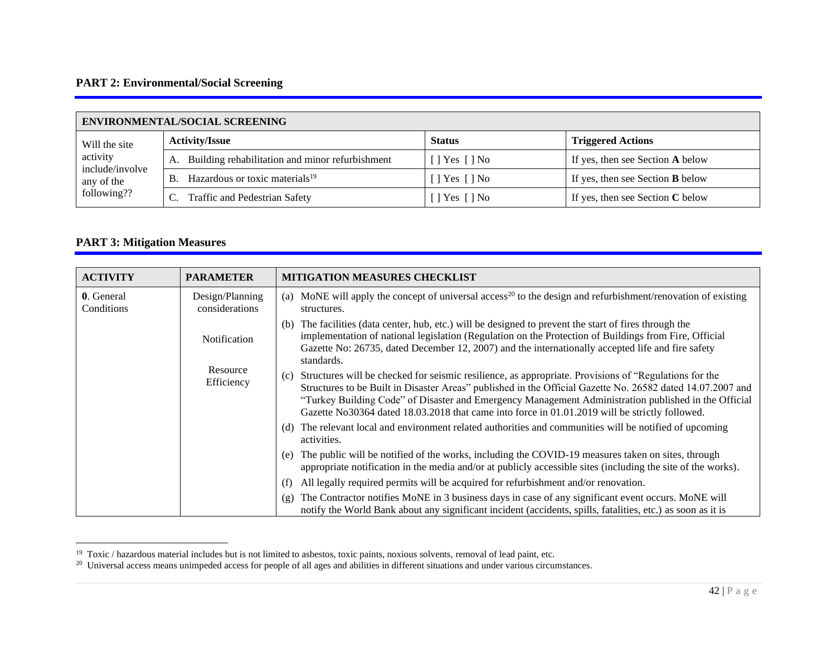# **PART 2: Environmental/Social Screening**

| <b>ENVIRONMENTAL/SOCIAL SCREENING</b> |                                                         |                              |                                         |  |  |  |  |
|---------------------------------------|---------------------------------------------------------|------------------------------|-----------------------------------------|--|--|--|--|
| Will the site                         | <b>Activity/Issue</b>                                   | <b>Status</b>                | <b>Triggered Actions</b>                |  |  |  |  |
| activity                              | Building rehabilitation and minor refurbishment<br>А.   | $[$   Yes $[$   No           | If yes, then see Section A below        |  |  |  |  |
| include/involve<br>any of the         | Hazardous or toxic materials <sup>19</sup><br><b>B.</b> | $\lceil$   Yes $\lceil$   No | If yes, then see Section <b>B</b> below |  |  |  |  |
| following??                           | Traffic and Pedestrian Safety                           | $\lceil$ Yes $\lceil$ No     | If yes, then see Section $C$ below      |  |  |  |  |

# **PART 3: Mitigation Measures**

| <b>ACTIVITY</b>          | <b>PARAMETER</b>                              | <b>MITIGATION MEASURES CHECKLIST</b>                                                                                                                                                                                                                                                                                                                                                                                                 |
|--------------------------|-----------------------------------------------|--------------------------------------------------------------------------------------------------------------------------------------------------------------------------------------------------------------------------------------------------------------------------------------------------------------------------------------------------------------------------------------------------------------------------------------|
| 0. General<br>Conditions | Design/Planning<br>considerations             | MoNE will apply the concept of universal access <sup>20</sup> to the design and refurbishment/renovation of existing<br>(a)<br>structures.                                                                                                                                                                                                                                                                                           |
|                          | <b>Notification</b><br>Resource<br>Efficiency | The facilities (data center, hub, etc.) will be designed to prevent the start of fires through the<br>(b)<br>implementation of national legislation (Regulation on the Protection of Buildings from Fire, Official<br>Gazette No: 26735, dated December 12, 2007) and the internationally accepted life and fire safety<br>standards.                                                                                                |
|                          |                                               | Structures will be checked for seismic resilience, as appropriate. Provisions of "Regulations for the<br>(c)<br>Structures to be Built in Disaster Areas" published in the Official Gazette No. 26582 dated 14.07.2007 and<br>"Turkey Building Code" of Disaster and Emergency Management Administration published in the Official<br>Gazette No30364 dated 18.03.2018 that came into force in 01.01.2019 will be strictly followed. |
|                          |                                               | The relevant local and environment related authorities and communities will be notified of upcoming<br>(d)<br>activities.                                                                                                                                                                                                                                                                                                            |
|                          |                                               | The public will be notified of the works, including the COVID-19 measures taken on sites, through<br>(e)<br>appropriate notification in the media and/or at publicly accessible sites (including the site of the works).                                                                                                                                                                                                             |
|                          |                                               | All legally required permits will be acquired for refurbishment and/or renovation.<br>(f)                                                                                                                                                                                                                                                                                                                                            |
|                          |                                               | The Contractor notifies MoNE in 3 business days in case of any significant event occurs. MoNE will<br>(g)<br>notify the World Bank about any significant incident (accidents, spills, fatalities, etc.) as soon as it is                                                                                                                                                                                                             |

<sup>&</sup>lt;sup>19</sup> Toxic / hazardous material includes but is not limited to asbestos, toxic paints, noxious solvents, removal of lead paint, etc.<br><sup>20</sup> Universal access means unimpeded access for people of all ages and abilities in dif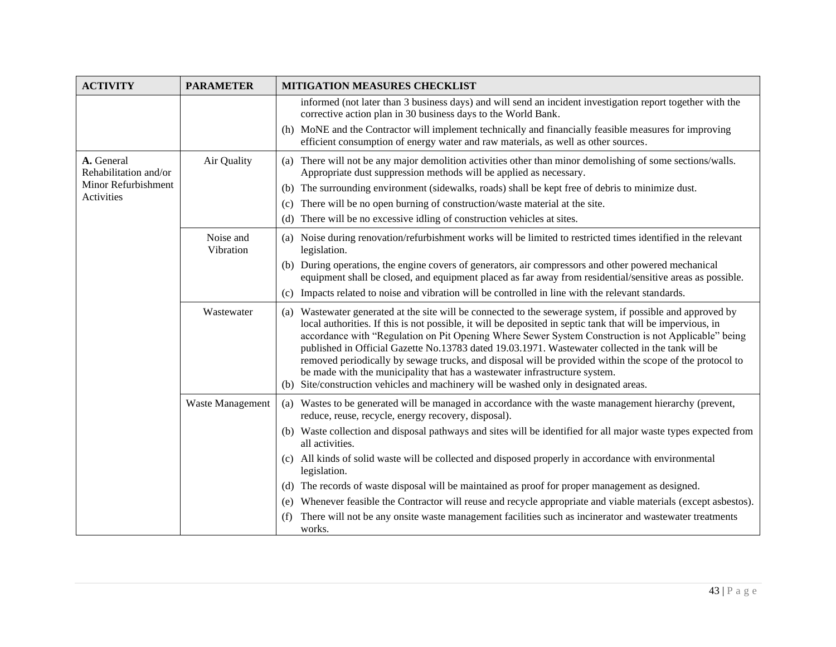| <b>ACTIVITY</b>                     | <b>PARAMETER</b>       | <b>MITIGATION MEASURES CHECKLIST</b>                                                                                                                                                                                                                                                                                                                                                                                                                                                                                                                                                                                                                                                                                     |  |  |  |  |  |
|-------------------------------------|------------------------|--------------------------------------------------------------------------------------------------------------------------------------------------------------------------------------------------------------------------------------------------------------------------------------------------------------------------------------------------------------------------------------------------------------------------------------------------------------------------------------------------------------------------------------------------------------------------------------------------------------------------------------------------------------------------------------------------------------------------|--|--|--|--|--|
|                                     |                        | informed (not later than 3 business days) and will send an incident investigation report together with the<br>corrective action plan in 30 business days to the World Bank.                                                                                                                                                                                                                                                                                                                                                                                                                                                                                                                                              |  |  |  |  |  |
|                                     |                        | (h) MoNE and the Contractor will implement technically and financially feasible measures for improving<br>efficient consumption of energy water and raw materials, as well as other sources.                                                                                                                                                                                                                                                                                                                                                                                                                                                                                                                             |  |  |  |  |  |
| A. General<br>Rehabilitation and/or | Air Quality            | There will not be any major demolition activities other than minor demolishing of some sections/walls.<br>(a)<br>Appropriate dust suppression methods will be applied as necessary.                                                                                                                                                                                                                                                                                                                                                                                                                                                                                                                                      |  |  |  |  |  |
| Minor Refurbishment                 |                        | (b) The surrounding environment (sidewalks, roads) shall be kept free of debris to minimize dust.                                                                                                                                                                                                                                                                                                                                                                                                                                                                                                                                                                                                                        |  |  |  |  |  |
| Activities                          |                        | There will be no open burning of construction/waste material at the site.<br>(c)                                                                                                                                                                                                                                                                                                                                                                                                                                                                                                                                                                                                                                         |  |  |  |  |  |
|                                     |                        | There will be no excessive idling of construction vehicles at sites.<br>(d)                                                                                                                                                                                                                                                                                                                                                                                                                                                                                                                                                                                                                                              |  |  |  |  |  |
|                                     | Noise and<br>Vibration | (a) Noise during renovation/refurbishment works will be limited to restricted times identified in the relevant<br>legislation.                                                                                                                                                                                                                                                                                                                                                                                                                                                                                                                                                                                           |  |  |  |  |  |
|                                     |                        | (b) During operations, the engine covers of generators, air compressors and other powered mechanical<br>equipment shall be closed, and equipment placed as far away from residential/sensitive areas as possible.                                                                                                                                                                                                                                                                                                                                                                                                                                                                                                        |  |  |  |  |  |
|                                     |                        | (c) Impacts related to noise and vibration will be controlled in line with the relevant standards.                                                                                                                                                                                                                                                                                                                                                                                                                                                                                                                                                                                                                       |  |  |  |  |  |
|                                     | Wastewater             | (a) Wastewater generated at the site will be connected to the sewerage system, if possible and approved by<br>local authorities. If this is not possible, it will be deposited in septic tank that will be impervious, in<br>accordance with "Regulation on Pit Opening Where Sewer System Construction is not Applicable" being<br>published in Official Gazette No.13783 dated 19.03.1971. Wastewater collected in the tank will be<br>removed periodically by sewage trucks, and disposal will be provided within the scope of the protocol to<br>be made with the municipality that has a wastewater infrastructure system.<br>(b) Site/construction vehicles and machinery will be washed only in designated areas. |  |  |  |  |  |
|                                     | Waste Management       | (a) Wastes to be generated will be managed in accordance with the waste management hierarchy (prevent,<br>reduce, reuse, recycle, energy recovery, disposal).                                                                                                                                                                                                                                                                                                                                                                                                                                                                                                                                                            |  |  |  |  |  |
|                                     |                        | (b) Waste collection and disposal pathways and sites will be identified for all major waste types expected from<br>all activities.                                                                                                                                                                                                                                                                                                                                                                                                                                                                                                                                                                                       |  |  |  |  |  |
|                                     |                        | (c) All kinds of solid waste will be collected and disposed properly in accordance with environmental<br>legislation.                                                                                                                                                                                                                                                                                                                                                                                                                                                                                                                                                                                                    |  |  |  |  |  |
|                                     |                        | The records of waste disposal will be maintained as proof for proper management as designed.<br>(d)                                                                                                                                                                                                                                                                                                                                                                                                                                                                                                                                                                                                                      |  |  |  |  |  |
|                                     |                        | Whenever feasible the Contractor will reuse and recycle appropriate and viable materials (except asbestos).<br>(e)                                                                                                                                                                                                                                                                                                                                                                                                                                                                                                                                                                                                       |  |  |  |  |  |
|                                     |                        | There will not be any onsite waste management facilities such as incinerator and wastewater treatments<br>(f)<br>works.                                                                                                                                                                                                                                                                                                                                                                                                                                                                                                                                                                                                  |  |  |  |  |  |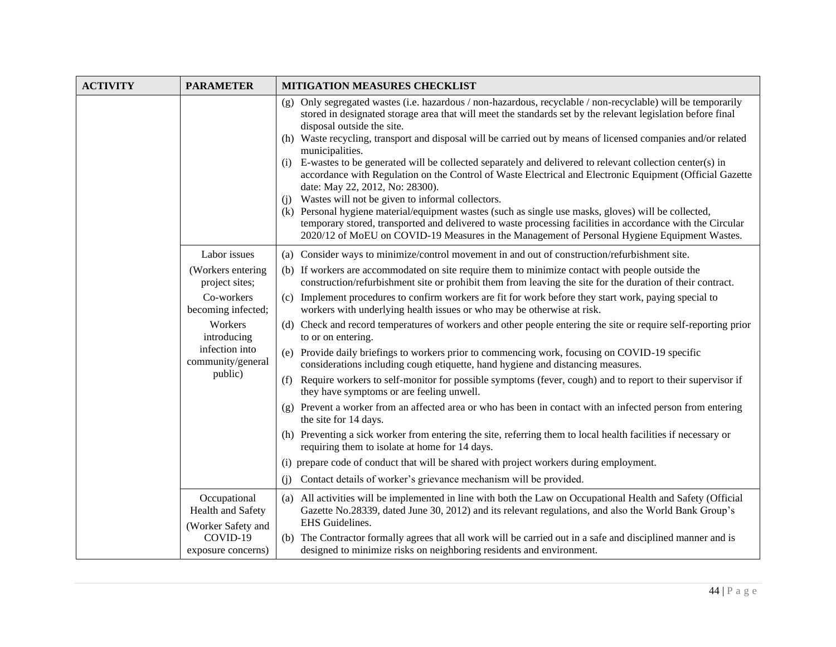| <b>ACTIVITY</b> | <b>PARAMETER</b>                                        | <b>MITIGATION MEASURES CHECKLIST</b>                                                                                                                                                                                                                                                                                                                                                                                                                                                                                                                                                                                                                                                                                                                                                                                                                                                                                                                                                                                                            |  |  |  |  |
|-----------------|---------------------------------------------------------|-------------------------------------------------------------------------------------------------------------------------------------------------------------------------------------------------------------------------------------------------------------------------------------------------------------------------------------------------------------------------------------------------------------------------------------------------------------------------------------------------------------------------------------------------------------------------------------------------------------------------------------------------------------------------------------------------------------------------------------------------------------------------------------------------------------------------------------------------------------------------------------------------------------------------------------------------------------------------------------------------------------------------------------------------|--|--|--|--|
|                 |                                                         | (g) Only segregated wastes (i.e. hazardous / non-hazardous, recyclable / non-recyclable) will be temporarily<br>stored in designated storage area that will meet the standards set by the relevant legislation before final<br>disposal outside the site.<br>(h) Waste recycling, transport and disposal will be carried out by means of licensed companies and/or related<br>municipalities.<br>E-wastes to be generated will be collected separately and delivered to relevant collection center(s) in<br>(i)<br>accordance with Regulation on the Control of Waste Electrical and Electronic Equipment (Official Gazette<br>date: May 22, 2012, No: 28300).<br>Wastes will not be given to informal collectors.<br>(i)<br>(k) Personal hygiene material/equipment wastes (such as single use masks, gloves) will be collected,<br>temporary stored, transported and delivered to waste processing facilities in accordance with the Circular<br>2020/12 of MoEU on COVID-19 Measures in the Management of Personal Hygiene Equipment Wastes. |  |  |  |  |
|                 | Labor issues                                            | (a) Consider ways to minimize/control movement in and out of construction/refurbishment site.                                                                                                                                                                                                                                                                                                                                                                                                                                                                                                                                                                                                                                                                                                                                                                                                                                                                                                                                                   |  |  |  |  |
|                 | (Workers entering<br>project sites;                     | (b) If workers are accommodated on site require them to minimize contact with people outside the<br>construction/refurbishment site or prohibit them from leaving the site for the duration of their contract.                                                                                                                                                                                                                                                                                                                                                                                                                                                                                                                                                                                                                                                                                                                                                                                                                                  |  |  |  |  |
|                 | Co-workers<br>becoming infected;                        | (c) Implement procedures to confirm workers are fit for work before they start work, paying special to<br>workers with underlying health issues or who may be otherwise at risk.                                                                                                                                                                                                                                                                                                                                                                                                                                                                                                                                                                                                                                                                                                                                                                                                                                                                |  |  |  |  |
|                 | Workers<br>introducing                                  | (d) Check and record temperatures of workers and other people entering the site or require self-reporting prior<br>to or on entering.                                                                                                                                                                                                                                                                                                                                                                                                                                                                                                                                                                                                                                                                                                                                                                                                                                                                                                           |  |  |  |  |
|                 | infection into<br>community/general                     | (e) Provide daily briefings to workers prior to commencing work, focusing on COVID-19 specific<br>considerations including cough etiquette, hand hygiene and distancing measures.                                                                                                                                                                                                                                                                                                                                                                                                                                                                                                                                                                                                                                                                                                                                                                                                                                                               |  |  |  |  |
|                 | public)                                                 | (f) Require workers to self-monitor for possible symptoms (fever, cough) and to report to their supervisor if<br>they have symptoms or are feeling unwell.                                                                                                                                                                                                                                                                                                                                                                                                                                                                                                                                                                                                                                                                                                                                                                                                                                                                                      |  |  |  |  |
|                 |                                                         | (g) Prevent a worker from an affected area or who has been in contact with an infected person from entering<br>the site for 14 days.                                                                                                                                                                                                                                                                                                                                                                                                                                                                                                                                                                                                                                                                                                                                                                                                                                                                                                            |  |  |  |  |
|                 |                                                         | (h) Preventing a sick worker from entering the site, referring them to local health facilities if necessary or<br>requiring them to isolate at home for 14 days.                                                                                                                                                                                                                                                                                                                                                                                                                                                                                                                                                                                                                                                                                                                                                                                                                                                                                |  |  |  |  |
|                 |                                                         | (i) prepare code of conduct that will be shared with project workers during employment.                                                                                                                                                                                                                                                                                                                                                                                                                                                                                                                                                                                                                                                                                                                                                                                                                                                                                                                                                         |  |  |  |  |
|                 |                                                         | Contact details of worker's grievance mechanism will be provided.<br>(i)                                                                                                                                                                                                                                                                                                                                                                                                                                                                                                                                                                                                                                                                                                                                                                                                                                                                                                                                                                        |  |  |  |  |
|                 | Occupational<br>Health and Safety<br>(Worker Safety and | (a) All activities will be implemented in line with both the Law on Occupational Health and Safety (Official<br>Gazette No.28339, dated June 30, 2012) and its relevant regulations, and also the World Bank Group's<br>EHS Guidelines.                                                                                                                                                                                                                                                                                                                                                                                                                                                                                                                                                                                                                                                                                                                                                                                                         |  |  |  |  |
|                 | COVID-19<br>exposure concerns)                          | (b) The Contractor formally agrees that all work will be carried out in a safe and disciplined manner and is<br>designed to minimize risks on neighboring residents and environment.                                                                                                                                                                                                                                                                                                                                                                                                                                                                                                                                                                                                                                                                                                                                                                                                                                                            |  |  |  |  |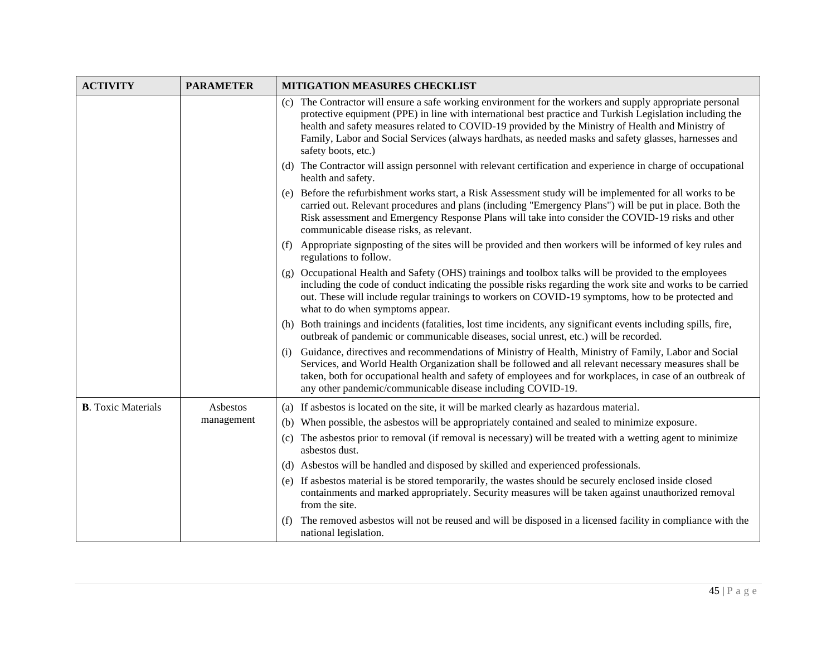| <b>ACTIVITY</b>           | <b>PARAMETER</b> | <b>MITIGATION MEASURES CHECKLIST</b>                                                                                                                                                                                                                                                                                                                                                                                                                           |
|---------------------------|------------------|----------------------------------------------------------------------------------------------------------------------------------------------------------------------------------------------------------------------------------------------------------------------------------------------------------------------------------------------------------------------------------------------------------------------------------------------------------------|
|                           |                  | The Contractor will ensure a safe working environment for the workers and supply appropriate personal<br>(c)<br>protective equipment (PPE) in line with international best practice and Turkish Legislation including the<br>health and safety measures related to COVID-19 provided by the Ministry of Health and Ministry of<br>Family, Labor and Social Services (always hardhats, as needed masks and safety glasses, harnesses and<br>safety boots, etc.) |
|                           |                  | (d) The Contractor will assign personnel with relevant certification and experience in charge of occupational<br>health and safety.                                                                                                                                                                                                                                                                                                                            |
|                           |                  | (e) Before the refurbishment works start, a Risk Assessment study will be implemented for all works to be<br>carried out. Relevant procedures and plans (including "Emergency Plans") will be put in place. Both the<br>Risk assessment and Emergency Response Plans will take into consider the COVID-19 risks and other<br>communicable disease risks, as relevant.                                                                                          |
|                           |                  | (f) Appropriate signposting of the sites will be provided and then workers will be informed of key rules and<br>regulations to follow.                                                                                                                                                                                                                                                                                                                         |
|                           |                  | (g) Occupational Health and Safety (OHS) trainings and toolbox talks will be provided to the employees<br>including the code of conduct indicating the possible risks regarding the work site and works to be carried<br>out. These will include regular trainings to workers on COVID-19 symptoms, how to be protected and<br>what to do when symptoms appear.                                                                                                |
|                           |                  | (h) Both trainings and incidents (fatalities, lost time incidents, any significant events including spills, fire,<br>outbreak of pandemic or communicable diseases, social unrest, etc.) will be recorded.                                                                                                                                                                                                                                                     |
|                           |                  | Guidance, directives and recommendations of Ministry of Health, Ministry of Family, Labor and Social<br>(i)<br>Services, and World Health Organization shall be followed and all relevant necessary measures shall be<br>taken, both for occupational health and safety of employees and for workplaces, in case of an outbreak of<br>any other pandemic/communicable disease including COVID-19.                                                              |
| <b>B.</b> Toxic Materials | Asbestos         | (a) If asbestos is located on the site, it will be marked clearly as hazardous material.                                                                                                                                                                                                                                                                                                                                                                       |
|                           | management       | (b) When possible, the asbestos will be appropriately contained and sealed to minimize exposure.                                                                                                                                                                                                                                                                                                                                                               |
|                           |                  | (c) The asbestos prior to removal (if removal is necessary) will be treated with a wetting agent to minimize<br>asbestos dust.                                                                                                                                                                                                                                                                                                                                 |
|                           |                  | (d) Asbestos will be handled and disposed by skilled and experienced professionals.                                                                                                                                                                                                                                                                                                                                                                            |
|                           |                  | (e) If asbestos material is be stored temporarily, the wastes should be securely enclosed inside closed<br>containments and marked appropriately. Security measures will be taken against unauthorized removal<br>from the site.                                                                                                                                                                                                                               |
|                           |                  | The removed asbestos will not be reused and will be disposed in a licensed facility in compliance with the<br>(f)<br>national legislation.                                                                                                                                                                                                                                                                                                                     |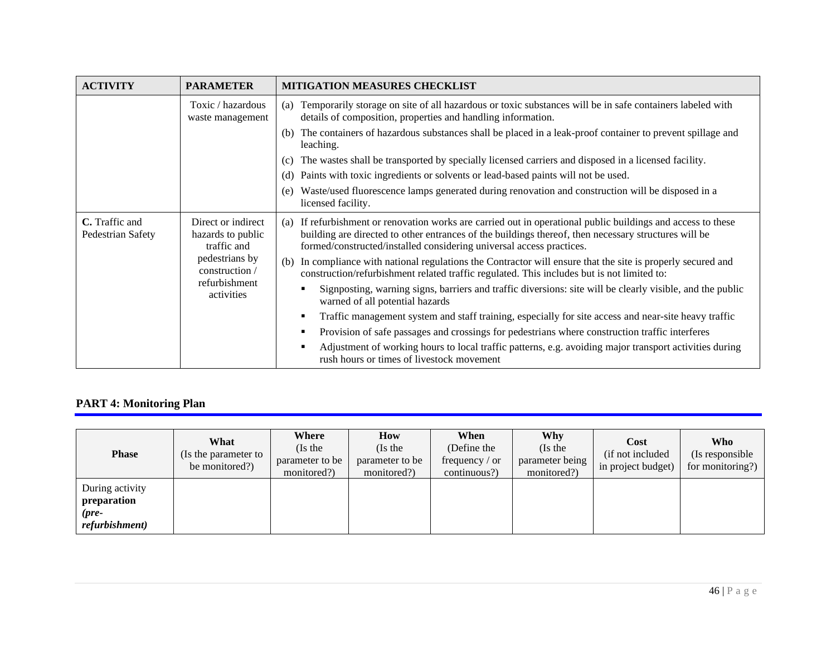| <b>ACTIVITY</b>                                                                               | <b>PARAMETER</b>                                                | <b>MITIGATION MEASURES CHECKLIST</b>                                                                                                                                                                                                                                                            |  |  |  |  |
|-----------------------------------------------------------------------------------------------|-----------------------------------------------------------------|-------------------------------------------------------------------------------------------------------------------------------------------------------------------------------------------------------------------------------------------------------------------------------------------------|--|--|--|--|
|                                                                                               | Toxic / hazardous<br>waste management                           | Temporarily storage on site of all hazardous or toxic substances will be in safe containers labeled with<br>(a)<br>details of composition, properties and handling information.                                                                                                                 |  |  |  |  |
|                                                                                               |                                                                 | The containers of hazardous substances shall be placed in a leak-proof container to prevent spillage and<br>(b)<br>leaching.                                                                                                                                                                    |  |  |  |  |
|                                                                                               |                                                                 | The wastes shall be transported by specially licensed carriers and disposed in a licensed facility.<br>(c)                                                                                                                                                                                      |  |  |  |  |
|                                                                                               |                                                                 | Paints with toxic ingredients or solvents or lead-based paints will not be used.<br>(d)                                                                                                                                                                                                         |  |  |  |  |
|                                                                                               |                                                                 | Waste/used fluorescence lamps generated during renovation and construction will be disposed in a<br>(e)<br>licensed facility.                                                                                                                                                                   |  |  |  |  |
| C. Traffic and<br>Direct or indirect<br>Pedestrian Safety<br>hazards to public<br>traffic and |                                                                 | If refurbishment or renovation works are carried out in operational public buildings and access to these<br>(a)<br>building are directed to other entrances of the buildings thereof, then necessary structures will be<br>formed/constructed/installed considering universal access practices. |  |  |  |  |
|                                                                                               | pedestrians by<br>construction /<br>refurbishment<br>activities | In compliance with national regulations the Contractor will ensure that the site is properly secured and<br>(b)<br>construction/refurbishment related traffic regulated. This includes but is not limited to:                                                                                   |  |  |  |  |
|                                                                                               |                                                                 | Signposting, warning signs, barriers and traffic diversions: site will be clearly visible, and the public<br>warned of all potential hazards                                                                                                                                                    |  |  |  |  |
|                                                                                               |                                                                 | Traffic management system and staff training, especially for site access and near-site heavy traffic                                                                                                                                                                                            |  |  |  |  |
|                                                                                               |                                                                 | Provision of safe passages and crossings for pedestrians where construction traffic interferes                                                                                                                                                                                                  |  |  |  |  |
|                                                                                               |                                                                 | Adjustment of working hours to local traffic patterns, e.g. avoiding major transport activities during<br>rush hours or times of livestock movement                                                                                                                                             |  |  |  |  |

# **PART 4: Monitoring Plan**

| <b>Phase</b>                                                          | What<br>(Is the parameter to<br>be monitored?) | Where<br>(Is the<br>parameter to be<br>monitored?) | How<br>(Is the<br>parameter to be<br>monitored?) | When<br>(Define the<br>frequency $\prime$ or<br>continuous?) | Why<br>(Is the<br>parameter being<br>monitored?) | Cost<br>(if not included)<br>in project budget) | Who<br>(Is responsible)<br>for monitoring?) |
|-----------------------------------------------------------------------|------------------------------------------------|----------------------------------------------------|--------------------------------------------------|--------------------------------------------------------------|--------------------------------------------------|-------------------------------------------------|---------------------------------------------|
| During activity<br>preparation<br>$(\textit{pre} -$<br>refurbishment) |                                                |                                                    |                                                  |                                                              |                                                  |                                                 |                                             |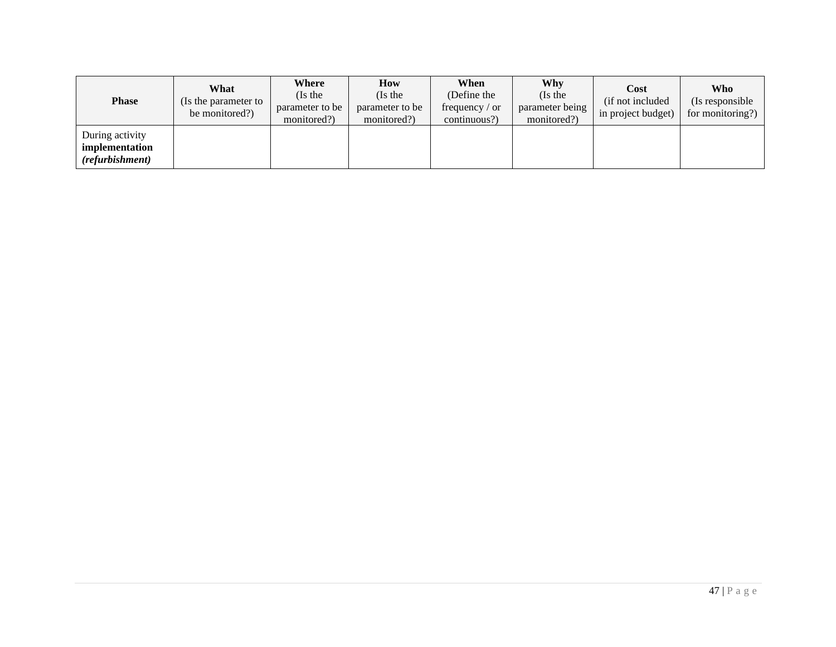| <b>Phase</b>                                         | What<br>(Is the parameter to<br>be monitored?) | Where<br>(Is the<br>parameter to be<br>monitored?) | How<br>(Is the<br>parameter to be<br>monitored?) | When<br>(Define the<br>frequency $\prime$ or<br>continuous?) | Why<br>(Is the<br>parameter being<br>monitored?) | Cost<br>(if not included)<br>in project budget) | Who<br>(Is responsible<br>for monitoring?) |
|------------------------------------------------------|------------------------------------------------|----------------------------------------------------|--------------------------------------------------|--------------------------------------------------------------|--------------------------------------------------|-------------------------------------------------|--------------------------------------------|
| During activity<br>implementation<br>(refurbishment) |                                                |                                                    |                                                  |                                                              |                                                  |                                                 |                                            |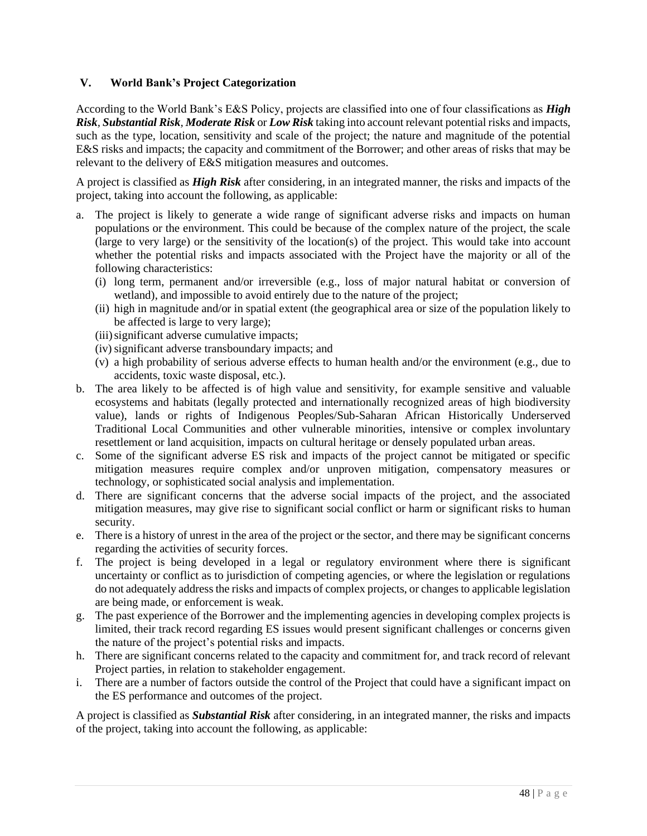# <span id="page-49-0"></span>**V. World Bank's Project Categorization**

According to the World Bank's E&S Policy, projects are classified into one of four classifications as *High Risk, Substantial Risk, Moderate Risk* or *Low Risk* taking into account relevant potential risks and impacts, such as the type, location, sensitivity and scale of the project; the nature and magnitude of the potential E&S risks and impacts; the capacity and commitment of the Borrower; and other areas of risks that may be relevant to the delivery of E&S mitigation measures and outcomes.

A project is classified as *High Risk* after considering, in an integrated manner, the risks and impacts of the project, taking into account the following, as applicable:

- a. The project is likely to generate a wide range of significant adverse risks and impacts on human populations or the environment. This could be because of the complex nature of the project, the scale (large to very large) or the sensitivity of the location(s) of the project. This would take into account whether the potential risks and impacts associated with the Project have the majority or all of the following characteristics:
	- (i) long term, permanent and/or irreversible (e.g., loss of major natural habitat or conversion of wetland), and impossible to avoid entirely due to the nature of the project;
	- (ii) high in magnitude and/or in spatial extent (the geographical area or size of the population likely to be affected is large to very large);
	- (iii) significant adverse cumulative impacts;
	- (iv) significant adverse transboundary impacts; and
	- (v) a high probability of serious adverse effects to human health and/or the environment (e.g., due to accidents, toxic waste disposal, etc.).
- b. The area likely to be affected is of high value and sensitivity, for example sensitive and valuable ecosystems and habitats (legally protected and internationally recognized areas of high biodiversity value), lands or rights of Indigenous Peoples/Sub-Saharan African Historically Underserved Traditional Local Communities and other vulnerable minorities, intensive or complex involuntary resettlement or land acquisition, impacts on cultural heritage or densely populated urban areas.
- c. Some of the significant adverse ES risk and impacts of the project cannot be mitigated or specific mitigation measures require complex and/or unproven mitigation, compensatory measures or technology, or sophisticated social analysis and implementation.
- d. There are significant concerns that the adverse social impacts of the project, and the associated mitigation measures, may give rise to significant social conflict or harm or significant risks to human security.
- e. There is a history of unrest in the area of the project or the sector, and there may be significant concerns regarding the activities of security forces.
- f. The project is being developed in a legal or regulatory environment where there is significant uncertainty or conflict as to jurisdiction of competing agencies, or where the legislation or regulations do not adequately address the risks and impacts of complex projects, or changes to applicable legislation are being made, or enforcement is weak.
- g. The past experience of the Borrower and the implementing agencies in developing complex projects is limited, their track record regarding ES issues would present significant challenges or concerns given the nature of the project's potential risks and impacts.
- h. There are significant concerns related to the capacity and commitment for, and track record of relevant Project parties, in relation to stakeholder engagement.
- i. There are a number of factors outside the control of the Project that could have a significant impact on the ES performance and outcomes of the project.

A project is classified as *Substantial Risk* after considering, in an integrated manner, the risks and impacts of the project, taking into account the following, as applicable: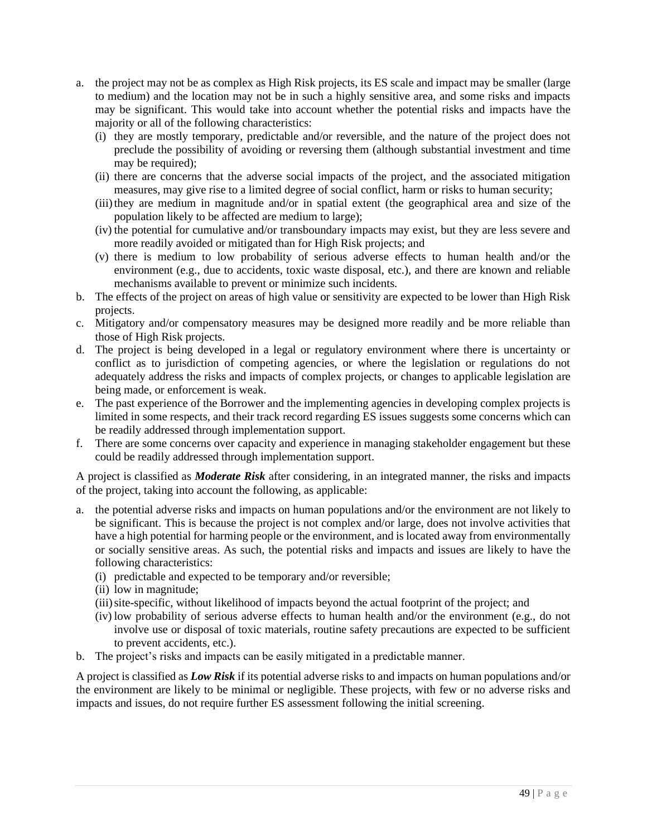- a. the project may not be as complex as High Risk projects, its ES scale and impact may be smaller (large to medium) and the location may not be in such a highly sensitive area, and some risks and impacts may be significant. This would take into account whether the potential risks and impacts have the majority or all of the following characteristics:
	- (i) they are mostly temporary, predictable and/or reversible, and the nature of the project does not preclude the possibility of avoiding or reversing them (although substantial investment and time may be required);
	- (ii) there are concerns that the adverse social impacts of the project, and the associated mitigation measures, may give rise to a limited degree of social conflict, harm or risks to human security;
	- (iii)they are medium in magnitude and/or in spatial extent (the geographical area and size of the population likely to be affected are medium to large);
	- (iv) the potential for cumulative and/or transboundary impacts may exist, but they are less severe and more readily avoided or mitigated than for High Risk projects; and
	- (v) there is medium to low probability of serious adverse effects to human health and/or the environment (e.g., due to accidents, toxic waste disposal, etc.), and there are known and reliable mechanisms available to prevent or minimize such incidents.
- b. The effects of the project on areas of high value or sensitivity are expected to be lower than High Risk projects.
- c. Mitigatory and/or compensatory measures may be designed more readily and be more reliable than those of High Risk projects.
- d. The project is being developed in a legal or regulatory environment where there is uncertainty or conflict as to jurisdiction of competing agencies, or where the legislation or regulations do not adequately address the risks and impacts of complex projects, or changes to applicable legislation are being made, or enforcement is weak.
- e. The past experience of the Borrower and the implementing agencies in developing complex projects is limited in some respects, and their track record regarding ES issues suggests some concerns which can be readily addressed through implementation support.
- f. There are some concerns over capacity and experience in managing stakeholder engagement but these could be readily addressed through implementation support.

A project is classified as *Moderate Risk* after considering, in an integrated manner, the risks and impacts of the project, taking into account the following, as applicable:

- a. the potential adverse risks and impacts on human populations and/or the environment are not likely to be significant. This is because the project is not complex and/or large, does not involve activities that have a high potential for harming people or the environment, and is located away from environmentally or socially sensitive areas. As such, the potential risks and impacts and issues are likely to have the following characteristics:
	- (i) predictable and expected to be temporary and/or reversible;
	- (ii) low in magnitude;
	- (iii)site-specific, without likelihood of impacts beyond the actual footprint of the project; and
	- (iv) low probability of serious adverse effects to human health and/or the environment (e.g., do not involve use or disposal of toxic materials, routine safety precautions are expected to be sufficient to prevent accidents, etc.).
- b. The project's risks and impacts can be easily mitigated in a predictable manner.

A project is classified as *Low Risk* if its potential adverse risks to and impacts on human populations and/or the environment are likely to be minimal or negligible. These projects, with few or no adverse risks and impacts and issues, do not require further ES assessment following the initial screening.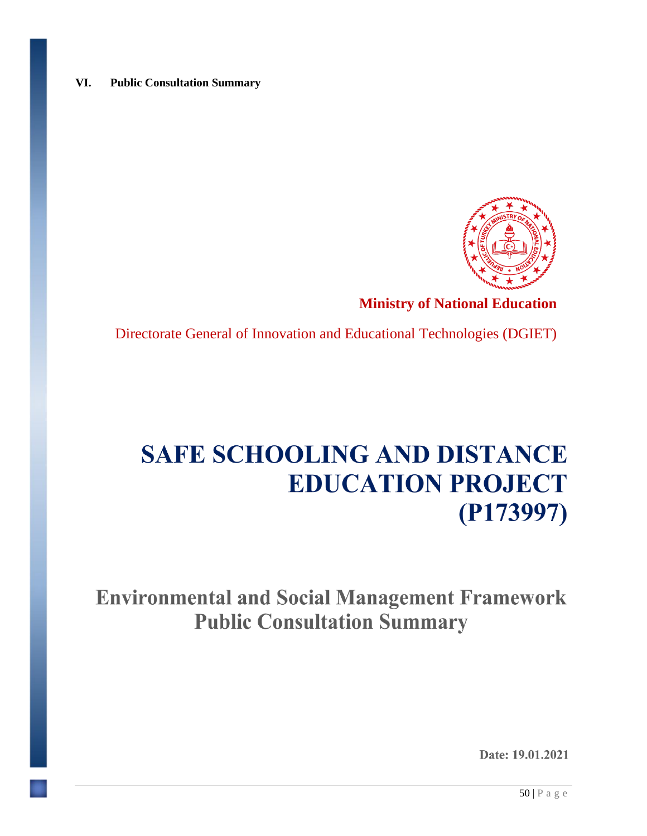# <span id="page-51-0"></span>**VI. Public Consultation Summary**



# **Ministry of National Education**

Directorate General of Innovation and Educational Technologies (DGIET)

# **SAFE SCHOOLING AND DISTANCE EDUCATION PROJECT**  $(P173997)$

**Environmental and Social Management Framework Public Consultation Summary** 

Date: 19.01.2021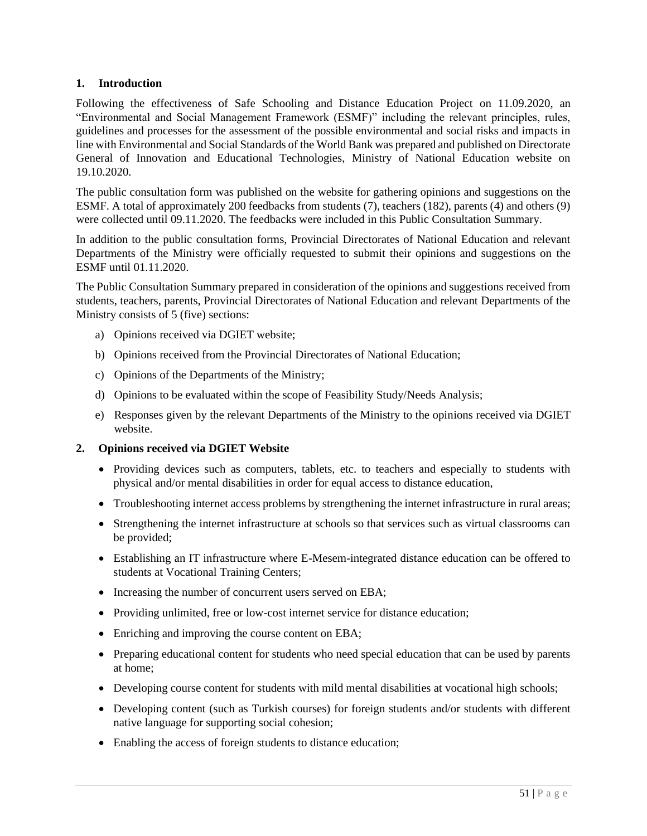# **1. Introduction**

Following the effectiveness of Safe Schooling and Distance Education Project on 11.09.2020, an "Environmental and Social Management Framework (ESMF)" including the relevant principles, rules, guidelines and processes for the assessment of the possible environmental and social risks and impacts in line with Environmental and Social Standards of the World Bank was prepared and published on Directorate General of Innovation and Educational Technologies, Ministry of National Education website on 19.10.2020.

The public consultation form was published on the website for gathering opinions and suggestions on the ESMF. A total of approximately 200 feedbacks from students (7), teachers (182), parents (4) and others (9) were collected until 09.11.2020. The feedbacks were included in this Public Consultation Summary.

In addition to the public consultation forms, Provincial Directorates of National Education and relevant Departments of the Ministry were officially requested to submit their opinions and suggestions on the ESMF until 01.11.2020.

The Public Consultation Summary prepared in consideration of the opinions and suggestions received from students, teachers, parents, Provincial Directorates of National Education and relevant Departments of the Ministry consists of 5 (five) sections:

- a) Opinions received via DGIET website;
- b) Opinions received from the Provincial Directorates of National Education;
- c) Opinions of the Departments of the Ministry;
- d) Opinions to be evaluated within the scope of Feasibility Study/Needs Analysis;
- e) Responses given by the relevant Departments of the Ministry to the opinions received via DGIET website.

#### **2. Opinions received via DGIET Website**

- Providing devices such as computers, tablets, etc. to teachers and especially to students with physical and/or mental disabilities in order for equal access to distance education,
- Troubleshooting internet access problems by strengthening the internet infrastructure in rural areas;
- Strengthening the internet infrastructure at schools so that services such as virtual classrooms can be provided;
- Establishing an IT infrastructure where E-Mesem-integrated distance education can be offered to students at Vocational Training Centers;
- Increasing the number of concurrent users served on EBA;
- Providing unlimited, free or low-cost internet service for distance education;
- Enriching and improving the course content on EBA;
- Preparing educational content for students who need special education that can be used by parents at home;
- Developing course content for students with mild mental disabilities at vocational high schools;
- Developing content (such as Turkish courses) for foreign students and/or students with different native language for supporting social cohesion;
- Enabling the access of foreign students to distance education;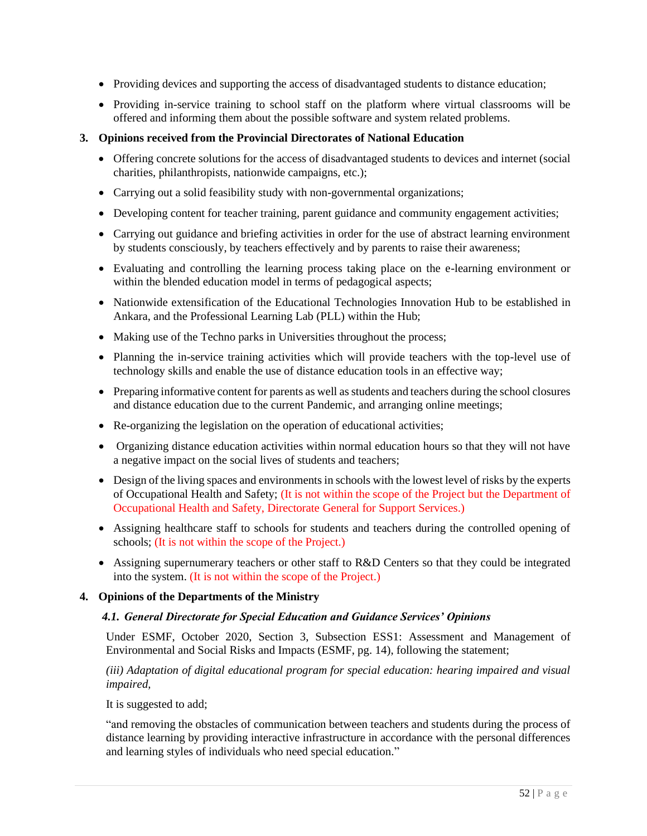- Providing devices and supporting the access of disadvantaged students to distance education;
- Providing in-service training to school staff on the platform where virtual classrooms will be offered and informing them about the possible software and system related problems.

# **3. Opinions received from the Provincial Directorates of National Education**

- Offering concrete solutions for the access of disadvantaged students to devices and internet (social charities, philanthropists, nationwide campaigns, etc.);
- Carrying out a solid feasibility study with non-governmental organizations;
- Developing content for teacher training, parent guidance and community engagement activities;
- Carrying out guidance and briefing activities in order for the use of abstract learning environment by students consciously, by teachers effectively and by parents to raise their awareness;
- Evaluating and controlling the learning process taking place on the e-learning environment or within the blended education model in terms of pedagogical aspects;
- Nationwide extensification of the Educational Technologies Innovation Hub to be established in Ankara, and the Professional Learning Lab (PLL) within the Hub;
- Making use of the Techno parks in Universities throughout the process;
- Planning the in-service training activities which will provide teachers with the top-level use of technology skills and enable the use of distance education tools in an effective way;
- Preparing informative content for parents as well as students and teachers during the school closures and distance education due to the current Pandemic, and arranging online meetings;
- Re-organizing the legislation on the operation of educational activities;
- Organizing distance education activities within normal education hours so that they will not have a negative impact on the social lives of students and teachers;
- Design of the living spaces and environments in schools with the lowest level of risks by the experts of Occupational Health and Safety; (It is not within the scope of the Project but the Department of Occupational Health and Safety, Directorate General for Support Services.)
- Assigning healthcare staff to schools for students and teachers during the controlled opening of schools; (It is not within the scope of the Project.)
- Assigning supernumerary teachers or other staff to R&D Centers so that they could be integrated into the system. (It is not within the scope of the Project.)

#### **4. Opinions of the Departments of the Ministry**

#### *4.1. General Directorate for Special Education and Guidance Services' Opinions*

Under ESMF, October 2020, Section 3, Subsection ESS1: Assessment and Management of Environmental and Social Risks and Impacts (ESMF, pg. 14), following the statement;

*(iii) Adaptation of digital educational program for special education: hearing impaired and visual impaired,* 

It is suggested to add;

"and removing the obstacles of communication between teachers and students during the process of distance learning by providing interactive infrastructure in accordance with the personal differences and learning styles of individuals who need special education."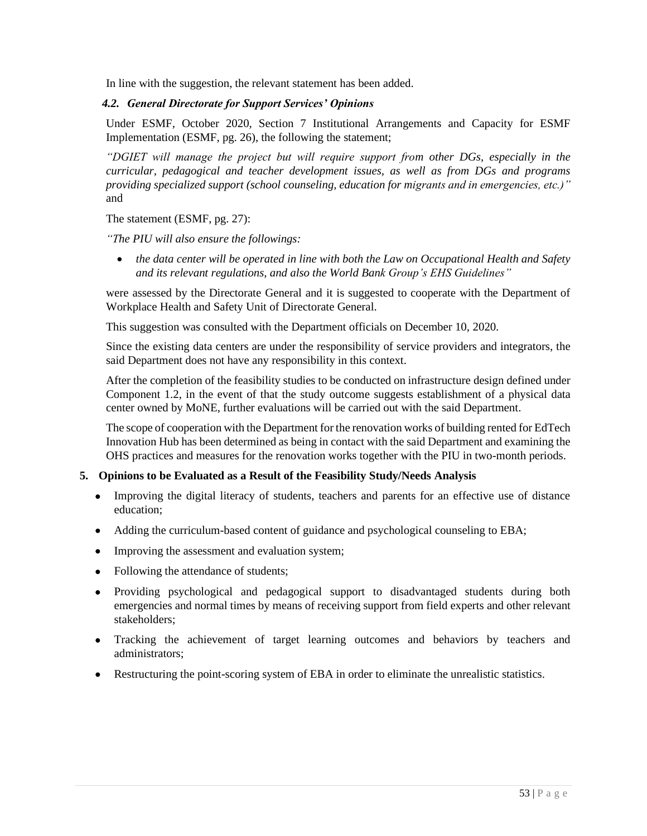In line with the suggestion, the relevant statement has been added.

#### *4.2. General Directorate for Support Services' Opinions*

Under ESMF, October 2020, Section 7 Institutional Arrangements and Capacity for ESMF Implementation (ESMF, pg. 26), the following the statement;

*"DGIET will manage the project but will require support from other DGs, especially in the curricular, pedagogical and teacher development issues, as well as from DGs and programs providing specialized support (school counseling, education for migrants and in emergencies, etc.)"* and

The statement (ESMF, pg. 27):

*"The PIU will also ensure the followings:*

• *the data center will be operated in line with both the Law on Occupational Health and Safety and its relevant regulations, and also the World Bank Group's EHS Guidelines"*

were assessed by the Directorate General and it is suggested to cooperate with the Department of Workplace Health and Safety Unit of Directorate General.

This suggestion was consulted with the Department officials on December 10, 2020.

Since the existing data centers are under the responsibility of service providers and integrators, the said Department does not have any responsibility in this context.

After the completion of the feasibility studies to be conducted on infrastructure design defined under Component 1.2, in the event of that the study outcome suggests establishment of a physical data center owned by MoNE, further evaluations will be carried out with the said Department.

The scope of cooperation with the Department for the renovation works of building rented for EdTech Innovation Hub has been determined as being in contact with the said Department and examining the OHS practices and measures for the renovation works together with the PIU in two-month periods.

#### **5. Opinions to be Evaluated as a Result of the Feasibility Study/Needs Analysis**

- Improving the digital literacy of students, teachers and parents for an effective use of distance education;
- Adding the curriculum-based content of guidance and psychological counseling to EBA;
- Improving the assessment and evaluation system;
- Following the attendance of students;
- Providing psychological and pedagogical support to disadvantaged students during both emergencies and normal times by means of receiving support from field experts and other relevant stakeholders;
- Tracking the achievement of target learning outcomes and behaviors by teachers and administrators;
- Restructuring the point-scoring system of EBA in order to eliminate the unrealistic statistics.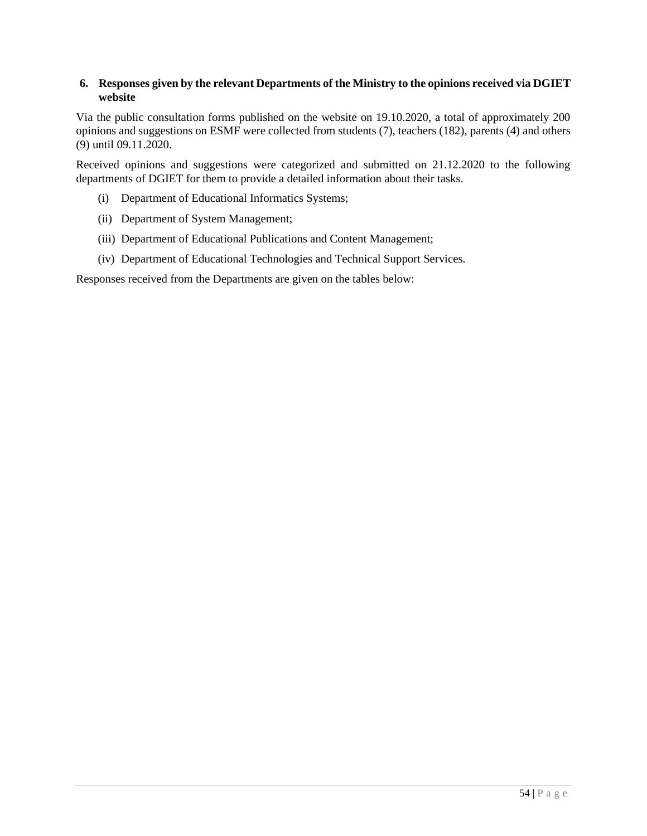# **6. Responses given by the relevant Departments of the Ministry to the opinions received via DGIET website**

Via the public consultation forms published on the website on 19.10.2020, a total of approximately 200 opinions and suggestions on ESMF were collected from students (7), teachers (182), parents (4) and others (9) until 09.11.2020.

Received opinions and suggestions were categorized and submitted on 21.12.2020 to the following departments of DGIET for them to provide a detailed information about their tasks.

- (i) Department of Educational Informatics Systems;
- (ii) Department of System Management;
- (iii) Department of Educational Publications and Content Management;
- (iv) Department of Educational Technologies and Technical Support Services.

Responses received from the Departments are given on the tables below: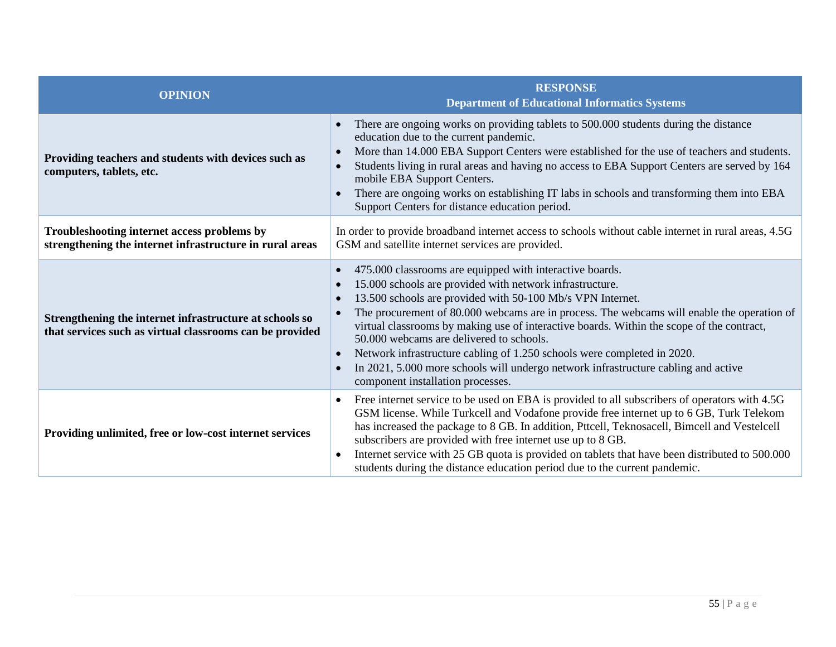| <b>OPINION</b>                                                                                                      | <b>RESPONSE</b><br><b>Department of Educational Informatics Systems</b>                                                                                                                                                                                                                                                                                                                                                                                                                                                                                                                                                                                                                                       |
|---------------------------------------------------------------------------------------------------------------------|---------------------------------------------------------------------------------------------------------------------------------------------------------------------------------------------------------------------------------------------------------------------------------------------------------------------------------------------------------------------------------------------------------------------------------------------------------------------------------------------------------------------------------------------------------------------------------------------------------------------------------------------------------------------------------------------------------------|
| Providing teachers and students with devices such as<br>computers, tablets, etc.                                    | There are ongoing works on providing tablets to 500.000 students during the distance<br>$\bullet$<br>education due to the current pandemic.<br>More than 14.000 EBA Support Centers were established for the use of teachers and students.<br>$\bullet$<br>Students living in rural areas and having no access to EBA Support Centers are served by 164<br>$\bullet$<br>mobile EBA Support Centers.<br>There are ongoing works on establishing IT labs in schools and transforming them into EBA<br>$\bullet$<br>Support Centers for distance education period.                                                                                                                                               |
| Troubleshooting internet access problems by<br>strengthening the internet infrastructure in rural areas             | In order to provide broadband internet access to schools without cable internet in rural areas, 4.5G<br>GSM and satellite internet services are provided.                                                                                                                                                                                                                                                                                                                                                                                                                                                                                                                                                     |
| Strengthening the internet infrastructure at schools so<br>that services such as virtual classrooms can be provided | 475.000 classrooms are equipped with interactive boards.<br>$\bullet$<br>15.000 schools are provided with network infrastructure.<br>$\bullet$<br>13.500 schools are provided with 50-100 Mb/s VPN Internet.<br>$\bullet$<br>The procurement of 80.000 webcams are in process. The webcams will enable the operation of<br>$\bullet$<br>virtual classrooms by making use of interactive boards. Within the scope of the contract,<br>50,000 webcams are delivered to schools.<br>Network infrastructure cabling of 1.250 schools were completed in 2020.<br>$\bullet$<br>In 2021, 5.000 more schools will undergo network infrastructure cabling and active<br>$\bullet$<br>component installation processes. |
| Providing unlimited, free or low-cost internet services                                                             | Free internet service to be used on EBA is provided to all subscribers of operators with 4.5G<br>$\bullet$<br>GSM license. While Turkcell and Vodafone provide free internet up to 6 GB, Turk Telekom<br>has increased the package to 8 GB. In addition, Pttcell, Teknosacell, Bimcell and Vestelcell<br>subscribers are provided with free internet use up to 8 GB.<br>Internet service with 25 GB quota is provided on tablets that have been distributed to 500.000<br>$\bullet$<br>students during the distance education period due to the current pandemic.                                                                                                                                             |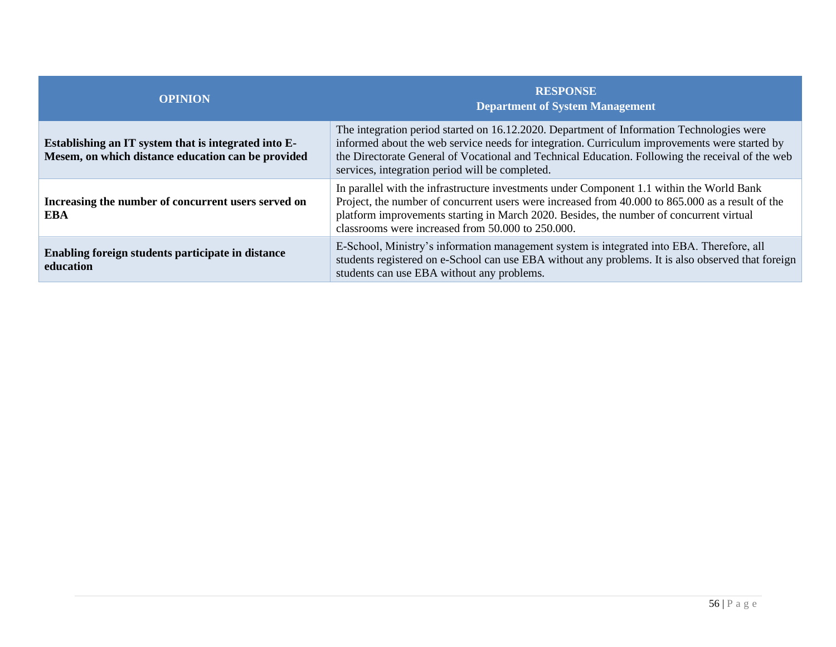| <b>OPINION</b>                                                                                             | <b>RESPONSE</b><br><b>Department of System Management</b>                                                                                                                                                                                                                                                                                         |
|------------------------------------------------------------------------------------------------------------|---------------------------------------------------------------------------------------------------------------------------------------------------------------------------------------------------------------------------------------------------------------------------------------------------------------------------------------------------|
| Establishing an IT system that is integrated into E-<br>Mesem, on which distance education can be provided | The integration period started on 16.12.2020. Department of Information Technologies were<br>informed about the web service needs for integration. Curriculum improvements were started by<br>the Directorate General of Vocational and Technical Education. Following the receival of the web<br>services, integration period will be completed. |
| Increasing the number of concurrent users served on<br>EBA                                                 | In parallel with the infrastructure investments under Component 1.1 within the World Bank<br>Project, the number of concurrent users were increased from 40.000 to 865.000 as a result of the<br>platform improvements starting in March 2020. Besides, the number of concurrent virtual<br>classrooms were increased from 50,000 to 250,000.     |
| Enabling foreign students participate in distance<br>education                                             | E-School, Ministry's information management system is integrated into EBA. Therefore, all<br>students registered on e-School can use EBA without any problems. It is also observed that foreign<br>students can use EBA without any problems.                                                                                                     |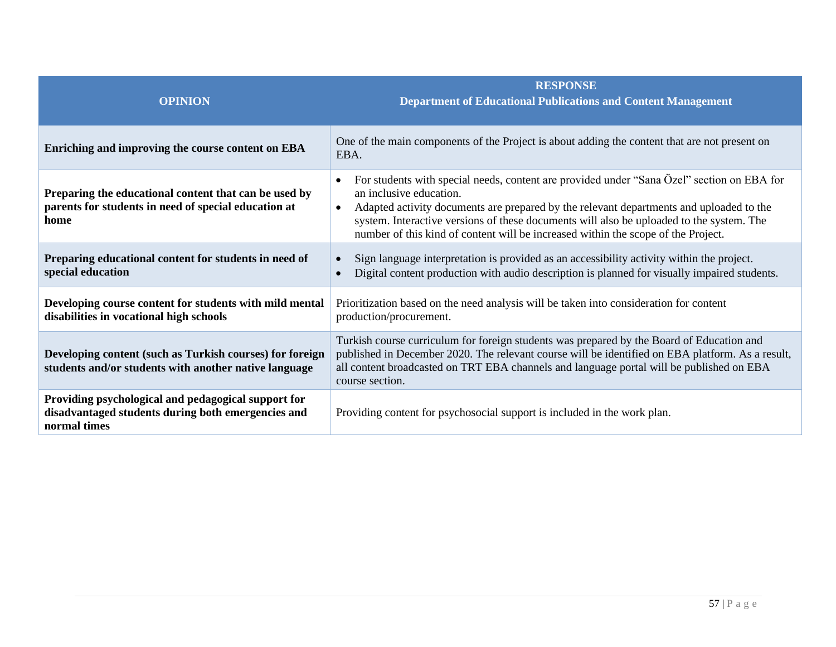| <b>OPINION</b>                                                                                                            | <b>RESPONSE</b><br><b>Department of Educational Publications and Content Management</b>                                                                                                                                                                                                                                                                                                                                     |
|---------------------------------------------------------------------------------------------------------------------------|-----------------------------------------------------------------------------------------------------------------------------------------------------------------------------------------------------------------------------------------------------------------------------------------------------------------------------------------------------------------------------------------------------------------------------|
| Enriching and improving the course content on EBA                                                                         | One of the main components of the Project is about adding the content that are not present on<br>EBA.                                                                                                                                                                                                                                                                                                                       |
| Preparing the educational content that can be used by<br>parents for students in need of special education at<br>home     | For students with special needs, content are provided under "Sana Özel" section on EBA for<br>$\bullet$<br>an inclusive education.<br>Adapted activity documents are prepared by the relevant departments and uploaded to the<br>$\bullet$<br>system. Interactive versions of these documents will also be uploaded to the system. The<br>number of this kind of content will be increased within the scope of the Project. |
| Preparing educational content for students in need of<br>special education                                                | Sign language interpretation is provided as an accessibility activity within the project.<br>Digital content production with audio description is planned for visually impaired students.                                                                                                                                                                                                                                   |
| Developing course content for students with mild mental<br>disabilities in vocational high schools                        | Prioritization based on the need analysis will be taken into consideration for content<br>production/procurement.                                                                                                                                                                                                                                                                                                           |
| Developing content (such as Turkish courses) for foreign<br>students and/or students with another native language         | Turkish course curriculum for foreign students was prepared by the Board of Education and<br>published in December 2020. The relevant course will be identified on EBA platform. As a result,<br>all content broadcasted on TRT EBA channels and language portal will be published on EBA<br>course section.                                                                                                                |
| Providing psychological and pedagogical support for<br>disadvantaged students during both emergencies and<br>normal times | Providing content for psychosocial support is included in the work plan.                                                                                                                                                                                                                                                                                                                                                    |